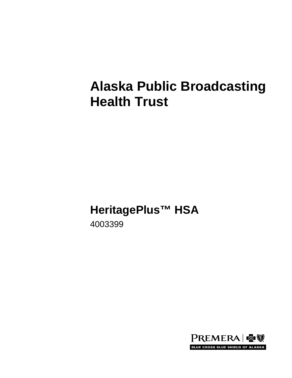# **Alaska Public Broadcasting Health Trust**

# **HeritagePlus™ HSA**

4003399

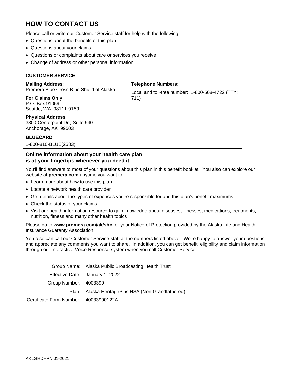# **HOW TO CONTACT US**

Please call or write our Customer Service staff for help with the following:

- Questions about the benefits of this plan
- Questions about your claims
- Questions or complaints about care or services you receive
- Change of address or other personal information

#### **CUSTOMER SERVICE**

#### **Mailing Address**:

Premera Blue Cross Blue Shield of Alaska

**For Claims Only** P.O. Box 91059 Seattle, WA 98111-9159

Local and toll-free number: 1-800-508-4722 (TTY: 711)

**Telephone Numbers:**

#### **Physical Address**

3800 Centerpoint Dr., Suite 940 Anchorage, AK 99503

#### **BLUECARD**

1-800-810-BLUE(2583)

#### **Online information about your health care plan is at your fingertips whenever you need it**

You'll find answers to most of your questions about this plan in this benefit booklet. You also can explore our website at **premera.com** anytime you want to:

- Learn more about how to use this plan
- Locate a network health care provider
- Get details about the types of expenses you're responsible for and this plan's benefit maximums
- Check the status of your claims
- Visit our health-information resource to gain knowledge about diseases, illnesses, medications, treatments, nutrition, fitness and many other health topics

Please go to **www.premera.com/ak/sbc** for your Notice of Protection provided by the Alaska Life and Health Insurance Guaranty Association.

You also can call our Customer Service staff at the numbers listed above. We're happy to answer your questions and appreciate any comments you want to share. In addition, you can get benefit, eligibility and claim information through our Interactive Voice Response system when you call Customer Service.

|                                       | Group Name: Alaska Public Broadcasting Health Trust |
|---------------------------------------|-----------------------------------------------------|
|                                       | Effective Date: January 1, 2022                     |
| Group Number: 4003399                 |                                                     |
|                                       | Plan: Alaska HeritagePlus HSA (Non-Grandfathered)   |
| Certificate Form Number: 40033990122A |                                                     |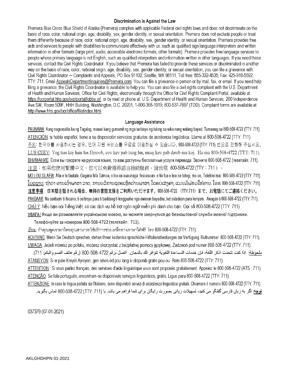#### Discrimination is Against the Law

Premera Blue Cross Blue Shield of Alaska (Premera) complies with applicable Federal civil rights laws and does not discriminate on the basis of race, color, national origin, age, disability, sex, gender identity, or sexual orientation. Premera does not exclude people or treat them differently because of race, color, national origin, age, disability, sex, gender identity, or sexual orientation. Premera provides free aids and services to people with disabilities to communicate effectively with us, such as qualified sign language interpreters and written information in other formats (large print, audio, accessible electronic formats, other formats). Premera provides free language services to people whose primary language is not English, such as qualified interpreters and information written in other languages. If you need these services, contact the Civil Rights Coordinator. If you believe that Premera has failed to provide these services or discriminated in another way on the basis of race, color, national origin, age, disability, sex, gender identity, or sexual orientation, you can file a grievance with: Civil Rights Coordinator - Complaints and Appeals, PO Box 91102, Seattle, WA 98111, Toll free: 855-332-4535, Fax: 425-918-5592, TTY: 711, Email AppealsDepartmentInquiries@Premera.com. You can file a grievance in person or by mail, fax, or email. If you need help filing a grievance, the Civil Rights Coordinator is available to help you. You can also file a civil rights complaint with the U.S. Department of Health and Human Services, Office for Civil Rights, electronically through the Office for Civil Rights Complaint Portal, available at https://ocrportal.hhs.gov/ocr/portal/lobby.jsf, or by mail or phone at: U.S. Department of Health and Human Services, 200 Independence Ave SW, Room 509F, HHH Building, Washington, D.C. 20201, 1-800-368-1019, 800-537-7697 (TDD), Complaint forms are available at http://www.hhs.gov/ocr/office/file/index.html.

#### Language Assistance

PAUNAWA: Kung nagsasalita ka ng Tagalog, maaari kang gumamit ng mga serbisyo ng tulong sa wika nang walang bayad. Tumawag sa 800-508-4722 (TTY: 711). ATENCIÓN: si habla español, tiene a su disposición servicios gratuitos de asistencia lingüística. Llame al 800-508-4722 (TTY: 711). 주의: 한국어를 사용하시는 경우, 언어 지원 서비스를 무료로 이용하실 수 있습니다. 800-508-4722 (TTY: 711) 번으로 전화해 주십시오. LUS CEEV: Yog tias koj hais lus Hmoob, cov kev pab txog lus, muaj kev pab dawb rau koj. Hu rau 800-508-4722 (TTY: 711). ВНИМАНИЕ: Если вы говорите на русском языке, то вам доступны бесплатные услуги перевода. Звоните 800-508-4722 (телетайп: 711). 注意:如果您使用繁體中文,您可以免費獲得語言援助服務。請致雷 800-508-4722 (TTY:711)。

MO LOU SILAFIA: Afai e te tautala Gagana fa'a Sāmoa, o loo iai auaunaga fesoasoan, e fai fua e leai se totogi, mo oe, Telefoni mai: 800-508-4722 (TTY: 711). . ໂປດຊາບ: ຖ້າວ່າ ທ່ານເວົ້າພາສາ ລາວ, ການບໍລິການຊ່ວຍເຫຼືອດ້ານພາສາ, ໂດຍບໍ່ເສັງຄ່າ, ແມ່ນມີພ້ອມໃຫ້ທ່ານ. ໂທຣ 800-508-4722 (TTY: 711). 注意事項:日本語を話される場合、無料の言語支援をご利用いただけます。800-508-4722 (TTY:711) まで、お電話にてご連絡ください。 PAKDAAR: Nu saritaem ti Ilocano, ti serbisyo para ti baddang ti lengguahe nga awanan bayadna, ket sidadaan para kenyam. Awagan ti 800-508-4722 (TTY: 711). CHÚ Ý: Nếu ban nói Tiếng Việt, có các dịch vụ hỗ trợ ngôn ngữ miễn phí dành cho ban. Gọi số 800-508-4722 (TTY: 711). УВАГА! Якщо ви розмовляете українською мовою, ви можете звернутися до безкоштовної служби мовної підтримки.

Телефонуйте за номером 800-508-4722 (телетайп: 711).

้เรียน: ถ้าคณพดภาษาไทยคณสามารถใช้บริการช่วยเหลือทางภาษาได้ฟรี โทร 800-508-4722 (TTY: 711).

ACHTUNG: Wenn Sie Deutsch sprechen, stehen Ihnen kostenlos sprachliche Hilfsdienstleistungen zur Verfügung. Rufnummer: 800-508-4722 (TTY: 711). UWAGA: Jeżeli mówisz po polsku, możesz skorzystać z bezpłatnej pomocy językowej. Zadzwoń pod numer 800-508-4722 (TTY: 711).

ملحوظة: إذا كنت تتحدث اذكر اللغة، فإن خدمات المساعدة اللغوية تتوافر لك بالمجان. اتصل برقم 4722-508-800 (رقم هاتف الصم والبكم: 711). ATANSYON: Si w pale Kreyol Ayisyen, gen sevis ed pou lang ki disponib gratis pou ou. Rele 800-508-4722 (TTY: 711).

ATTENTION : Si vous parlez français, des services d'aide linguistique vous sont proposés gratuitement. Appelez le 800-508-4722 (ATS : 711). ATENÇÃO: Se fala português, encontram-se disponíveis serviços linguísticos, grátis. Ligue para 800-508-4722 (TTY: 711).

ATTENZIONE: In caso la lingua parlata sia l'italiano, sono disponibili servizi di assistenza linguistica gratuiti. Chiamare il numero 800-508-4722 (TTY: 711). **توجه:** اگر به زبان فارسی گفتگو می کنید، تسهیلات زبانی بصورت رایگان برای شما فراهم می باشد. با (711 / 777) 472-008-800 تماس بگیرید.

037379 (07-01-2021)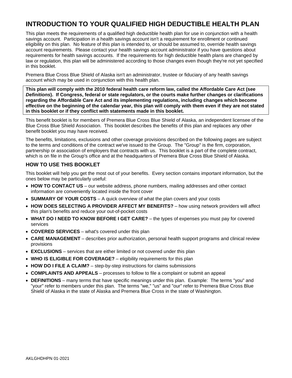# **INTRODUCTION TO YOUR QUALIFIED HIGH DEDUCTIBLE HEALTH PLAN**

This plan meets the requirements of a qualified high deductible health plan for use in conjunction with a health savings account. Participation in a health savings account isn't a requirement for enrollment or continued eligibility on this plan. No feature of this plan is intended to, or should be assumed to, override health savings account requirements. Please contact your health savings account administrator if you have questions about requirements for health savings accounts. If the requirements for high deductible health plans are changed by law or regulation, this plan will be administered according to those changes even though they're not yet specified in this booklet.

Premera Blue Cross Blue Shield of Alaska isn't an administrator, trustee or fiduciary of any health savings account which may be used in conjunction with this health plan.

**This plan will comply with the 2010 federal health care reform law, called the Affordable Care Act (see**  *Definitions***). If Congress, federal or state regulators, or the courts make further changes or clarifications regarding the Affordable Care Act and its implementing regulations, including changes which become effective on the beginning of the calendar year, this plan will comply with them even if they are not stated in this booklet or if they conflict with statements made in this booklet.**

This benefit booklet is for members of Premera Blue Cross Blue Shield of Alaska, an independent licensee of the Blue Cross Blue Shield Association. This booklet describes the benefits of this plan and replaces any other benefit booklet you may have received.

The benefits, limitations, exclusions and other coverage provisions described on the following pages are subject to the terms and conditions of the contract we've issued to the Group. The "Group" is the firm, corporation, partnership or association of employers that contracts with us. This booklet is a part of the complete contract, which is on file in the Group's office and at the headquarters of Premera Blue Cross Blue Shield of Alaska.

# **HOW TO USE THIS BOOKLET**

This booklet will help you get the most out of your benefits. Every section contains important information, but the ones below may be particularly useful:

- **HOW TO CONTACT US** our website address, phone numbers, mailing addresses and other contact information are conveniently located inside the front cover
- **SUMMARY OF YOUR COSTS**  A quick overview of what the plan covers and your costs
- **HOW DOES SELECTING A PROVIDER AFFECT MY BENEFITS?** how using network providers will affect this plan's benefits and reduce your out-of-pocket costs
- **WHAT DO I NEED TO KNOW BEFORE I GET CARE?** the types of expenses you must pay for covered services
- **COVERED SERVICES** what's covered under this plan
- **CARE MANAGEMENT** describes prior authorization, personal health support programs and clinical review provisions
- **EXCLUSIONS**  services that are either limited or not covered under this plan
- **WHO IS ELIGIBLE FOR COVERAGE?**  eligibility requirements for this plan
- **HOW DO I FILE A CLAIM?** step-by-step instructions for claims submissions
- **COMPLAINTS AND APPEALS** processes to follow to file a complaint or submit an appeal
- **DEFINITIONS** many terms that have specific meanings under this plan. Example: The terms "you" and "your" refer to members under this plan. The terms "we," "us" and "our" refer to Premera Blue Cross Blue Shield of Alaska in the state of Alaska and Premera Blue Cross in the state of Washington.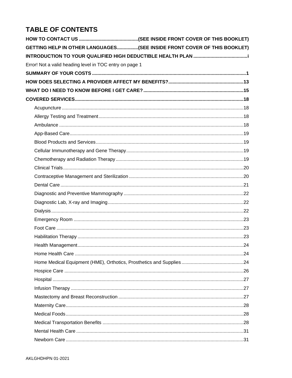# **TABLE OF CONTENTS**

|                                                         | GETTING HELP IN OTHER LANGUAGES(SEE INSIDE FRONT COVER OF THIS BOOKLET) |
|---------------------------------------------------------|-------------------------------------------------------------------------|
|                                                         |                                                                         |
| Error! Not a valid heading level in TOC entry on page 1 |                                                                         |
|                                                         |                                                                         |
|                                                         |                                                                         |
|                                                         |                                                                         |
|                                                         |                                                                         |
|                                                         |                                                                         |
|                                                         |                                                                         |
|                                                         |                                                                         |
|                                                         |                                                                         |
|                                                         |                                                                         |
|                                                         |                                                                         |
|                                                         |                                                                         |
|                                                         |                                                                         |
|                                                         |                                                                         |
|                                                         |                                                                         |
|                                                         |                                                                         |
|                                                         |                                                                         |
|                                                         |                                                                         |
|                                                         |                                                                         |
|                                                         |                                                                         |
|                                                         |                                                                         |
|                                                         |                                                                         |
|                                                         |                                                                         |
|                                                         |                                                                         |
|                                                         |                                                                         |
|                                                         |                                                                         |
|                                                         |                                                                         |
|                                                         |                                                                         |
|                                                         |                                                                         |
|                                                         |                                                                         |
|                                                         |                                                                         |
|                                                         |                                                                         |
|                                                         |                                                                         |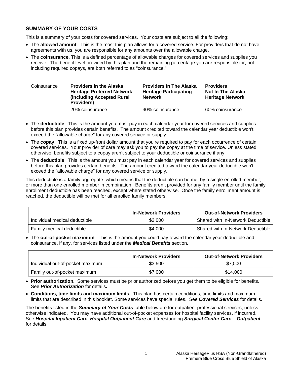# <span id="page-7-0"></span>**SUMMARY OF YOUR COSTS**

This is a summary of your costs for covered services. Your costs are subject to all the following:

- The **allowed amount**. This is the most this plan allows for a covered service. For providers that do not have agreements with us, you are responsible for any amounts over the allowable charge.
- The **coinsurance**. This is a defined percentage of allowable charges for covered services and supplies you receive. The benefit level provided by this plan and the remaining percentage you are responsible for, not including required copays, are both referred to as "coinsurance."

| Coinsurance | <b>Providers in the Alaska</b><br><b>Heritage Preferred Network</b><br>(including Accepted Rural)<br><b>Providers)</b> | <b>Providers In The Alaska</b><br><b>Heritage Participating</b><br><b>Network</b> | <b>Providers</b><br><b>Not In The Alaska</b><br><b>Heritage Network</b> |
|-------------|------------------------------------------------------------------------------------------------------------------------|-----------------------------------------------------------------------------------|-------------------------------------------------------------------------|
|             | 20% coinsurance                                                                                                        | 40% coinsurance                                                                   | 60% coinsurance                                                         |

- The **deductible**. This is the amount you must pay in each calendar year for covered services and supplies before this plan provides certain benefits. The amount credited toward the calendar year deductible won't exceed the "allowable charge" for any covered service or supply.
- The **copay**. This is a fixed up-front dollar amount that you're required to pay for each occurrence of certain covered services. Your provider of care may ask you to pay the copay at the time of service. Unless stated otherwise, benefits subject to a copay aren't subject to your deductible or coinsurance if any.
- The **deductible**. This is the amount you must pay in each calendar year for covered services and supplies before this plan provides certain benefits. The amount credited toward the calendar year deductible won't exceed the "allowable charge" for any covered service or supply.

This deductible is a family aggregate, which means that the deductible can be met by a single enrolled member, or more than one enrolled member in combination. Benefits aren't provided for any family member until the family enrollment deductible has been reached, except where stated otherwise. Once the family enrollment amount is reached, the deductible will be met for all enrolled family members.

|                               | <b>In-Network Providers</b> | <b>Out-of-Network Providers</b>   |
|-------------------------------|-----------------------------|-----------------------------------|
| Individual medical deductible | \$2,000                     | Shared with In-Network Deductible |
| Family medical deductible     | \$4,000                     | Shared with In-Network Deductible |

• The **out-of-pocket maximum**. This is the amount you could pay toward the calendar year deductible and coinsurance, if any, for services listed under the *Medical Benefits* section.

|                                  | <b>In-Network Providers</b> | <b>Out-of-Network Providers</b> |
|----------------------------------|-----------------------------|---------------------------------|
| Individual out-of-pocket maximum | \$3,500                     | \$7,000                         |
| Family out-of-pocket maximum     | \$7,000                     | \$14,000                        |

- **Prior authorization.** Some services must be prior authorized before you get them to be eligible for benefits. See *Prior Authorization* for details*.*
- **Conditions, time limits and maximum limits.** This plan has certain conditions, time limits and maximum limits that are described in this booklet. Some services have special rules. See *Covered Services* for details.

The benefits listed in the *Summary of Your Costs* table below are for outpatient professional services, unless otherwise indicated. You may have additional out-of-pocket expenses for hospital facility services, if incurred. See *Hospital Inpatient Care*, *Hospital Outpatient Care* and freestanding *Surgical Center Care – Outpatient* for details.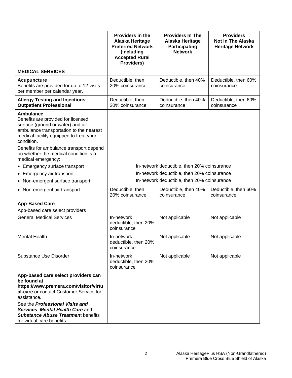|                                                                                                                                                                                                                                                                                                                                            | <b>Providers in the</b><br>Alaska Heritage<br><b>Preferred Network</b><br>(including<br><b>Accepted Rural</b><br>Providers) | <b>Providers In The</b><br>Alaska Heritage<br><b>Participating</b><br><b>Network</b> | <b>Providers</b><br><b>Not In The Alaska</b><br><b>Heritage Network</b> |
|--------------------------------------------------------------------------------------------------------------------------------------------------------------------------------------------------------------------------------------------------------------------------------------------------------------------------------------------|-----------------------------------------------------------------------------------------------------------------------------|--------------------------------------------------------------------------------------|-------------------------------------------------------------------------|
| <b>MEDICAL SERVICES</b>                                                                                                                                                                                                                                                                                                                    |                                                                                                                             |                                                                                      |                                                                         |
| <b>Acupuncture</b><br>Benefits are provided for up to 12 visits<br>per member per calendar year.                                                                                                                                                                                                                                           | Deductible, then<br>20% coinsurance                                                                                         | Deductible, then 40%<br>coinsurance                                                  | Deductible, then 60%<br>coinsurance                                     |
| Allergy Testing and Injections -<br><b>Outpatient Professional</b>                                                                                                                                                                                                                                                                         | Deductible, then<br>20% coinsurance                                                                                         | Deductible, then 40%<br>coinsurance                                                  | Deductible, then 60%<br>coinsurance                                     |
| <b>Ambulance</b><br>Benefits are provided for licensed<br>surface (ground or water) and air<br>ambulance transportation to the nearest<br>medical facility equipped to treat your<br>condition.<br>Benefits for ambulance transport depend<br>on whether the medical condition is a<br>medical emergency:<br>• Emergency surface transport |                                                                                                                             | In-network deductible, then 20% coinsurance                                          |                                                                         |
| • Emergency air transport                                                                                                                                                                                                                                                                                                                  |                                                                                                                             | In-network deductible, then 20% coinsurance                                          |                                                                         |
| • Non-emergent surface transport                                                                                                                                                                                                                                                                                                           |                                                                                                                             | In-network deductible, then 20% coinsurance                                          |                                                                         |
| • Non-emergent air transport                                                                                                                                                                                                                                                                                                               | Deductible, then<br>20% coinsurance                                                                                         | Deductible, then 40%<br>coinsurance                                                  | Deductible, then 60%<br>coinsurance                                     |
| <b>App-Based Care</b>                                                                                                                                                                                                                                                                                                                      |                                                                                                                             |                                                                                      |                                                                         |
| App-based care select providers                                                                                                                                                                                                                                                                                                            |                                                                                                                             |                                                                                      |                                                                         |
| <b>General Medical Services</b>                                                                                                                                                                                                                                                                                                            | In-network<br>deductible, then 20%<br>coinsurance                                                                           | Not applicable                                                                       | Not applicable                                                          |
| <b>Mental Health</b>                                                                                                                                                                                                                                                                                                                       | In-network<br>deductible, then 20%<br>coinsurance                                                                           | Not applicable                                                                       | Not applicable                                                          |
| <b>Substance Use Disorder</b>                                                                                                                                                                                                                                                                                                              | In-network<br>deductible, then 20%<br>coinsurance                                                                           | Not applicable                                                                       | Not applicable                                                          |
| App-based care select providers can<br>be found at<br>https://www.premera.com/visitor/virtu<br>al-care or contact Customer Service for<br>assistance.<br>See the Professional Visits and<br>Services, Mental Health Care and<br><b>Substance Abuse Treatment benefits</b><br>for virtual care benefits.                                    |                                                                                                                             |                                                                                      |                                                                         |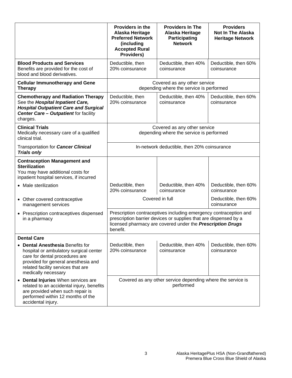|                                                                                                                                                                                                                       | <b>Providers in the</b><br>Alaska Heritage<br><b>Preferred Network</b><br>(including<br><b>Accepted Rural</b><br>Providers)                                                                                     | <b>Providers In The</b><br>Alaska Heritage<br>Participating<br><b>Network</b> | <b>Providers</b><br><b>Not In The Alaska</b><br><b>Heritage Network</b> |
|-----------------------------------------------------------------------------------------------------------------------------------------------------------------------------------------------------------------------|-----------------------------------------------------------------------------------------------------------------------------------------------------------------------------------------------------------------|-------------------------------------------------------------------------------|-------------------------------------------------------------------------|
| <b>Blood Products and Services</b><br>Benefits are provided for the cost of<br>blood and blood derivatives.                                                                                                           | Deductible, then<br>20% coinsurance                                                                                                                                                                             | Deductible, then 40%<br>coinsurance                                           | Deductible, then 60%<br>coinsurance                                     |
| <b>Cellular Immunotherapy and Gene</b><br><b>Therapy</b>                                                                                                                                                              |                                                                                                                                                                                                                 | Covered as any other service<br>depending where the service is performed      |                                                                         |
| <b>Chemotherapy and Radiation Therapy</b><br>See the Hospital Inpatient Care,<br><b>Hospital Outpatient Care and Surgical</b><br><b>Center Care - Outpatient for facility</b><br>charges.                             | Deductible, then<br>20% coinsurance                                                                                                                                                                             | Deductible, then 40%<br>coinsurance                                           | Deductible, then 60%<br>coinsurance                                     |
| <b>Clinical Trials</b><br>Medically necessary care of a qualified<br>clinical trial.                                                                                                                                  | Covered as any other service<br>depending where the service is performed                                                                                                                                        |                                                                               |                                                                         |
| Transportation for <b>Cancer Clinical</b><br><b>Trials only</b>                                                                                                                                                       | In-network deductible, then 20% coinsurance                                                                                                                                                                     |                                                                               |                                                                         |
| <b>Contraception Management and</b><br><b>Sterilization</b><br>You may have additional costs for<br>inpatient hospital services, if incurred                                                                          |                                                                                                                                                                                                                 |                                                                               |                                                                         |
| • Male sterilization                                                                                                                                                                                                  | Deductible, then<br>20% coinsurance                                                                                                                                                                             | Deductible, then 40%<br>coinsurance                                           | Deductible, then 60%<br>coinsurance                                     |
| • Other covered contraceptive<br>management services                                                                                                                                                                  |                                                                                                                                                                                                                 | Covered in full                                                               | Deductible, then 60%<br>coinsurance                                     |
| • Prescription contraceptives dispensed<br>in a pharmacy                                                                                                                                                              | Prescription contraceptives including emergency contraception and<br>prescription barrier devices or supplies that are dispensed by a<br>licensed pharmacy are covered under the Prescription Drugs<br>benefit. |                                                                               |                                                                         |
| <b>Dental Care</b>                                                                                                                                                                                                    |                                                                                                                                                                                                                 |                                                                               |                                                                         |
| <b>Dental Anesthesia Benefits for</b><br>hospital or ambulatory surgical center<br>care for dental procedures are<br>provided for general anesthesia and<br>related facility services that are<br>medically necessary | Deductible, then<br>20% coinsurance                                                                                                                                                                             | Deductible, then 40%<br>coinsurance                                           | Deductible, then 60%<br>coinsurance                                     |
| Dental Injuries When services are<br>٠<br>related to an accidental injury, benefits<br>are provided when such repair is<br>performed within 12 months of the<br>accidental injury.                                    |                                                                                                                                                                                                                 | Covered as any other service depending where the service is<br>performed      |                                                                         |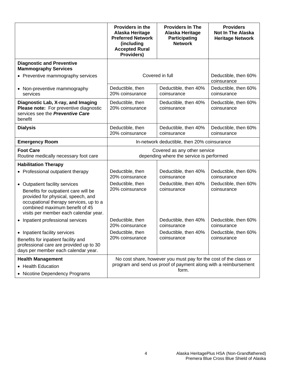|                                                                                                                                                                                          | Providers in the<br>Alaska Heritage<br><b>Preferred Network</b><br>(including<br><b>Accepted Rural</b><br>Providers) | <b>Providers In The</b><br>Alaska Heritage<br><b>Participating</b><br><b>Network</b>                                                         | <b>Providers</b><br><b>Not In The Alaska</b><br><b>Heritage Network</b> |
|------------------------------------------------------------------------------------------------------------------------------------------------------------------------------------------|----------------------------------------------------------------------------------------------------------------------|----------------------------------------------------------------------------------------------------------------------------------------------|-------------------------------------------------------------------------|
| <b>Diagnostic and Preventive</b><br><b>Mammography Services</b>                                                                                                                          |                                                                                                                      |                                                                                                                                              |                                                                         |
| • Preventive mammography services                                                                                                                                                        |                                                                                                                      | Covered in full                                                                                                                              | Deductible, then 60%<br>coinsurance                                     |
| • Non-preventive mammography<br>services                                                                                                                                                 | Deductible, then<br>20% coinsurance                                                                                  | Deductible, then 40%<br>coinsurance                                                                                                          | Deductible, then 60%<br>coinsurance                                     |
| Diagnostic Lab, X-ray, and Imaging<br>Please note: For preventive diagnostic<br>services see the Preventive Care<br>benefit                                                              | Deductible, then<br>20% coinsurance                                                                                  | Deductible, then 40%<br>coinsurance                                                                                                          | Deductible, then 60%<br>coinsurance                                     |
| <b>Dialysis</b>                                                                                                                                                                          | Deductible, then<br>20% coinsurance                                                                                  | Deductible, then 40%<br>coinsurance                                                                                                          | Deductible, then 60%<br>coinsurance                                     |
| <b>Emergency Room</b>                                                                                                                                                                    |                                                                                                                      | In-network deductible, then 20% coinsurance                                                                                                  |                                                                         |
| <b>Foot Care</b><br>Routine medically necessary foot care                                                                                                                                |                                                                                                                      | Covered as any other service<br>depending where the service is performed                                                                     |                                                                         |
| <b>Habilitation Therapy</b>                                                                                                                                                              |                                                                                                                      |                                                                                                                                              |                                                                         |
| • Professional outpatient therapy                                                                                                                                                        | Deductible, then<br>20% coinsurance                                                                                  | Deductible, then 40%<br>coinsurance                                                                                                          | Deductible, then 60%<br>coinsurance                                     |
| • Outpatient facility services<br>Benefits for outpatient care will be<br>provided for physical, speech, and<br>occupational therapy services, up to a<br>combined maximum benefit of 45 | Deductible, then<br>20% coinsurance                                                                                  | Deductible, then 40%<br>coinsurance                                                                                                          | Deductible, then 60%<br>coinsurance                                     |
| visits per member each calendar year.<br>• Inpatient professional services                                                                                                               | Deductible, then<br>20% coinsurance                                                                                  | Deductible, then 40%<br>coinsurance                                                                                                          | Deductible, then 60%<br>coinsurance                                     |
| • Inpatient facility services<br>Benefits for inpatient facility and<br>professional care are provided up to 30<br>days per member each calendar year.                                   | Deductible, then<br>20% coinsurance                                                                                  | Deductible, then 40%<br>coinsurance                                                                                                          | Deductible, then 60%<br>coinsurance                                     |
| <b>Health Management</b><br>• Health Education<br>• Nicotine Dependency Programs                                                                                                         |                                                                                                                      | No cost share, however you must pay for the cost of the class or<br>program and send us proof of payment along with a reimbursement<br>form. |                                                                         |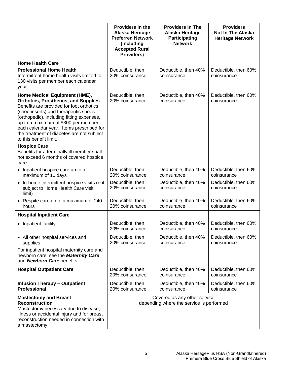|                                                                                                                                                                                                                                                                                                                                                                         | <b>Providers in the</b><br>Alaska Heritage<br><b>Preferred Network</b><br>(including<br><b>Accepted Rural</b><br>Providers) | <b>Providers In The</b><br>Alaska Heritage<br><b>Participating</b><br><b>Network</b> | <b>Providers</b><br><b>Not In The Alaska</b><br><b>Heritage Network</b> |
|-------------------------------------------------------------------------------------------------------------------------------------------------------------------------------------------------------------------------------------------------------------------------------------------------------------------------------------------------------------------------|-----------------------------------------------------------------------------------------------------------------------------|--------------------------------------------------------------------------------------|-------------------------------------------------------------------------|
| <b>Home Health Care</b>                                                                                                                                                                                                                                                                                                                                                 |                                                                                                                             |                                                                                      |                                                                         |
| <b>Professional Home Health</b><br>Intermittent home health visits limited to<br>130 visits per member each calendar<br>year                                                                                                                                                                                                                                            | Deductible, then<br>20% coinsurance                                                                                         | Deductible, then 40%<br>coinsurance                                                  | Deductible, then 60%<br>coinsurance                                     |
| Home Medical Equipment (HME),<br><b>Orthotics, Prosthetics, and Supplies</b><br>Benefits are provided for foot orthotics<br>(shoe inserts) and therapeutic shoes<br>(orthopedic), including fitting expenses,<br>up to a maximum of \$300 per member<br>each calendar year. Items prescribed for<br>the treatment of diabetes are not subject<br>to this benefit limit. | Deductible, then<br>20% coinsurance                                                                                         | Deductible, then 40%<br>coinsurance                                                  | Deductible, then 60%<br>coinsurance                                     |
| <b>Hospice Care</b><br>Benefits for a terminally ill member shall<br>not exceed 6 months of covered hospice<br>care                                                                                                                                                                                                                                                     |                                                                                                                             |                                                                                      |                                                                         |
| • Inpatient hospice care up to a<br>maximum of 10 days                                                                                                                                                                                                                                                                                                                  | Deductible, then<br>20% coinsurance                                                                                         | Deductible, then 40%<br>coinsurance                                                  | Deductible, then 60%<br>coinsurance                                     |
| • In-home intermittent hospice visits (not<br>subject to Home Health Care visit<br>limit)                                                                                                                                                                                                                                                                               | Deductible, then<br>20% coinsurance                                                                                         | Deductible, then 40%<br>coinsurance                                                  | Deductible, then 60%<br>coinsurance                                     |
| • Respite care up to a maximum of 240<br>hours                                                                                                                                                                                                                                                                                                                          | Deductible, then<br>20% coinsurance                                                                                         | Deductible, then 40%<br>coinsurance                                                  | Deductible, then 60%<br>coinsurance                                     |
| <b>Hospital Inpatient Care</b>                                                                                                                                                                                                                                                                                                                                          |                                                                                                                             |                                                                                      |                                                                         |
| • Inpatient facility                                                                                                                                                                                                                                                                                                                                                    | Deductible, then<br>20% coinsurance                                                                                         | Deductible, then 40%<br>coinsurance                                                  | Deductible, then 60%<br>coinsurance                                     |
| • All other hospital services and<br>supplies                                                                                                                                                                                                                                                                                                                           | Deductible, then<br>20% coinsurance                                                                                         | Deductible, then 40%<br>coinsurance                                                  | Deductible, then 60%<br>coinsurance                                     |
| For inpatient hospital maternity care and<br>newborn care, see the Maternity Care<br>and <b>Newborn Care</b> benefits.                                                                                                                                                                                                                                                  |                                                                                                                             |                                                                                      |                                                                         |
| <b>Hospital Outpatient Care</b>                                                                                                                                                                                                                                                                                                                                         | Deductible, then<br>20% coinsurance                                                                                         | Deductible, then 40%<br>coinsurance                                                  | Deductible, then 60%<br>coinsurance                                     |
| <b>Infusion Therapy - Outpatient</b><br><b>Professional</b>                                                                                                                                                                                                                                                                                                             | Deductible, then<br>20% coinsurance                                                                                         | Deductible, then 40%<br>coinsurance                                                  | Deductible, then 60%<br>coinsurance                                     |
| <b>Mastectomy and Breast</b><br><b>Reconstruction</b><br>Mastectomy necessary due to disease,<br>illness or accidental injury and for breast<br>reconstruction needed in connection with<br>a mastectomy.                                                                                                                                                               |                                                                                                                             | Covered as any other service<br>depending where the service is performed             |                                                                         |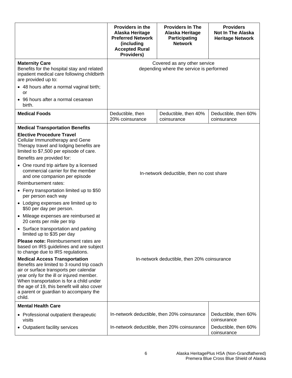|                                                                                                                                                                                                                                                                                                                                                                                                                                                                                                                                                                                                   | Providers in the<br>Alaska Heritage<br><b>Preferred Network</b><br>(including<br><b>Accepted Rural</b><br>Providers) | <b>Providers In The</b><br>Alaska Heritage<br><b>Participating</b><br><b>Network</b> | <b>Providers</b><br><b>Not In The Alaska</b><br><b>Heritage Network</b> |
|---------------------------------------------------------------------------------------------------------------------------------------------------------------------------------------------------------------------------------------------------------------------------------------------------------------------------------------------------------------------------------------------------------------------------------------------------------------------------------------------------------------------------------------------------------------------------------------------------|----------------------------------------------------------------------------------------------------------------------|--------------------------------------------------------------------------------------|-------------------------------------------------------------------------|
| <b>Maternity Care</b><br>Benefits for the hospital stay and related<br>inpatient medical care following childbirth<br>are provided up to:<br>• 48 hours after a normal vaginal birth;                                                                                                                                                                                                                                                                                                                                                                                                             | Covered as any other service<br>depending where the service is performed                                             |                                                                                      |                                                                         |
| or<br>• 96 hours after a normal cesarean<br>birth.                                                                                                                                                                                                                                                                                                                                                                                                                                                                                                                                                |                                                                                                                      |                                                                                      |                                                                         |
| <b>Medical Foods</b>                                                                                                                                                                                                                                                                                                                                                                                                                                                                                                                                                                              | Deductible, then<br>20% coinsurance                                                                                  | Deductible, then 40%<br>coinsurance                                                  | Deductible, then 60%<br>coinsurance                                     |
| <b>Medical Transportation Benefits</b><br><b>Elective Procedure Travel</b><br>Cellular Immunotherapy and Gene<br>Therapy travel and lodging benefits are<br>limited to \$7,500 per episode of care.<br>Benefits are provided for:<br>• One round trip airfare by a licensed<br>commercial carrier for the member<br>and one companion per episode<br>Reimbursement rates:<br>• Ferry transportation limited up to \$50<br>per person each way<br>• Lodging expenses are limited up to<br>\$50 per day per person.                                                                                 | In-network deductible, then no cost share                                                                            |                                                                                      |                                                                         |
| • Mileage expenses are reimbursed at<br>20 cents per mile per trip<br>• Surface transportation and parking<br>limited up to \$35 per day<br><b>Please note:</b> Reimbursement rates are<br>based on IRS guidelines and are subject<br>to change due to IRS regulations.<br><b>Medical Access Transportation</b><br>Benefits are limited to 3 round trip coach<br>air or surface transports per calendar<br>year only for the ill or injured member.<br>When transportation is for a child under<br>the age of 19, this benefit will also cover<br>a parent or guardian to accompany the<br>child. | In-network deductible, then 20% coinsurance                                                                          |                                                                                      |                                                                         |
| <b>Mental Health Care</b><br>• Professional outpatient therapeutic<br>visits                                                                                                                                                                                                                                                                                                                                                                                                                                                                                                                      |                                                                                                                      | In-network deductible, then 20% coinsurance                                          | Deductible, then 60%<br>coinsurance                                     |
| • Outpatient facility services                                                                                                                                                                                                                                                                                                                                                                                                                                                                                                                                                                    |                                                                                                                      | In-network deductible, then 20% coinsurance                                          | Deductible, then 60%<br>coinsurance                                     |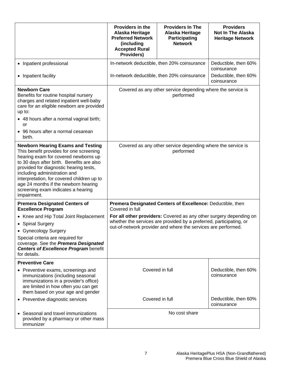|                                                                                                                                                                                                                                                                                                                                                                                               | Providers in the<br>Alaska Heritage<br><b>Preferred Network</b><br>(including<br><b>Accepted Rural</b><br>Providers)                                                                                       | <b>Providers In The</b><br>Alaska Heritage<br><b>Participating</b><br><b>Network</b> | <b>Providers</b><br>Not In The Alaska<br><b>Heritage Network</b> |
|-----------------------------------------------------------------------------------------------------------------------------------------------------------------------------------------------------------------------------------------------------------------------------------------------------------------------------------------------------------------------------------------------|------------------------------------------------------------------------------------------------------------------------------------------------------------------------------------------------------------|--------------------------------------------------------------------------------------|------------------------------------------------------------------|
| • Inpatient professional                                                                                                                                                                                                                                                                                                                                                                      | In-network deductible, then 20% coinsurance                                                                                                                                                                |                                                                                      | Deductible, then 60%<br>coinsurance                              |
| • Inpatient facility                                                                                                                                                                                                                                                                                                                                                                          |                                                                                                                                                                                                            | In-network deductible, then 20% coinsurance                                          | Deductible, then 60%<br>coinsurance                              |
| <b>Newborn Care</b><br>Benefits for routine hospital nursery<br>charges and related inpatient well-baby<br>care for an eligible newborn are provided<br>up to:<br>• 48 hours after a normal vaginal birth;<br>or<br>• 96 hours after a normal cesarean<br>birth.                                                                                                                              |                                                                                                                                                                                                            | Covered as any other service depending where the service is<br>performed             |                                                                  |
| <b>Newborn Hearing Exams and Testing</b><br>This benefit provides for one screening<br>hearing exam for covered newborns up<br>to 30 days after birth. Benefits are also<br>provided for diagnostic hearing tests,<br>including administration and<br>interpretation, for covered children up to<br>age 24 months if the newborn hearing<br>screening exam indicates a hearing<br>impairment. |                                                                                                                                                                                                            | Covered as any other service depending where the service is<br>performed             |                                                                  |
| <b>Premera Designated Centers of</b><br><b>Excellence Program</b>                                                                                                                                                                                                                                                                                                                             | Premera Designated Centers of Excellence: Deductible, then<br>Covered in full                                                                                                                              |                                                                                      |                                                                  |
| • Knee and Hip Total Joint Replacement<br>• Spinal Surgery<br>• Gynecology Surgery<br>Special criteria are required for<br>coverage. See the Premera Designated<br><b>Centers of Excellence Program benefit</b><br>for details.                                                                                                                                                               | For all other providers: Covered as any other surgery depending on<br>whether the services are provided by a preferred, participating, or<br>out-of-network provider and where the services are performed. |                                                                                      |                                                                  |
| <b>Preventive Care</b><br>• Preventive exams, screenings and<br>immunizations (including seasonal<br>immunizations in a provider's office)<br>are limited in how often you can get<br>them based on your age and gender                                                                                                                                                                       |                                                                                                                                                                                                            | Covered in full                                                                      | Deductible, then 60%<br>coinsurance                              |
| • Preventive diagnostic services                                                                                                                                                                                                                                                                                                                                                              |                                                                                                                                                                                                            | Covered in full                                                                      | Deductible, then 60%<br>coinsurance                              |
| • Seasonal and travel immunizations<br>provided by a pharmacy or other mass<br>immunizer                                                                                                                                                                                                                                                                                                      | No cost share                                                                                                                                                                                              |                                                                                      |                                                                  |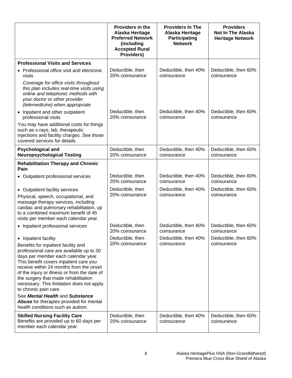|                                                                                                                                                                                                                                                                                                                                                                           | <b>Providers in the</b><br>Alaska Heritage<br><b>Preferred Network</b><br>(including<br><b>Accepted Rural</b><br>Providers) | <b>Providers In The</b><br>Alaska Heritage<br><b>Participating</b><br><b>Network</b> | <b>Providers</b><br><b>Not In The Alaska</b><br><b>Heritage Network</b> |  |
|---------------------------------------------------------------------------------------------------------------------------------------------------------------------------------------------------------------------------------------------------------------------------------------------------------------------------------------------------------------------------|-----------------------------------------------------------------------------------------------------------------------------|--------------------------------------------------------------------------------------|-------------------------------------------------------------------------|--|
| <b>Professional Visits and Services</b>                                                                                                                                                                                                                                                                                                                                   |                                                                                                                             |                                                                                      |                                                                         |  |
| • Professional office visit and electronic<br>visits                                                                                                                                                                                                                                                                                                                      | Deductible, then<br>20% coinsurance                                                                                         | Deductible, then 40%<br>coinsurance                                                  | Deductible, then 60%<br>coinsurance                                     |  |
| Coverage for office visits throughout<br>this plan includes real-time visits using<br>online and telephonic methods with<br>your doctor or other provider<br>(telemedicine) when appropriate                                                                                                                                                                              |                                                                                                                             |                                                                                      |                                                                         |  |
| • Inpatient and other outpatient<br>professional visits                                                                                                                                                                                                                                                                                                                   | Deductible, then<br>20% coinsurance                                                                                         | Deductible, then 40%<br>coinsurance                                                  | Deductible, then 60%<br>coinsurance                                     |  |
| You may have additional costs for things<br>such as x-rays, lab, therapeutic<br>injections and facility charges. See those<br>covered services for details.                                                                                                                                                                                                               |                                                                                                                             |                                                                                      |                                                                         |  |
| <b>Psychological and</b><br><b>Neuropsychological Testing</b>                                                                                                                                                                                                                                                                                                             | Deductible, then<br>20% coinsurance                                                                                         | Deductible, then 40%<br>coinsurance                                                  | Deductible, then 60%<br>coinsurance                                     |  |
| <b>Rehabilitation Therapy and Chronic</b><br>Pain                                                                                                                                                                                                                                                                                                                         |                                                                                                                             |                                                                                      |                                                                         |  |
| • Outpatient professional services                                                                                                                                                                                                                                                                                                                                        | Deductible, then<br>20% coinsurance                                                                                         | Deductible, then 40%<br>coinsurance                                                  | Deductible, then 60%<br>coinsurance                                     |  |
| • Outpatient facility services                                                                                                                                                                                                                                                                                                                                            | Deductible, then                                                                                                            | Deductible, then 40%                                                                 | Deductible, then 60%                                                    |  |
| Physical, speech, occupational, and<br>massage therapy services, including<br>cardiac and pulmonary rehabilitation, up<br>to a combined maximum benefit of 45<br>visits per member each calendar year.                                                                                                                                                                    | 20% coinsurance                                                                                                             | coinsurance                                                                          | coinsurance                                                             |  |
| • Inpatient professional services                                                                                                                                                                                                                                                                                                                                         | Deductible, then<br>20% coinsurance                                                                                         | Deductible, then 40%<br>coinsurance                                                  | Deductible, then 60%<br>coinsurance                                     |  |
| • Inpatient facility                                                                                                                                                                                                                                                                                                                                                      | Deductible, then<br>20% coinsurance                                                                                         | Deductible, then 40%<br>coinsurance                                                  | Deductible, then 60%<br>coinsurance                                     |  |
| Benefits for inpatient facility and<br>professional care are available up to 30<br>days per member each calendar year.<br>This benefit covers Inpatient care you<br>receive within 24 months from the onset<br>of the injury or illness or from the date of<br>the surgery that made rehabilitation<br>necessary. This limitation does not apply<br>to chronic pain care. |                                                                                                                             |                                                                                      |                                                                         |  |
| See Mental Health and Substance<br>Abuse for therapies provided for mental<br>health conditions such as autism.                                                                                                                                                                                                                                                           |                                                                                                                             |                                                                                      |                                                                         |  |
| <b>Skilled Nursing Facility Care</b><br>Benefits are provided up to 60 days per<br>member each calendar year.                                                                                                                                                                                                                                                             | Deductible, then<br>20% coinsurance                                                                                         | Deductible, then 40%<br>coinsurance                                                  | Deductible, then 60%<br>coinsurance                                     |  |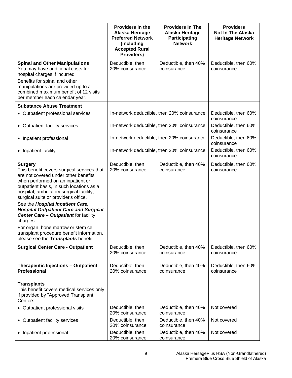|                                                                                                                                                                                                                                                                                                                                                                                                                                                                                                                                                     | <b>Providers in the</b><br>Alaska Heritage<br><b>Preferred Network</b><br>(including<br><b>Accepted Rural</b><br>Providers) | <b>Providers In The</b><br>Alaska Heritage<br><b>Participating</b><br><b>Network</b> | <b>Providers</b><br><b>Not In The Alaska</b><br><b>Heritage Network</b> |
|-----------------------------------------------------------------------------------------------------------------------------------------------------------------------------------------------------------------------------------------------------------------------------------------------------------------------------------------------------------------------------------------------------------------------------------------------------------------------------------------------------------------------------------------------------|-----------------------------------------------------------------------------------------------------------------------------|--------------------------------------------------------------------------------------|-------------------------------------------------------------------------|
| <b>Spinal and Other Manipulations</b><br>You may have additional costs for<br>hospital charges if incurred<br>Benefits for spinal and other<br>manipulations are provided up to a<br>combined maximum benefit of 12 visits<br>per member each calendar year.                                                                                                                                                                                                                                                                                        | Deductible, then<br>20% coinsurance                                                                                         | Deductible, then 40%<br>coinsurance                                                  | Deductible, then 60%<br>coinsurance                                     |
| <b>Substance Abuse Treatment</b>                                                                                                                                                                                                                                                                                                                                                                                                                                                                                                                    |                                                                                                                             |                                                                                      |                                                                         |
| • Outpatient professional services                                                                                                                                                                                                                                                                                                                                                                                                                                                                                                                  | In-network deductible, then 20% coinsurance                                                                                 |                                                                                      | Deductible, then 60%<br>coinsurance                                     |
| • Outpatient facility services                                                                                                                                                                                                                                                                                                                                                                                                                                                                                                                      | In-network deductible, then 20% coinsurance                                                                                 |                                                                                      | Deductible, then 60%<br>coinsurance                                     |
| • Inpatient professional                                                                                                                                                                                                                                                                                                                                                                                                                                                                                                                            | In-network deductible, then 20% coinsurance                                                                                 |                                                                                      | Deductible, then 60%<br>coinsurance                                     |
| • Inpatient facility                                                                                                                                                                                                                                                                                                                                                                                                                                                                                                                                | In-network deductible, then 20% coinsurance                                                                                 |                                                                                      | Deductible, then 60%<br>coinsurance                                     |
| <b>Surgery</b><br>This benefit covers surgical services that<br>are not covered under other benefits<br>when performed on an inpatient or<br>outpatient basis, in such locations as a<br>hospital, ambulatory surgical facility,<br>surgical suite or provider's office.<br>See the Hospital Inpatient Care,<br><b>Hospital Outpatient Care and Surgical</b><br><b>Center Care - Outpatient for facility</b><br>charges.<br>For organ, bone marrow or stem cell<br>transplant procedure benefit information,<br>please see the Transplants benefit. | Deductible, then<br>20% coinsurance                                                                                         | Deductible, then 40%<br>coinsurance                                                  | Deductible, then 60%<br>coinsurance                                     |
| <b>Surgical Center Care - Outpatient</b>                                                                                                                                                                                                                                                                                                                                                                                                                                                                                                            | Deductible, then<br>20% coinsurance                                                                                         | Deductible, then 40%<br>coinsurance                                                  | Deductible, then 60%<br>coinsurance                                     |
| <b>Therapeutic Injections - Outpatient</b><br><b>Professional</b>                                                                                                                                                                                                                                                                                                                                                                                                                                                                                   | Deductible, then<br>20% coinsurance                                                                                         | Deductible, then 40%<br>coinsurance                                                  | Deductible, then 60%<br>coinsurance                                     |
| <b>Transplants</b><br>This benefit covers medical services only<br>if provided by "Approved Transplant<br>Centers."                                                                                                                                                                                                                                                                                                                                                                                                                                 |                                                                                                                             |                                                                                      |                                                                         |
| • Outpatient professional visits                                                                                                                                                                                                                                                                                                                                                                                                                                                                                                                    | Deductible, then<br>20% coinsurance                                                                                         | Deductible, then 40%<br>coinsurance                                                  | Not covered                                                             |
| • Outpatient facility services                                                                                                                                                                                                                                                                                                                                                                                                                                                                                                                      | Deductible, then<br>20% coinsurance                                                                                         | Deductible, then 40%<br>coinsurance                                                  | Not covered                                                             |
| • Inpatient professional                                                                                                                                                                                                                                                                                                                                                                                                                                                                                                                            | Deductible, then<br>20% coinsurance                                                                                         | Deductible, then 40%<br>coinsurance                                                  | Not covered                                                             |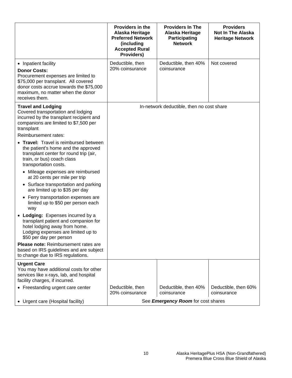|                                                                                                                                                                                                                                                                                                                                                                                                                                                                                                                                                                                                                                                                                                                                                                                                                                                                                           | Providers in the<br>Alaska Heritage<br><b>Preferred Network</b><br>(including<br><b>Accepted Rural</b><br>Providers) | <b>Providers In The</b><br>Alaska Heritage<br><b>Participating</b><br><b>Network</b> | <b>Providers</b><br><b>Not In The Alaska</b><br><b>Heritage Network</b> |
|-------------------------------------------------------------------------------------------------------------------------------------------------------------------------------------------------------------------------------------------------------------------------------------------------------------------------------------------------------------------------------------------------------------------------------------------------------------------------------------------------------------------------------------------------------------------------------------------------------------------------------------------------------------------------------------------------------------------------------------------------------------------------------------------------------------------------------------------------------------------------------------------|----------------------------------------------------------------------------------------------------------------------|--------------------------------------------------------------------------------------|-------------------------------------------------------------------------|
| • Inpatient facility<br><b>Donor Costs:</b><br>Procurement expenses are limited to<br>\$75,000 per transplant. All covered<br>donor costs accrue towards the \$75,000<br>maximum, no matter when the donor<br>receives them.                                                                                                                                                                                                                                                                                                                                                                                                                                                                                                                                                                                                                                                              | Deductible, then<br>20% coinsurance                                                                                  | Deductible, then 40%<br>coinsurance                                                  | Not covered                                                             |
| <b>Travel and Lodging</b><br>Covered transportation and lodging<br>incurred by the transplant recipient and<br>companions are limited to \$7,500 per<br>transplant<br>Reimbursement rates:<br>• Travel: Travel is reimbursed between<br>the patient's home and the approved<br>transplant center for round trip (air,<br>train, or bus) coach class<br>transportation costs.<br>• Mileage expenses are reimbursed<br>at 20 cents per mile per trip<br>• Surface transportation and parking<br>are limited up to \$35 per day<br>• Ferry transportation expenses are<br>limited up to \$50 per person each<br>way<br>• Lodging: Expenses incurred by a<br>transplant patient and companion for<br>hotel lodging away from home.<br>Lodging expenses are limited up to<br>\$50 per day per person<br><b>Please note:</b> Reimbursement rates are<br>based on IRS guidelines and are subject |                                                                                                                      | In-network deductible, then no cost share                                            |                                                                         |
| to change due to IRS regulations.                                                                                                                                                                                                                                                                                                                                                                                                                                                                                                                                                                                                                                                                                                                                                                                                                                                         |                                                                                                                      |                                                                                      |                                                                         |
| <b>Urgent Care</b><br>You may have additional costs for other<br>services like x-rays, lab, and hospital<br>facility charges, if incurred.<br>• Freestanding urgent care center                                                                                                                                                                                                                                                                                                                                                                                                                                                                                                                                                                                                                                                                                                           | Deductible, then                                                                                                     | Deductible, then 40%                                                                 | Deductible, then 60%                                                    |
|                                                                                                                                                                                                                                                                                                                                                                                                                                                                                                                                                                                                                                                                                                                                                                                                                                                                                           | 20% coinsurance                                                                                                      | coinsurance                                                                          | coinsurance                                                             |
| • Urgent care (Hospital facility)                                                                                                                                                                                                                                                                                                                                                                                                                                                                                                                                                                                                                                                                                                                                                                                                                                                         | See Emergency Room for cost shares                                                                                   |                                                                                      |                                                                         |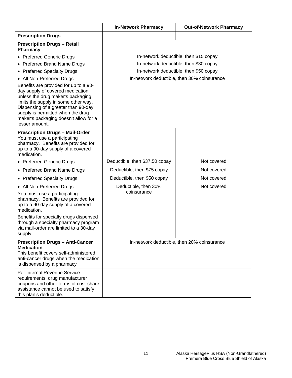|                                                                                                                                                                                                                                                                                               | <b>In-Network Pharmacy</b>          | <b>Out-of-Network Pharmacy</b>              |
|-----------------------------------------------------------------------------------------------------------------------------------------------------------------------------------------------------------------------------------------------------------------------------------------------|-------------------------------------|---------------------------------------------|
| <b>Prescription Drugs</b>                                                                                                                                                                                                                                                                     |                                     |                                             |
| <b>Prescription Drugs - Retail</b><br>Pharmacy                                                                                                                                                                                                                                                |                                     |                                             |
| • Preferred Generic Drugs                                                                                                                                                                                                                                                                     |                                     | In-network deductible, then \$15 copay      |
| • Preferred Brand Name Drugs                                                                                                                                                                                                                                                                  |                                     | In-network deductible, then \$30 copay      |
| • Preferred Specialty Drugs                                                                                                                                                                                                                                                                   |                                     | In-network deductible, then \$50 copay      |
| • All Non-Preferred Drugs                                                                                                                                                                                                                                                                     |                                     | In-network deductible, then 30% coinsurance |
| Benefits are provided for up to a 90-<br>day supply of covered medication<br>unless the drug maker's packaging<br>limits the supply in some other way.<br>Dispensing of a greater than 90-day<br>supply is permitted when the drug<br>maker's packaging doesn't allow for a<br>lesser amount. |                                     |                                             |
| <b>Prescription Drugs - Mail-Order</b><br>You must use a participating<br>pharmacy. Benefits are provided for<br>up to a 90-day supply of a covered<br>medication.                                                                                                                            |                                     |                                             |
| • Preferred Generic Drugs                                                                                                                                                                                                                                                                     | Deductible, then \$37.50 copay      | Not covered                                 |
| • Preferred Brand Name Drugs                                                                                                                                                                                                                                                                  | Deductible, then \$75 copay         | Not covered                                 |
| • Preferred Specialty Drugs                                                                                                                                                                                                                                                                   | Deductible, then \$50 copay         | Not covered                                 |
| • All Non-Preferred Drugs<br>You must use a participating<br>pharmacy. Benefits are provided for<br>up to a 90-day supply of a covered<br>medication.                                                                                                                                         | Deductible, then 30%<br>coinsurance | Not covered                                 |
| Benefits for specialty drugs dispensed<br>through a specialty pharmacy program<br>via mail-order are limited to a 30-day<br>supply.                                                                                                                                                           |                                     |                                             |
| <b>Prescription Drugs - Anti-Cancer</b><br><b>Medication</b><br>This benefit covers self-administered<br>anti-cancer drugs when the medication<br>is dispensed by a pharmacy                                                                                                                  |                                     | In-network deductible, then 20% coinsurance |
| Per Internal Revenue Service<br>requirements, drug manufacturer<br>coupons and other forms of cost-share<br>assistance cannot be used to satisfy<br>this plan's deductible.                                                                                                                   |                                     |                                             |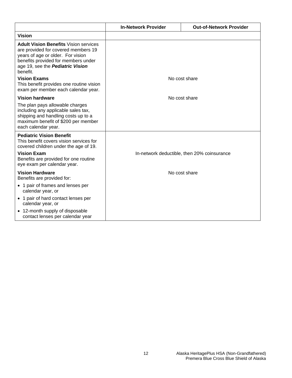|                                                                                                                                                                                                                        | <b>In-Network Provider</b> | <b>Out-of-Network Provider</b>              |
|------------------------------------------------------------------------------------------------------------------------------------------------------------------------------------------------------------------------|----------------------------|---------------------------------------------|
| <b>Vision</b>                                                                                                                                                                                                          |                            |                                             |
| <b>Adult Vision Benefits Vision services</b><br>are provided for covered members 19<br>years of age or older. For vision<br>benefits provided for members under<br>age 19, see the <b>Pediatric Vision</b><br>benefit. |                            |                                             |
| <b>Vision Exams</b><br>This benefit provides one routine vision<br>exam per member each calendar year.                                                                                                                 |                            | No cost share                               |
| <b>Vision hardware</b>                                                                                                                                                                                                 |                            | No cost share                               |
| The plan pays allowable charges<br>including any applicable sales tax,<br>shipping and handling costs up to a<br>maximum benefit of \$200 per member<br>each calendar year.                                            |                            |                                             |
| <b>Pediatric Vision Benefit</b><br>This benefit covers vision services for<br>covered children under the age of 19.<br><b>Vision Exam</b><br>Benefits are provided for one routine                                     |                            | In-network deductible, then 20% coinsurance |
| eye exam per calendar year.                                                                                                                                                                                            |                            |                                             |
| <b>Vision Hardware</b><br>Benefits are provided for:                                                                                                                                                                   |                            | No cost share                               |
| • 1 pair of frames and lenses per<br>calendar year, or                                                                                                                                                                 |                            |                                             |
| • 1 pair of hard contact lenses per<br>calendar year, or                                                                                                                                                               |                            |                                             |
| • 12-month supply of disposable<br>contact lenses per calendar year                                                                                                                                                    |                            |                                             |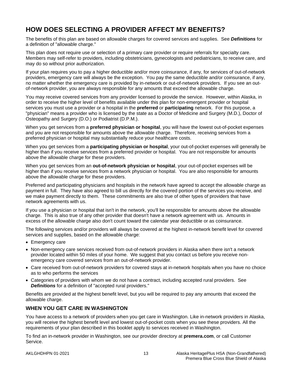# <span id="page-19-0"></span>**HOW DOES SELECTING A PROVIDER AFFECT MY BENEFITS?**

The benefits of this plan are based on allowable charges for covered services and supplies. See *Definitions* for a definition of "allowable charge."

This plan does not require use or selection of a primary care provider or require referrals for specialty care. Members may self-refer to providers, including obstetricians, gynecologists and pediatricians, to receive care, and may do so without prior authorization.

If your plan requires you to pay a higher deductible and/or more coinsurance, if any, for services of out-of-network providers, emergency care will always be the exception. You pay the same deductible and/or coinsurance, if any, no matter whether the emergency care is provided by in-network or out-of-network providers. If you see an outof-network provider, you are always responsible for any amounts that exceed the allowable charge.

You may receive covered services from any provider licensed to provide the service. However, within Alaska, in order to receive the higher level of benefits available under this plan for non-emergent provider or hospital services you must use a provider or a hospital in the **preferred** or **participating** network. For this purpose, a "physician" means a provider who is licensed by the state as a Doctor of Medicine and Surgery (M.D.), Doctor of Osteopathy and Surgery (D.O.) or Podiatrist (D.P.M.).

When you get services from a **preferred physician or hospital**, you will have the lowest out-of-pocket expenses and you are not responsible for amounts above the allowable charge. Therefore, receiving services from a preferred physician or hospital may substantially reduce your healthcare costs.

When you get services from a **participating physician or hospital**, your out-of-pocket expenses will generally be higher than if you receive services from a preferred provider or hospital. You are not responsible for amounts above the allowable charge for these providers.

When you get services from an **out-of-network physician or hospital**, your out-of-pocket expenses will be higher than if you receive services from a network physician or hospital. You are also responsible for amounts above the allowable charge for these providers.

Preferred and participating physicians and hospitals in the network have agreed to accept the allowable charge as payment in full. They have also agreed to bill us directly for the covered portion of the services you receive, and we make payment directly to them. These commitments are also true of other types of providers that have network agreements with us.

If you use a physician or hospital that isn't in the network, you'll be responsible for amounts above the allowable charge. This is also true of any other provider that doesn't have a network agreement with us. Amounts in excess of the allowable charge also don't count toward the calendar year deductible or as coinsurance.

The following services and/or providers will always be covered at the highest in-network benefit level for covered services and supplies, based on the allowable charge:

- Emergency care
- Non-emergency care services received from out-of-network providers in Alaska when there isn't a network provider located within 50 miles of your home. We suggest that you contact us before you receive nonemergency care covered services from an out-of-network provider.
- Care received from out-of-network providers for covered stays at in-network hospitals when you have no choice as to who performs the services
- Categories of providers with whom we do not have a contract, including accepted rural providers. See *Definitions* for a definition of "accepted rural providers."

Benefits are provided at the highest benefit level, but you will be required to pay any amounts that exceed the allowable charge.

# **WHEN YOU GET CARE IN WASHINGTON**

You have access to a network of providers when you get care in Washington. Like in-network providers in Alaska, you will receive the highest benefit level and lowest out-of-pocket costs when you see these providers. All the requirements of your plan described in this booklet apply to services received in Washington.

To find an in-network provider in Washington, see our provider directory at **premera.com**, or call Customer Service.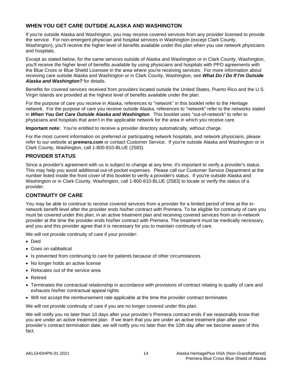# **WHEN YOU GET CARE OUTSIDE ALASKA AND WASHINGTON**

If you're outside Alaska and Washington, you may receive covered services from any provider licensed to provide the service. For non-emergent physician and hospital services in Washington (except Clark County, Washington), you'll receive the higher level of benefits available under this plan when you use network physicians and hospitals.

Except as stated below, for the same services outside of Alaska and Washington or in Clark County, Washington, you'll receive the higher level of benefits available by using physicians and hospitals with PPO agreements with the Blue Cross or Blue Shield Licensee in the area where you're receiving services. For more information about receiving care outside Alaska and Washington or in Clark County, Washington, see *What Do I Do If I'm Outside Alaska and Washington?* for details.

Benefits for covered services received from providers located outside the United States, Puerto Rico and the U.S. Virgin Islands are provided at the highest level of benefits available under the plan.

For the purpose of care you receive in Alaska, references to "network" in this booklet refer to the Heritage network. For the purpose of care you receive outside Alaska, references to "network" refer to the networks stated in *When You Get Care Outside Alaska and Washington*. This booklet uses "out-of-network" to refer to physicians and hospitals that aren't in the applicable network for the area in which you receive care.

**Important note:** You're entitled to receive a provider directory automatically, without charge.

For the most current information on preferred or participating network hospitals, and network physicians, please refer to our website at **premera.com** or contact Customer Service. If you're outside Alaska and Washington or in Clark County, Washington, call 1-800-810-BLUE (2583).

# **PROVIDER STATUS**

Since a provider's agreement with us is subject to change at any time, it's important to verify a provider's status. This may help you avoid additional out-of-pocket expenses. Please call our Customer Service Department at the number listed inside the front cover of this booklet to verify a provider's status. If you're outside Alaska and Washington or in Clark County, Washington, call 1-800-810-BLUE (2583) to locate or verify the status of a provider.

# **CONTINUITY OF CARE**

You may be able to continue to receive covered services from a provider for a limited period of time at the innetwork benefit level after the provider ends his/her contract with Premera. To be eligible for continuity of care you must be covered under this plan, in an active treatment plan and receiving covered services from an in-network provider at the time the provider ends his/her contract with Premera. The treatment must be medically necessary, and you and this provider agree that it is necessary for you to maintain continuity of care.

We will not provide continuity of care if your provider:

- Died
- Goes on sabbatical
- Is prevented from continuing to care for patients because of other circumstances
- No longer holds an active license
- Relocates out of the service area
- Retired
- Terminates the contractual relationship in accordance with provisions of contract relating to quality of care and exhausts his/her contractual appeal rights
- Will not accept the reimbursement rate applicable at the time the provider contract terminates

We will not provide continuity of care if you are no longer covered under this plan.

We will notify you no later than 10 days after your provider's Premera contract ends if we reasonably know that you are under an active treatment plan. If we learn that you are under an active treatment plan after your provider's contract termination date, we will notify you no later than the 10th day after we become aware of this fact.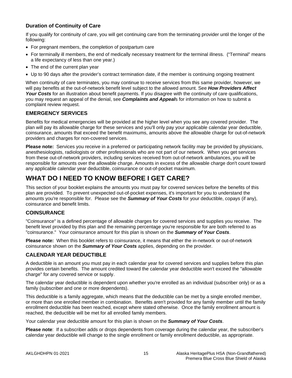# **Duration of Continuity of Care**

If you qualify for continuity of care, you will get continuing care from the terminating provider until the longer of the following:

- For pregnant members, the completion of postpartum care
- For terminally ill members, the end of medically necessary treatment for the terminal illness. ("Terminal" means a life expectancy of less than one year.)
- The end of the current plan year
- Up to 90 days after the provider's contract termination date, if the member is continuing ongoing treatment

When continuity of care terminates, you may continue to receive services from this same provider, however, we will pay benefits at the out-of-network benefit level subject to the allowed amount. See *How Providers Affect Your Costs* for an illustration about benefit payments. If you disagree with the continuity of care qualifications, you may request an appeal of the denial, see *Complaints and Appeal*s for information on how to submit a complaint review request.

# **EMERGENCY SERVICES**

Benefits for medical emergencies will be provided at the higher level when you see any covered provider. The plan will pay its allowable charge for these services and you'll only pay your applicable calendar year deductible, coinsurance, amounts that exceed the benefit maximums, amounts above the allowable charge for out-of-network providers and charges for non-covered services.

**Please note:** Services you receive in a preferred or participating network facility may be provided by physicians, anesthesiologists, radiologists or other professionals who are not part of our network. When you get services from these out-of-network providers, including services received from out-of-network ambulances, you will be responsible for amounts over the allowable charge. Amounts in excess of the allowable charge don't count toward any applicable calendar year deductible, coinsurance or out-of-pocket maximum.

# <span id="page-21-0"></span>**WHAT DO I NEED TO KNOW BEFORE I GET CARE?**

This section of your booklet explains the amounts you must pay for covered services before the benefits of this plan are provided. To prevent unexpected out-of-pocket expenses, it's important for you to understand the amounts you're responsible for. Please see the *Summary of Your Costs* for your deductible, copays (if any), coinsurance and benefit limits.

# **COINSURANCE**

"Coinsurance" is a defined percentage of allowable charges for covered services and supplies you receive. The benefit level provided by this plan and the remaining percentage you're responsible for are both referred to as "coinsurance." Your coinsurance amount for this plan is shown on the *Summary of Your Costs*.

**Please note:** When this booklet refers to coinsurance, it means that either the in-network or out-of-network coinsurance shown on the *Summary of Your Costs* applies, depending on the provider.

# **CALENDAR YEAR DEDUCTIBLE**

A deductible is an amount you must pay in each calendar year for covered services and supplies before this plan provides certain benefits. The amount credited toward the calendar year deductible won't exceed the "allowable charge" for any covered service or supply.

The calendar year deductible is dependent upon whether you're enrolled as an individual (subscriber only) or as a family (subscriber and one or more dependents).

This deductible is a family aggregate, which means that the deductible can be met by a single enrolled member, or more than one enrolled member in combination. Benefits aren't provided for any family member until the family enrollment deductible has been reached, except where stated otherwise. Once the family enrollment amount is reached, the deductible will be met for all enrolled family members.

Your calendar year deductible amount for this plan is shown on the *Summary of Your Costs*.

**Please note**: If a subscriber adds or drops dependents from coverage during the calendar year, the subscriber's calendar year deductible will change to the single enrollment or family enrollment deductible, as appropriate.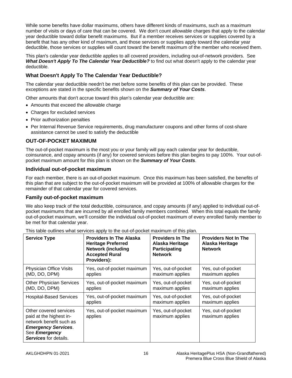While some benefits have dollar maximums, others have different kinds of maximums, such as a maximum number of visits or days of care that can be covered. We don't count allowable charges that apply to the calendar year deductible toward dollar benefit maximums. But if a member receives services or supplies covered by a benefit that has any other kind of maximum, and those services or supplies apply toward the calendar year deductible, those services or supplies will count toward the benefit maximum of the member who received them.

This plan's calendar year deductible applies to all covered providers, including out-of-network providers. See *What Doesn't Apply To The Calendar Year Deductible?* to find out what doesn't apply to the calendar year deductible.

#### **What Doesn't Apply To The Calendar Year Deductible?**

The calendar year deductible needn't be met before some benefits of this plan can be provided. These exceptions are stated in the specific benefits shown on the *Summary of Your Costs*.

Other amounts that don't accrue toward this plan's calendar year deductible are:

- Amounts that exceed the allowable charge
- Charges for excluded services
- Prior authorization penalties
- Per Internal Revenue Service requirements, drug manufacturer coupons and other forms of cost-share assistance cannot be used to satisfy the deductible

#### **OUT-OF-POCKET MAXIMUM**

The out-of-pocket maximum is the most you or your family will pay each calendar year for deductible, coinsurance, and copay amounts (if any) for covered services before this plan begins to pay 100%. Your out-ofpocket maximum amount for this plan is shown on the *Summary of Your Costs*.

#### **Individual out-of-pocket maximum**

For each member, there is an out-of-pocket maximum. Once this maximum has been satisfied, the benefits of this plan that are subject to the out-of-pocket maximum will be provided at 100% of allowable charges for the remainder of that calendar year for covered services.

#### **Family out-of-pocket maximum**

We also keep track of the total deductible, coinsurance, and copay amounts (if any) applied to individual out-ofpocket maximums that are incurred by all enrolled family members combined. When this total equals the family out-of-pocket maximum, we'll consider the individual out-of-pocket maximum of every enrolled family member to be met for that calendar year.

| <b>Service Type</b>                                                                                                                                         | <b>Providers In The Alaska</b><br><b>Heritage Preferred</b><br><b>Network (including</b><br><b>Accepted Rural</b><br>Providers): | <b>Providers In The</b><br>Alaska Heritage<br>Participating<br><b>Network</b> | <b>Providers Not In The</b><br>Alaska Heritage<br><b>Network</b> |
|-------------------------------------------------------------------------------------------------------------------------------------------------------------|----------------------------------------------------------------------------------------------------------------------------------|-------------------------------------------------------------------------------|------------------------------------------------------------------|
| <b>Physician Office Visits</b>                                                                                                                              | Yes, out-of-pocket maximum                                                                                                       | Yes, out-of-pocket                                                            | Yes, out-of-pocket                                               |
| (MD, DO, DPM)                                                                                                                                               | applies                                                                                                                          | maximum applies                                                               | maximum applies                                                  |
| <b>Other Physician Services</b>                                                                                                                             | Yes, out-of-pocket maximum                                                                                                       | Yes, out-of-pocket                                                            | Yes, out-of-pocket                                               |
| (MD, DO, DPM)                                                                                                                                               | applies                                                                                                                          | maximum applies                                                               | maximum applies                                                  |
| <b>Hospital-Based Services</b>                                                                                                                              | Yes, out-of-pocket maximum                                                                                                       | Yes, out-of-pocket                                                            | Yes, out-of-pocket                                               |
|                                                                                                                                                             | applies                                                                                                                          | maximum applies                                                               | maximum applies                                                  |
| Other covered services<br>paid at the highest in-<br>network benefit such as<br><b>Emergency Services.</b><br>See Emergency<br><b>Services</b> for details. | Yes, out-of-pocket maximum<br>applies                                                                                            | Yes, out-of-pocket<br>maximum applies                                         | Yes, out-of-pocket<br>maximum applies                            |

This table outlines what services apply to the out-of-pocket maximum of this plan.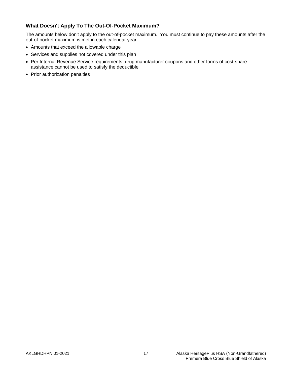# **What Doesn't Apply To The Out-Of-Pocket Maximum?**

The amounts below don't apply to the out-of-pocket maximum. You must continue to pay these amounts after the out-of-pocket maximum is met in each calendar year.

- Amounts that exceed the allowable charge
- Services and supplies not covered under this plan
- Per Internal Revenue Service requirements, drug manufacturer coupons and other forms of cost-share assistance cannot be used to satisfy the deductible
- Prior authorization penalties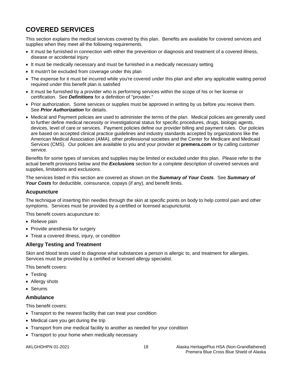# <span id="page-24-0"></span>**COVERED SERVICES**

This section explains the medical services covered by this plan. Benefits are available for covered services and supplies when they meet all the following requirements.

- It must be furnished in connection with either the prevention or diagnosis and treatment of a covered illness, disease or accidental injury
- It must be medically necessary and must be furnished in a medically necessary setting
- It mustn't be excluded from coverage under this plan
- The expense for it must be incurred while you're covered under this plan and after any applicable waiting period required under this benefit plan is satisfied
- It must be furnished by a provider who is performing services within the scope of his or her license or certification. See *Definitions* for a definition of "provider."
- Prior authorization. Some services or supplies must be approved in writing by us before you receive them. See *Prior Authorization* for details.
- Medical and Payment policies are used to administer the terms of the plan. Medical policies are generally used to further define medical necessity or investigational status for specific procedures, drugs, biologic agents, devices, level of care or services. Payment policies define our provider billing and payment rules. Our policies are based on accepted clinical practice guidelines and industry standards accepted by organizations like the American Medical Association (AMA), other professional societies and the Center for Medicare and Medicaid Services (CMS). Our policies are available to you and your provider at **premera.com** or by calling customer service.

Benefits for some types of services and supplies may be limited or excluded under this plan. Please refer to the actual benefit provisions below and the *Exclusions* section for a complete description of covered services and supplies, limitations and exclusions.

The services listed in this section are covered as shown on the *Summary of Your Costs*. See *Summary of Your Costs* for deductible, coinsurance, copays (if any), and benefit limits.

#### <span id="page-24-1"></span>**Acupuncture**

The technique of inserting thin needles through the skin at specific points on body to help control pain and other symptoms. Services must be provided by a certified or licensed acupuncturist.

This benefit covers acupuncture to:

- Relieve pain
- Provide anesthesia for surgery
- Treat a covered illness, injury, or condition

#### <span id="page-24-2"></span>**Allergy Testing and Treatment**

Skin and blood tests used to diagnose what substances a person is allergic to, and treatment for allergies. Services must be provided by a certified or licensed allergy specialist.

This benefit covers:

- Testing
- Allergy shots
- Serums

#### <span id="page-24-3"></span>**Ambulance**

This benefit covers:

- Transport to the nearest facility that can treat your condition
- Medical care you get during the trip
- Transport from one medical facility to another as needed for your condition
- Transport to your home when medically necessary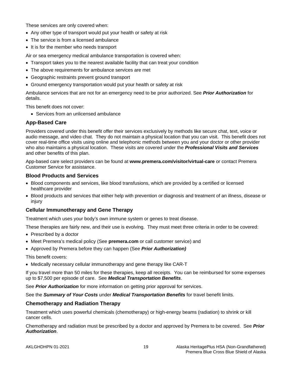These services are only covered when:

- Any other type of transport would put your health or safety at risk
- The service is from a licensed ambulance
- It is for the member who needs transport

Air or sea emergency medical ambulance transportation is covered when:

- Transport takes you to the nearest available facility that can treat your condition
- The above requirements for ambulance services are met
- Geographic restraints prevent ground transport
- Ground emergency transportation would put your health or safety at risk

Ambulance services that are not for an emergency need to be prior authorized. See *Prior Authorization* for details.

This benefit does not cover:

<span id="page-25-0"></span>• Services from an unlicensed ambulance

# **App-Based Care**

Providers covered under this benefit offer their services exclusively by methods like secure chat, text, voice or audio message, and video chat. They do not maintain a physical location that you can visit. This benefit does not cover real-time office visits using online and telephonic methods between you and your doctor or other provider who also maintains a physical location. These visits are covered under the *Professional Visits and Services* and other benefits of this plan.

App-based care select providers can be found at **www.premera.com/visitor/virtual-care** or contact Premera Customer Service for assistance.

#### <span id="page-25-1"></span>**Blood Products and Services**

- Blood components and services, like blood transfusions, which are provided by a certified or licensed healthcare provider
- Blood products and services that either help with prevention or diagnosis and treatment of an illness, disease or injury

#### <span id="page-25-2"></span>**Cellular Immunotherapy and Gene Therapy**

Treatment which uses your body's own immune system or genes to treat disease.

These therapies are fairly new, and their use is evolving. They must meet three criteria in order to be covered:

- Prescribed by a doctor
- Meet Premera's medical policy (See **premera.com** or call customer service) and
- Approved by Premera before they can happen (See *Prior Authorization)*

This benefit covers:

• Medically necessary cellular immunotherapy and gene therapy like CAR-T

If you travel more than 50 miles for these therapies, keep all receipts. You can be reimbursed for some expenses up to \$7,500 per episode of care. See *Medical Transportation Benefits*.

See *Prior Authorization* for more information on getting prior approval for services.

See the *Summary of Your Costs* under *Medical Transportation Benefits* for travel benefit limits.

#### <span id="page-25-3"></span>**Chemotherapy and Radiation Therapy**

Treatment which uses powerful chemicals (chemotherapy) or high-energy beams (radiation) to shrink or kill cancer cells.

Chemotherapy and radiation must be prescribed by a doctor and approved by Premera to be covered. See *Prior Authorization*.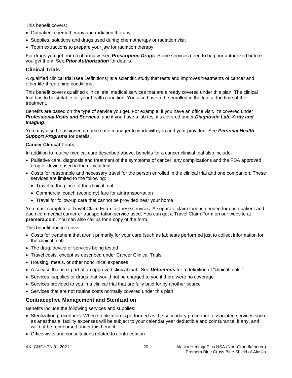This benefit covers:

- Outpatient chemotherapy and radiation therapy
- Supplies, solutions and drugs used during chemotherapy or radiation visit
- Tooth extractions to prepare your jaw for radiation therapy

For drugs you get from a pharmacy, see *Prescription Drugs*. Some services need to be prior authorized before you get them. See *Prior Authorization* for details.

# <span id="page-26-0"></span>**Clinical Trials**

A qualified clinical trial (see Definitions) is a scientific study that tests and improves treatments of cancer and other life-threatening conditions.

This benefit covers qualified clinical trial medical services that are already covered under this plan. The clinical trial has to be suitable for your health condition. You also have to be enrolled in the trial at the time of the treatment.

Benefits are based on the type of service you get. For example, if you have an office visit, it's covered under *Professional Visits and Services*, and if you have a lab test it's covered under *Diagnostic Lab, X-ray and Imaging*.

You may also be assigned a nurse case manager to work with you and your provider. See *Personal Health Support Programs* for details.

#### **Cancer Clinical Trials**

In addition to routine medical care described above, benefits for a cancer clinical trial also include:

- Palliative care, diagnosis and treatment of the symptoms of cancer, any complications and the FDA approved drug or device used in the clinical trial.
- Costs for reasonable and necessary travel for the person enrolled in the clinical trial and one companion. These services are limited to the following:
	- Travel to the place of the clinical trial
	- Commercial coach (economy) fare for air transportation
	- Travel for follow-up care that cannot be provided near your home

You must complete a Travel Claim Form for these services. A separate claim form is needed for each patient and each commercial carrier or transportation service used. You can get a Travel Claim Form on our website at **premera.com**. You can also call us for a copy of the form.

This benefit doesn't cover:

- Costs for treatment that aren't primarily for your care (such as lab tests performed just to collect information for the clinical trial)
- The drug, device or services being tested
- Travel costs, except as described under Cancer Clinical Trials
- Housing, meals, or other nonclinical expenses
- A service that isn't part of an approved clinical trial. See *Definitions* for a definition of "clinical trials."
- Services, supplies or drugs that would not be charged to you if there were no coverage
- Services provided to you in a clinical trial that are fully paid for by another source
- Services that are not routine costs normally covered under this plan

#### <span id="page-26-1"></span>**Contraceptive Management and Sterilization**

Benefits include the following services and supplies:

- Sterilization procedures. When sterilization is performed as the secondary procedure, associated services such as anesthesia, facility expenses will be subject to your calendar year deductible and coinsurance, if any, and will not be reimbursed under this benefit.
- Office visits and consultations related to contraception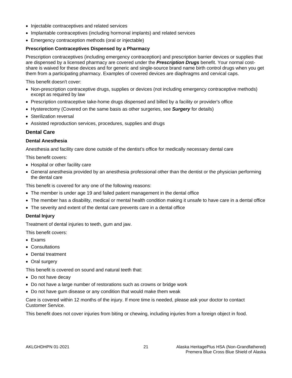- Injectable contraceptives and related services
- Implantable contraceptives (including hormonal implants) and related services
- Emergency contraception methods (oral or injectable)

#### **Prescription Contraceptives Dispensed by a Pharmacy**

Prescription contraceptives (including emergency contraception) and prescription barrier devices or supplies that are dispensed by a licensed pharmacy are covered under the *Prescription Drugs* benefit. Your normal costshare is waived for these devices and for generic and single-source brand name birth control drugs when you get them from a participating pharmacy. Examples of covered devices are diaphragms and cervical caps.

This benefit doesn't cover:

- Non-prescription contraceptive drugs, supplies or devices (not including emergency contraceptive methods) except as required by law
- Prescription contraceptive take-home drugs dispensed and billed by a facility or provider's office
- Hysterectomy (Covered on the same basis as other surgeries, see *Surgery* for details)
- Sterilization reversal
- Assisted reproduction services, procedures, supplies and drugs

#### <span id="page-27-0"></span>**Dental Care**

#### **Dental Anesthesia**

Anesthesia and facility care done outside of the dentist's office for medically necessary dental care

This benefit covers:

- Hospital or other facility care
- General anesthesia provided by an anesthesia professional other than the dentist or the physician performing the dental care

This benefit is covered for any one of the following reasons:

- The member is under age 19 and failed patient management in the dental office
- The member has a disability, medical or mental health condition making it unsafe to have care in a dental office
- The severity and extent of the dental care prevents care in a dental office

#### **Dental Injury**

Treatment of dental injuries to teeth, gum and jaw.

This benefit covers:

- Exams
- Consultations
- Dental treatment
- Oral surgery

This benefit is covered on sound and natural teeth that:

- Do not have decay
- Do not have a large number of restorations such as crowns or bridge work
- Do not have gum disease or any condition that would make them weak

Care is covered within 12 months of the injury. If more time is needed, please ask your doctor to contact Customer Service.

This benefit does not cover injuries from biting or chewing, including injuries from a foreign object in food.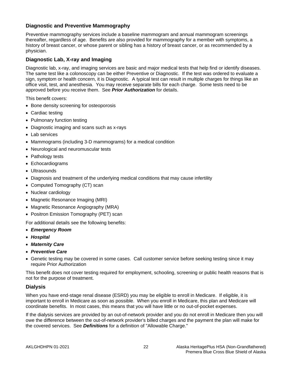# <span id="page-28-0"></span>**Diagnostic and Preventive Mammography**

Preventive mammography services include a baseline mammogram and annual mammogram screenings thereafter, regardless of age. Benefits are also provided for mammography for a member with symptoms, a history of breast cancer, or whose parent or sibling has a history of breast cancer, or as recommended by a physician.

# <span id="page-28-1"></span>**Diagnostic Lab, X-ray and Imaging**

Diagnostic lab, x-ray, and imaging services are basic and major medical tests that help find or identify diseases. The same test like a colonoscopy can be either Preventive or Diagnostic. If the test was ordered to evaluate a sign, symptom or health concern, it is Diagnostic. A typical test can result in multiple charges for things like an office visit, test, and anesthesia. You may receive separate bills for each charge. Some tests need to be approved before you receive them. See *Prior Authorization* for details.

This benefit covers:

- Bone density screening for osteoporosis
- Cardiac testing
- Pulmonary function testing
- Diagnostic imaging and scans such as x-rays
- Lab services
- Mammograms (including 3-D mammograms) for a medical condition
- Neurological and neuromuscular tests
- Pathology tests
- Echocardiograms
- Ultrasounds
- Diagnosis and treatment of the underlying medical conditions that may cause infertility
- Computed Tomography (CT) scan
- Nuclear cardiology
- Magnetic Resonance Imaging (MRI)
- Magnetic Resonance Angiography (MRA)
- Positron Emission Tomography (PET) scan

For additional details see the following benefits:

- *Emergency Room*
- *Hospital*
- *Maternity Care*
- *Preventive Care*
- Genetic testing may be covered in some cases. Call customer service before seeking testing since it may require Prior Authorization

This benefit does not cover testing required for employment, schooling, screening or public health reasons that is not for the purpose of treatment.

#### <span id="page-28-2"></span>**Dialysis**

When you have end-stage renal disease (ESRD) you may be eligible to enroll in Medicare. If eligible, it is important to enroll in Medicare as soon as possible. When you enroll in Medicare, this plan and Medicare will coordinate benefits. In most cases, this means that you will have little or no out-of-pocket expenses.

If the dialysis services are provided by an out-of-network provider and you do not enroll in Medicare then you will owe the difference between the out-of-network provider's billed charges and the payment the plan will make for the covered services. See *Definitions* for a definition of "Allowable Charge."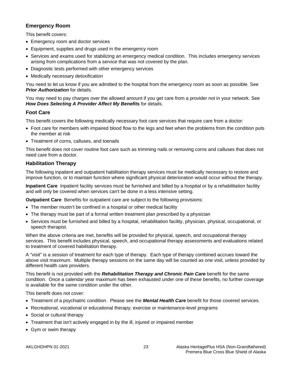# <span id="page-29-0"></span>**Emergency Room**

This benefit covers:

- Emergency room and doctor services
- Equipment, supplies and drugs used in the emergency room
- Services and exams used for stabilizing an emergency medical condition. This includes emergency services arising from complications from a service that was not covered by the plan.
- Diagnostic tests performed with other emergency services
- Medically necessary detoxification

You need to let us know if you are admitted to the hospital from the emergency room as soon as possible. See *Prior Authorization* for details.

You may need to pay charges over the allowed amount if you get care from a provider not in your network. See *How Does Selecting A Provider Affect My Benefits* for details.

# <span id="page-29-1"></span>**Foot Care**

This benefit covers the following medically necessary foot care services that require care from a doctor:

- Foot care for members with impaired blood flow to the legs and feet when the problems from the condition puts the member at risk
- Treatment of corns, calluses, and toenails

This benefit does not cover routine foot care such as trimming nails or removing corns and calluses that does not need care from a doctor.

# <span id="page-29-2"></span>**Habilitation Therapy**

The following inpatient and outpatient habilitation therapy services must be medically necessary to restore and improve function, or to maintain function where significant physical deterioration would occur without the therapy.

**Inpatient Care** Inpatient facility services must be furnished and billed by a hospital or by a rehabilitation facility and will only be covered when services can't be done in a less intensive setting.

**Outpatient Care** Benefits for outpatient care are subject to the following provisions:

- The member mustn't be confined in a hospital or other medical facility
- The therapy must be part of a formal written treatment plan prescribed by a physician
- Services must be furnished and billed by a hospital, rehabilitation facility, physician, physical, occupational, or speech therapist.

When the above criteria are met, benefits will be provided for physical, speech, and occupational therapy services. This benefit includes physical, speech, and occupational therapy assessments and evaluations related to treatment of covered habilitation therapy.

A "visit" is a session of treatment for each type of therapy. Each type of therapy combined accrues toward the above visit maximum. Multiple therapy sessions on the same day will be counted as one visit, unless provided by different health care providers.

This benefit is not provided with the *Rehabilitation Therapy and Chronic Pain Care* benefit for the same condition. Once a calendar year maximum has been exhausted under one of these benefits, no further coverage is available for the same condition under the other.

This benefit does not cover:

- Treatment of a psychiatric condition. Please see the *Mental Health Care* benefit for those covered services.
- Recreational, vocational or educational therapy; exercise or maintenance-level programs
- Social or cultural therapy
- Treatment that isn't actively engaged in by the ill, injured or impaired member
- Gym or swim therapy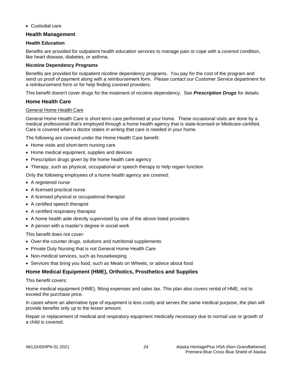• Custodial care

# <span id="page-30-0"></span>**Health Management**

#### **Health Education**

Benefits are provided for outpatient health education services to manage pain or cope with a covered condition, like heart disease, diabetes, or asthma.

#### **Nicotine Dependency Programs**

Benefits are provided for outpatient nicotine dependency programs. You pay for the cost of the program and send us proof of payment along with a reimbursement form. Please contact our Customer Service department for a reimbursement form or for help finding covered providers.

This benefit doesn't cover drugs for the treatment of nicotine dependency. See *Prescription Drugs* for details.

# <span id="page-30-1"></span>**Home Health Care**

#### General Home Health Care

General Home Health Care is short-term care performed at your home. These occasional visits are done by a medical professional that's employed through a home health agency that is state-licensed or Medicare-certified. Care is covered when a doctor states in writing that care is needed in your home.

The following are covered under the Home Health Care benefit:

- Home visits and short-term nursing care
- Home medical equipment, supplies and devices
- Prescription drugs given by the home health care agency
- Therapy, such as physical, occupational or speech therapy to help regain function

Only the following employees of a home health agency are covered:

- A registered nurse
- A licensed practical nurse
- A licensed physical or occupational therapist
- A certified speech therapist
- A certified respiratory therapist
- A home health aide directly supervised by one of the above listed providers
- A person with a master's degree in social work

This benefit does not cover:

- Over-the-counter drugs, solutions and nutritional supplements
- Private Duty Nursing that is not General Home Health Care
- Non-medical services, such as housekeeping
- Services that bring you food, such as Meals on Wheels, or advice about food

# <span id="page-30-2"></span>**Home Medical Equipment (HME), Orthotics, Prosthetics and Supplies**

#### This benefit covers:

Home medical equipment (HME), fitting expenses and sales tax. This plan also covers rental of HME, not to exceed the purchase price.

In cases where an alternative type of equipment is less costly and serves the same medical purpose, the plan will provide benefits only up to the lesser amount.

Repair or replacement of medical and respiratory equipment medically necessary due to normal use or growth of a child is covered.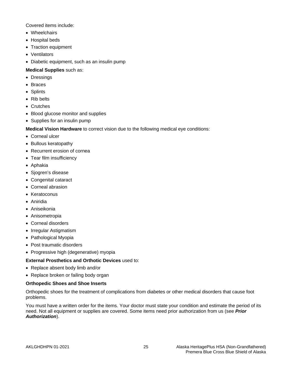Covered items include:

- Wheelchairs
- Hospital beds
- Traction equipment
- Ventilators
- Diabetic equipment, such as an insulin pump

#### **Medical Supplies** such as:

- Dressings
- Braces
- Splints
- Rib belts
- Crutches
- Blood glucose monitor and supplies
- Supplies for an insulin pump

**Medical Vision Hardware** to correct vision due to the following medical eye conditions:

- Corneal ulcer
- Bullous keratopathy
- Recurrent erosion of cornea
- Tear film insufficiency
- Aphakia
- Sjogren's disease
- Congenital cataract
- Corneal abrasion
- Keratoconus
- Aniridia
- Aniseikonia
- Anisometropia
- Corneal disorders
- Irregular Astigmatism
- Pathological Myopia
- Post traumatic disorders
- Progressive high (degenerative) myopia

#### **External Prosthetics and Orthotic Devices** used to:

- Replace absent body limb and/or
- Replace broken or failing body organ

#### **Orthopedic Shoes and Shoe Inserts**

Orthopedic shoes for the treatment of complications from diabetes or other medical disorders that cause foot problems.

You must have a written order for the items. Your doctor must state your condition and estimate the period of its need. Not all equipment or supplies are covered. Some items need prior authorization from us (see *Prior Authorization*).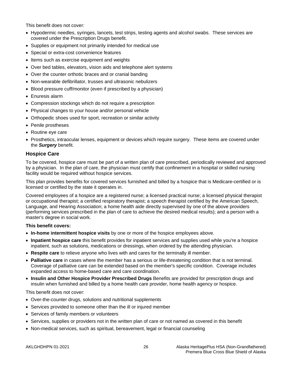This benefit does not cover:

- Hypodermic needles, syringes, lancets, test strips, testing agents and alcohol swabs. These services are covered under the Prescription Drugs benefit.
- Supplies or equipment not primarily intended for medical use
- Special or extra-cost convenience features
- Items such as exercise equipment and weights
- Over bed tables, elevators, vision aids and telephone alert systems
- Over the counter orthotic braces and or cranial banding
- Non-wearable defibrillator, trusses and ultrasonic nebulizers
- Blood pressure cuff/monitor (even if prescribed by a physician)
- Enuresis alarm
- Compression stockings which do not require a prescription
- Physical changes to your house and/or personal vehicle
- Orthopedic shoes used for sport, recreation or similar activity
- Penile prostheses
- Routine eye care
- Prosthetics, intraocular lenses, equipment or devices which require surgery. These items are covered under the *Surgery* benefit.

# <span id="page-32-0"></span>**Hospice Care**

To be covered, hospice care must be part of a written plan of care prescribed, periodically reviewed and approved by a physician. In the plan of care, the physician must certify that confinement in a hospital or skilled nursing facility would be required without hospice services.

This plan provides benefits for covered services furnished and billed by a hospice that is Medicare-certified or is licensed or certified by the state it operates in.

Covered employees of a hospice are a registered nurse; a licensed practical nurse; a licensed physical therapist or occupational therapist; a certified respiratory therapist; a speech therapist certified by the American Speech, Language, and Hearing Association; a home health aide directly supervised by one of the above providers (performing services prescribed in the plan of care to achieve the desired medical results); and a person with a master's degree in social work.

#### **This benefit covers:**

- **In-home intermittent hospice visits** by one or more of the hospice employees above.
- **Inpatient hospice care** this benefit provides for inpatient services and supplies used while you're a hospice inpatient, such as solutions, medications or dressings, when ordered by the attending physician.
- **Respite care** to relieve anyone who lives with and cares for the terminally ill member.
- **Palliative care** in cases where the member has a serious or life-threatening condition that is not terminal. Coverage of palliative care can be extended based on the member's specific condition. Coverage includes expanded access to home-based care and care coordination.
- **Insulin and Other Hospice Provider Prescribed Drugs** Benefits are provided for prescription drugs and insulin when furnished and billed by a home health care provider, home health agency or hospice.

#### This benefit does not cover:

- Over-the-counter drugs, solutions and nutritional supplements
- Services provided to someone other than the ill or injured member
- Services of family members or volunteers
- Services, supplies or providers not in the written plan of care or not named as covered in this benefit
- Non-medical services, such as spiritual, bereavement, legal or financial counseling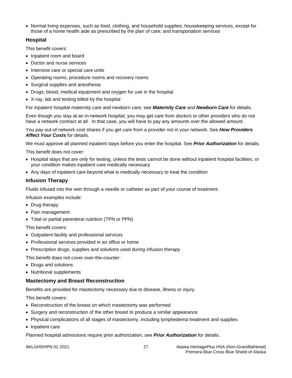• Normal living expenses, such as food, clothing, and household supplies; housekeeping services, except for those of a home health aide as prescribed by the plan of care; and transportation services

# <span id="page-33-0"></span>**Hospital**

This benefit covers:

- Inpatient room and board
- Doctor and nurse services
- Intensive care or special care units
- Operating rooms, procedure rooms and recovery rooms
- Surgical supplies and anesthesia
- Drugs, blood, medical equipment and oxygen for use in the hospital
- X-ray, lab and testing billed by the hospital

For inpatient hospital maternity care and newborn care, see *Maternity Care* and *Newborn Care* for details.

Even though you stay at an in-network hospital, you may get care from doctors or other providers who do not have a network contract at all. In that case, you will have to pay any amounts over the allowed amount.

You pay out-of-network cost shares if you get care from a provider not in your network. See *How Providers Affect Your Costs* for details.

We must approve all planned inpatient stays before you enter the hospital. See *Prior Authorization* for details.

This benefit does not cover:

- Hospital stays that are only for testing, unless the tests cannot be done without inpatient hospital facilities, or your condition makes inpatient care medically necessary
- Any days of inpatient care beyond what is medically necessary to treat the condition

#### <span id="page-33-1"></span>**Infusion Therapy**

Fluids infused into the vein through a needle or catheter as part of your course of treatment.

Infusion examples include:

- Drug therapy
- Pain management
- Total or partial parenteral nutrition (TPN or PPN)

This benefit covers:

- Outpatient facility and professional services
- Professional services provided in an office or home
- Prescription drugs, supplies and solutions used during infusion therapy

This benefit does not cover over-the-counter:

- Drugs and solutions
- Nutritional supplements

#### <span id="page-33-2"></span>**Mastectomy and Breast Reconstruction**

Benefits are provided for mastectomy necessary due to disease, illness or injury.

This benefit covers:

- Reconstruction of the breast on which mastectomy was performed
- Surgery and reconstruction of the other breast to produce a similar appearance
- Physical complications of all stages of mastectomy, including lymphedema treatment and supplies
- Inpatient care

Planned hospital admissions require prior authorization, see *Prior Authorization* for details.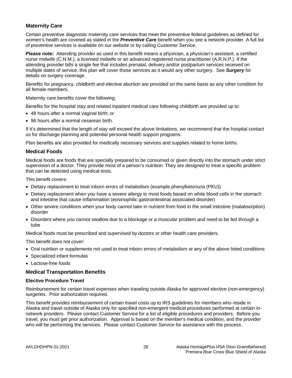# <span id="page-34-0"></span>**Maternity Care**

Certain preventive diagnostic maternity care services that meet the preventive federal guidelines as defined for women's health are covered as stated in the *Preventive Care* benefit when you see a network provider. A full list of preventive services is available on our website or by calling Customer Service.

**Please note:** Attending provider as used in this benefit means a physician, a physician's assistant, a certified nurse midwife (C.N.M.), a licensed midwife or an advanced registered nurse practitioner (A.R.N.P.). If the attending provider bills a single fee that includes prenatal, delivery and/or postpartum services received on multiple dates of service, this plan will cover those services as it would any other surgery. See *Surgery* for details on surgery coverage.

Benefits for pregnancy, childbirth and elective abortion are provided on the same basis as any other condition for all female members.

Maternity care benefits cover the following.

Benefits for the hospital stay and related inpatient medical care following childbirth are provided up to:

- 48 hours after a normal vaginal birth; or
- 96 hours after a normal cesarean birth.

If it's determined that the length of stay will exceed the above limitations, we recommend that the hospital contact us for discharge planning and potential personal health support programs.

Plan benefits are also provided for medically necessary services and supplies related to home births.

#### <span id="page-34-1"></span>**Medical Foods**

Medical foods are foods that are specially prepared to be consumed or given directly into the stomach under strict supervision of a doctor. They provide most of a person's nutrition. They are designed to treat a specific problem that can be detected using medical tests.

This benefit covers:

- Dietary replacement to treat inborn errors of metabolism (example phenylketonuria (PKU))
- Dietary replacement when you have a severe allergy to most foods based on white blood cells in the stomach and intestine that cause inflammation (eosinophilic gastrointestinal associated disorder)
- Other severe conditions when your body cannot take in nutrient from food in the small intestine (malabsorption) disorder
- Disorders where you cannot swallow due to a blockage or a muscular problem and need to be fed through a tube

Medical foods must be prescribed and supervised by doctors or other health care providers.

This benefit does not cover:

- Oral nutrition or supplements not used to treat inborn errors of metabolism or any of the above listed conditions
- Specialized infant formulas
- Lactose-free foods

#### <span id="page-34-2"></span>**Medical Transportation Benefits**

#### **Elective Procedure Travel**

Reimbursement for certain travel expenses when traveling outside Alaska for approved elective (non-emergency) surgeries. Prior authorization required.

This benefit provides reimbursement of certain travel costs up to IRS guidelines for members who reside in Alaska and travel outside of Alaska only for specified non-emergent medical procedures performed at certain innetwork providers. Please contact Customer Service for a list of eligible procedures and providers. Before you travel, you must get prior authorization. Approval is based on the member's medical condition, and the provider who will be performing the services. Please contact Customer Service for assistance with the process.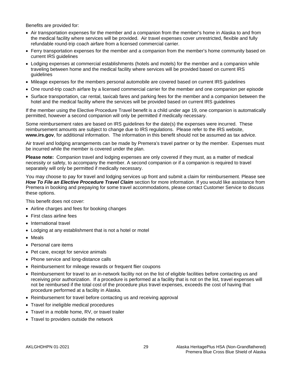Benefits are provided for:

- Air transportation expenses for the member and a companion from the member's home in Alaska to and from the medical facility where services will be provided. Air travel expenses cover unrestricted, flexible and fully refundable round-trip coach airfare from a licensed commercial carrier.
- Ferry transportation expenses for the member and a companion from the member's home community based on current IRS guidelines
- Lodging expenses at commercial establishments (hotels and motels) for the member and a companion while traveling between home and the medical facility where services will be provided based on current IRS guidelines
- Mileage expenses for the members personal automobile are covered based on current IRS guidelines
- One round-trip coach airfare by a licensed commercial carrier for the member and one companion per episode
- Surface transportation, car rental, taxicab fares and parking fees for the member and a companion between the hotel and the medical facility where the services will be provided based on current IRS guidelines

If the member using the Elective Procedure Travel benefit is a child under age 19, one companion is automatically permitted, however a second companion will only be permitted if medically necessary.

Some reimbursement rates are based on IRS guidelines for the date(s) the expenses were incurred. These reimbursement amounts are subject to change due to IRS regulations. Please refer to the IRS website, **www.irs.gov**, for additional information. The information in this benefit should not be assumed as tax advice.

Air travel and lodging arrangements can be made by Premera's travel partner or by the member. Expenses must be incurred while the member is covered under the plan.

**Please note:** Companion travel and lodging expenses are only covered if they must, as a matter of medical necessity or safety, to accompany the member. A second companion or if a companion is required to travel separately will only be permitted if medically necessary.

You may choose to pay for travel and lodging services up front and submit a claim for reimbursement. Please see *How To File an Elective Procedure Travel Claim* section for more information. If you would like assistance from Premera in booking and prepaying for some travel accommodations, please contact Customer Service to discuss these options.

This benefit does not cover:

- Airline charges and fees for booking changes
- First class airline fees
- International travel
- Lodging at any establishment that is not a hotel or motel
- Meals
- Personal care items
- Pet care, except for service animals
- Phone service and long-distance calls
- Reimbursement for mileage rewards or frequent flier coupons
- Reimbursement for travel to an in-network facility not on the list of eligible facilities before contacting us and receiving prior authorization. If a procedure is performed at a facility that is not on the list, travel expenses will not be reimbursed if the total cost of the procedure plus travel expenses, exceeds the cost of having that procedure performed at a facility in Alaska.
- Reimbursement for travel before contacting us and receiving approval
- Travel for ineligible medical procedures
- Travel in a mobile home, RV, or travel trailer
- Travel to providers outside the network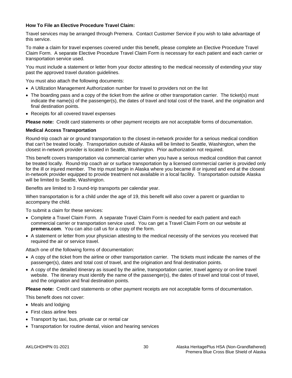#### **How To File an Elective Procedure Travel Claim:**

Travel services may be arranged through Premera. Contact Customer Service if you wish to take advantage of this service.

To make a claim for travel expenses covered under this benefit, please complete an Elective Procedure Travel Claim Form. A separate Elective Procedure Travel Claim Form is necessary for each patient and each carrier or transportation service used.

You must include a statement or letter from your doctor attesting to the medical necessity of extending your stay past the approved travel duration guidelines.

You must also attach the following documents:

- A Utilization Management Authorization number for travel to providers not on the list
- The boarding pass and a copy of the ticket from the airline or other transportation carrier. The ticket(s) must indicate the name(s) of the passenger(s), the dates of travel and total cost of the travel, and the origination and final destination points.
- Receipts for all covered travel expenses

**Please note:** Credit card statements or other payment receipts are not acceptable forms of documentation.

#### **Medical Access Transportation**

Round-trip coach air or ground transportation to the closest in-network provider for a serious medical condition that can't be treated locally. Transportation outside of Alaska will be limited to Seattle, Washington, when the closest in-network provider is located in Seattle, Washington. Prior authorization not required.

This benefit covers transportation via commercial carrier when you have a serious medical condition that cannot be treated locally. Round-trip coach air or surface transportation by a licensed commercial carrier is provided only for the ill or injured member. The trip must begin in Alaska where you became ill or injured and end at the closest in-network provider equipped to provide treatment not available in a local facility. Transportation outside Alaska will be limited to Seattle, Washington.

Benefits are limited to 3 round-trip transports per calendar year.

When transportation is for a child under the age of 19, this benefit will also cover a parent or guardian to accompany the child.

To submit a claim for these services:

- Complete a Travel Claim Form. A separate Travel Claim Form is needed for each patient and each commercial carrier or transportation service used. You can get a Travel Claim Form on our website at **premera.com**. You can also call us for a copy of the form.
- A statement or letter from your physician attesting to the medical necessity of the services you received that required the air or service travel.

Attach one of the following forms of documentation:

- A copy of the ticket from the airline or other transportation carrier. The tickets must indicate the names of the passenger(s), dates and total cost of travel, and the origination and final destination points.
- A copy of the detailed itinerary as issued by the airline, transportation carrier, travel agency or on-line travel website. The itinerary must identify the name of the passenger(s), the dates of travel and total cost of travel, and the origination and final destination points.

**Please note:** Credit card statements or other payment receipts are not acceptable forms of documentation.

This benefit does not cover:

- Meals and lodging
- First class airline fees
- Transport by taxi, bus, private car or rental car
- Transportation for routine dental, vision and hearing services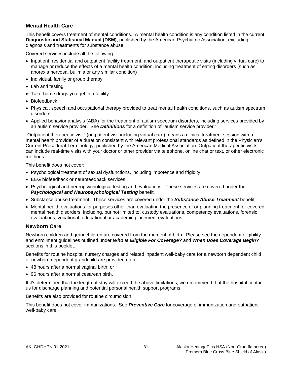## **Mental Health Care**

This benefit covers treatment of mental conditions. A mental health condition is any condition listed in the current **Diagnostic and Statistical Manual (DSM)**, published by the American Psychiatric Association, excluding diagnosis and treatments for substance abuse.

Covered services include all the following:

- Inpatient, residential and outpatient facility treatment, and outpatient therapeutic visits (including virtual care) to manage or reduce the effects of a mental health condition, including treatment of eating disorders (such as anorexia nervosa, bulimia or any similar condition)
- Individual, family or group therapy
- Lab and testing
- Take-home drugs you get in a facility
- Biofeedback
- Physical, speech and occupational therapy provided to treat mental health conditions, such as autism spectrum disorders
- Applied behavior analysis (ABA) for the treatment of autism spectrum disorders, including services provided by an autism service provider. See *Definitions* for a definition of "autism service provider."

"Outpatient therapeutic visit" (outpatient visit including virtual care) means a clinical treatment session with a mental health provider of a duration consistent with relevant professional standards as defined in the Physician's Current Procedural Terminology, published by the American Medical Association. Outpatient therapeutic visits can include real-time visits with your doctor or other provider via telephone, online chat or text, or other electronic methods.

This benefit does not cover:

- Psychological treatment of sexual dysfunctions, including impotence and frigidity
- EEG biofeedback or neurofeedback services
- Psychological and neuropsychological testing and evaluations. These services are covered under the *Psychological and Neuropsychological Testing* benefit.
- Substance abuse treatment. These services are covered under the *Substance Abuse Treatment* benefit.
- Mental health evaluations for purposes other than evaluating the presence of or planning treatment for covered mental health disorders, including, but not limited to, custody evaluations, competency evaluations, forensic evaluations, vocational, educational or academic placement evaluations

## **Newborn Care**

Newborn children and grandchildren are covered from the moment of birth. Please see the dependent eligibility and enrollment guidelines outlined under *Who Is Eligible For Coverage?* and *When Does Coverage Begin?* sections in this booklet.

Benefits for routine hospital nursery charges and related inpatient well-baby care for a newborn dependent child or newborn dependent grandchild are provided up to:

- 48 hours after a normal vaginal birth; or
- 96 hours after a normal cesarean birth.

If it's determined that the length of stay will exceed the above limitations, we recommend that the hospital contact us for discharge planning and potential personal health support programs.

Benefits are also provided for routine circumcision.

This benefit does not cover immunizations. See *Preventive Care* for coverage of immunization and outpatient well-baby care.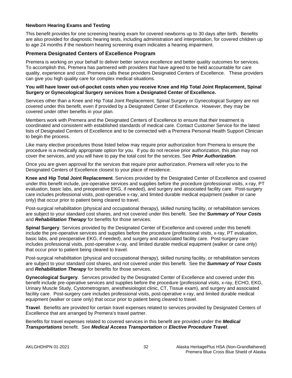#### **Newborn Hearing Exams and Testing**

This benefit provides for one screening hearing exam for covered newborns up to 30 days after birth. Benefits are also provided for diagnostic hearing tests, including administration and interpretation, for covered children up to age 24 months if the newborn hearing screening exam indicates a hearing impairment.

## **Premera Designated Centers of Excellence Program**

Premera is working on your behalf to deliver better service excellence and better quality outcomes for services. To accomplish this, Premera has partnered with providers that have agreed to be held accountable for care quality, experience and cost. Premera calls these providers Designated Centers of Excellence. These providers can give you high quality care for complex medical situations.

#### **You will have lower out-of-pocket costs when you receive Knee and Hip Total Joint Replacement, Spinal Surgery or Gynecological Surgery services from a Designated Center of Excellence.**

Services other than a Knee and Hip Total Joint Replacement, Spinal Surgery or Gynecological Surgery are not covered under this benefit, even if provided by a Designated Center of Excellence. However, they may be covered under other benefits in your plan.

Members work with Premera and the Designated Centers of Excellence to ensure that their treatment is coordinated and consistent with established standards of medical care. Contact Customer Service for the latest lists of Designated Centers of Excellence and to be connected with a Premera Personal Health Support Clinician to begin the process.

Like many elective procedures those listed below may require prior authorization from Premera to ensure the procedure is a medically appropriate option for you. If you do not receive prior authorization, this plan may not cover the services, and you will have to pay the total cost for the services. See *Prior Authorization*.

Once you are given approval for the services that require prior authorization, Premera will refer you to the Designated Centers of Excellence closest to your place of residence.

**Knee and Hip Total Joint Replacement**. Services provided by the Designated Center of Excellence and covered under this benefit include, pre-operative services and supplies before the procedure (professional visits, x-ray, PT evaluation, basic labs, and preoperative EKG, if needed), and surgery and associated facility care. Post-surgery care includes professional visits, post-operative x-ray, and limited durable medical equipment (walker or cane only) that occur prior to patient being cleared to travel.

Post-surgical rehabilitation (physical and occupational therapy), skilled nursing facility, or rehabilitation services are subject to your standard cost shares, and not covered under this benefit. See the *Summary of Your Costs* and *Rehabilitation Therapy* for benefits for those services.

**Spinal Surgery**. Services provided by the Designated Center of Excellence and covered under this benefit include the pre-operative services and supplies before the procedure (professional visits, x-ray, PT evaluation, basic labs, and preoperative EKG, if needed), and surgery and associated facility care. Post-surgery care includes professional visits, post-operative x-ray, and limited durable medical equipment (walker or cane only) that occur prior to patient being cleared to travel.

Post-surgical rehabilitation (physical and occupational therapy), skilled nursing facility, or rehabilitation services are subject to your standard cost shares, and not covered under this benefit. See the *Summary of Your Costs* and *Rehabilitation Therapy* for benefits for those services.

**Gynecological Surgery**. Services provided by the Designated Center of Excellence and covered under this benefit include pre-operative services and supplies before the procedure (professional visits, x-ray, ECHO, EKG, Urinary Muscle Study, Cystometrogram, anesthesiologist clinic, CT, Tissue exam), and surgery and associated facility care. Post-surgery care includes professional visits, post-operative x-ray, and limited durable medical equipment (walker or cane only) that occur prior to patient being cleared to travel.

**Travel**. Benefits are provided for certain travel expenses related to services provided by Designated Centers of Excellence that are arranged by Premera's travel partner.

Benefits for travel expenses related to covered services in this benefit are provided under the *Medical Transportations* benefit. See *Medical Access Transportation* or *Elective Procedure Travel*.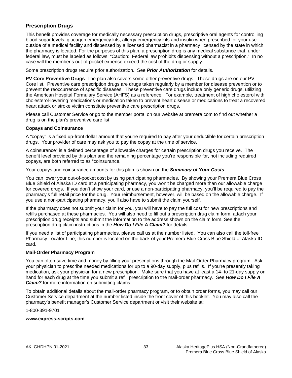# **Prescription Drugs**

This benefit provides coverage for medically necessary prescription drugs, prescriptive oral agents for controlling blood sugar levels, glucagon emergency kits, allergy emergency kits and insulin when prescribed for your use outside of a medical facility and dispensed by a licensed pharmacist in a pharmacy licensed by the state in which the pharmacy is located. For the purposes of this plan, a prescription drug is any medical substance that, under federal law, must be labeled as follows: "Caution: Federal law prohibits dispensing without a prescription." In no case will the member's out-of-pocket expense exceed the cost of the drug or supply.

Some prescription drugs require prior authorization. See *Prior Authorization* for details.

**PV Core Preventive Drugs** The plan also covers some other preventive drugs. These drugs are on our PV Core list. Preventive care prescription drugs are drugs taken regularly by a member for disease prevention or to prevent the reoccurrence of specific diseases. These preventive care drugs include only generic drugs, utilizing the American Hospital Formulary Service (AHFS) as a reference. For example, treatment of high cholesterol with cholesterol-lowering medications or medication taken to prevent heart disease or medications to treat a recovered heart attack or stroke victim constitute preventive care prescription drugs.

Please call Customer Service or go to the member portal on our website at premera.com to find out whether a drug is on the plan's preventive care list.

#### **Copays and Coinsurance**

A "copay" is a fixed up-front dollar amount that you're required to pay after your deductible for certain prescription drugs. Your provider of care may ask you to pay the copay at the time of service.

A coinsurance" is a defined percentage of allowable charges for certain prescription drugs you receive. The benefit level provided by this plan and the remaining percentage you're responsible for, not including required copays, are both referred to as "coinsurance.

Your copays and coinsurance amounts for this plan is shown on the *Summary of Your Costs*.

You can lower your out-of-pocket cost by using participating pharmacies. By showing your Premera Blue Cross Blue Shield of Alaska ID card at a participating pharmacy, you won't be charged more than our allowable charge for covered drugs. If you don't show your card, or use a non-participating pharmacy, you'll be required to pay the pharmacy's full retail price for the drug. Your reimbursement, however, will be based on the allowable charge. If you use a non-participating pharmacy, you'll also have to submit the claim yourself.

If the pharmacy does not submit your claim for you, you will have to pay the full cost for new prescriptions and refills purchased at these pharmacies. You will also need to fill out a prescription drug claim form, attach your prescription drug receipts and submit the information to the address shown on the claim form. See the prescription drug claim instructions in the *How Do I File A Claim?* for details.

If you need a list of participating pharmacies, please call us at the number listed. You can also call the toll-free Pharmacy Locator Line; this number is located on the back of your Premera Blue Cross Blue Shield of Alaska ID card.

#### **Mail-Order Pharmacy Program**

You can often save time and money by filling your prescriptions through the Mail-Order Pharmacy program. Ask your physician to prescribe needed medications for up to a 90-day supply, plus refills. If you're presently taking medication, ask your physician for a new prescription. Make sure that you have at least a 14- to 21-day supply on hand for each drug at the time you submit a refill prescription to the mail-order pharmacy. See *How Do I File A Claim?* for more information on submitting claims.

To obtain additional details about the mail-order pharmacy program, or to obtain order forms, you may call our Customer Service department at the number listed inside the front cover of this booklet. You may also call the pharmacy's benefit manager's Customer Service department or visit their website at:

1-800-391-9701

#### **www.express-scripts.com**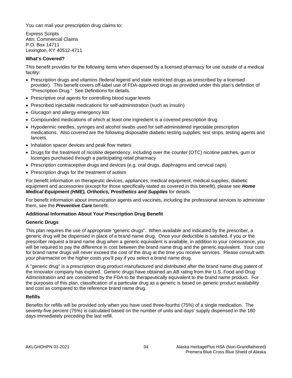You can mail your prescription drug claims to:

Express Scripts Attn: Commercial Claims P.O. Box 14711 Lexington, KY 40512-4711

### **What's Covered?**

This benefit provides for the following items when dispensed by a licensed pharmacy for use outside of a medical facility:

- Prescription drugs and vitamins (federal legend and state restricted drugs as prescribed by a licensed provider). This benefit covers off-label use of FDA-approved drugs as provided under this plan's definition of "Prescription Drug." See Definitions for details.
- Prescriptive oral agents for controlling blood sugar levels
- Prescribed injectable medications for self-administration (such as insulin)
- Glucagon and allergy emergency kits
- Compounded medications of which at least one ingredient is a covered prescription drug
- Hypodermic needles, syringes and alcohol swabs used for self-administered injectable prescription medications. Also covered are the following disposable diabetic testing supplies: test strips, testing agents and lancets.
- Inhalation spacer devices and peak flow meters
- Drugs for the treatment of nicotine dependency, including over the counter (OTC) nicotine patches, gum or lozenges purchased through a participating retail pharmacy
- Prescription contraceptive drugs and devices (e.g. oral drugs, diaphragms and cervical caps)
- Prescription drugs for the treatment of autism

For benefit information on therapeutic devices, appliances, medical equipment, medical supplies, diabetic equipment and accessories (except for those specifically stated as covered in this benefit), please see *Home Medical Equipment (HME), Orthotics, Prosthetics and Supplies* for details.

For benefit information about immunization agents and vaccines, including the professional services to administer them, see the *Preventive Care* benefit.

#### **Additional Information About Your Prescription Drug Benefit**

#### **Generic Drugs**

This plan requires the use of appropriate "generic drugs". When available and indicated by the prescriber, a generic drug will be dispensed in place of a brand name drug. Once your deductible is satisfied, if you or the prescriber request a brand name drug when a generic equivalent is available, in addition to your coinsurance, you will be required to pay the difference in cost between the brand name drug and the generic equivalent. Your cost for brand name drugs will never exceed the cost of the drug at the time you receive services. Please consult with your pharmacist on the higher costs you'll pay if you select a brand name drug.

A "generic drug" is a prescription drug product manufactured and distributed after the brand name drug patent of the innovator company has expired. Generic drugs have obtained an AB rating from the U.S. Food and Drug Administration and are considered by the FDA to be therapeutically equivalent to the brand name product. For the purposes of this plan, classification of a particular drug as a generic is based on generic product availability and cost as compared to the reference brand name drug.

#### **Refills**

Benefits for refills will be provided only when you have used three-fourths (75%) of a single medication. The seventy-five percent (75%) is calculated based on the number of units and days' supply dispensed in the 180 days immediately preceding the last refill.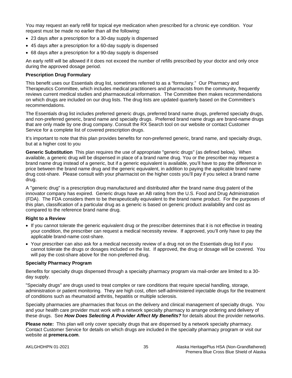You may request an early refill for topical eye medication when prescribed for a chronic eye condition. Your request must be made no earlier than all the following:

- 23 days after a prescription for a 30-day supply is dispensed
- 45 days after a prescription for a 60-day supply is dispensed
- 68 days after a prescription for a 90-day supply is dispensed

An early refill will be allowed if it does not exceed the number of refills prescribed by your doctor and only once during the approved dosage period.

#### **Prescription Drug Formulary**

This benefit uses our Essentials drug list, sometimes referred to as a "formulary." Our Pharmacy and Therapeutics Committee, which includes medical practitioners and pharmacists from the community, frequently reviews current medical studies and pharmaceutical information. The Committee then makes recommendations on which drugs are included on our drug lists. The drug lists are updated quarterly based on the Committee's recommendations.

The Essentials drug list includes preferred generic drugs, preferred brand name drugs, preferred specialty drugs, and non-preferred generic, brand name and specialty drugs. Preferred brand name drugs are brand-name drugs that are only made by one drug company. Consult the RX Search tool on our website or contact Customer Service for a complete list of covered prescription drugs.

It's important to note that this plan provides benefits for non-preferred generic, brand name, and specialty drugs, but at a higher cost to you

**Generic Substitution** This plan requires the use of appropriate "generic drugs" (as defined below). When available, a generic drug will be dispensed in place of a brand name drug. You or the prescriber may request a brand name drug instead of a generic, but if a generic equivalent is available, you'll have to pay the difference in price between the brand name drug and the generic equivalent, in addition to paying the applicable brand name drug cost-share. Please consult with your pharmacist on the higher costs you'll pay if you select a brand name drug.

A "generic drug" is a prescription drug manufactured and distributed after the brand name drug patent of the innovator company has expired. Generic drugs have an AB rating from the U.S. Food and Drug Administration (FDA). The FDA considers them to be therapeutically equivalent to the brand name product. For the purposes of this plan, classification of a particular drug as a generic is based on generic product availability and cost as compared to the reference brand name drug.

#### **Right to a Review**

- If you cannot tolerate the generic equivalent drug or the prescriber determines that it is not effective in treating your condition, the prescriber can request a medical necessity review. If approved, you'll only have to pay the applicable brand-name cost-share.
- Your prescriber can also ask for a medical necessity review of a drug not on the Essentials drug list if you cannot tolerate the drugs or dosages included on the list. If approved, the drug or dosage will be covered. You will pay the cost-share above for the non-preferred drug.

#### **Specialty Pharmacy Program**

Benefits for specialty drugs dispensed through a specialty pharmacy program via mail-order are limited to a 30 day supply.

"Specialty drugs" are drugs used to treat complex or rare conditions that require special handling, storage, administration or patient monitoring. They are high cost, often self-administered injectable drugs for the treatment of conditions such as rheumatoid arthritis, hepatitis or multiple sclerosis.

Specialty pharmacies are pharmacies that focus on the delivery and clinical management of specialty drugs. You and your health care provider must work with a network specialty pharmacy to arrange ordering and delivery of these drugs. See *How Does Selecting A Provider Affect My Benefits?* for details about the provider networks.

**Please note:** This plan will only cover specialty drugs that are dispensed by a network specialty pharmacy. Contact Customer Service for details on which drugs are included in the specialty pharmacy program or visit our website at **premera.com**.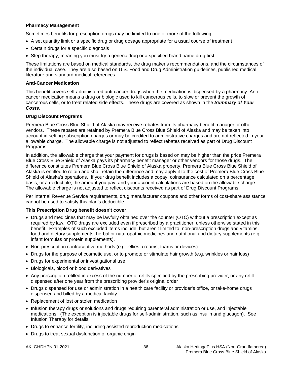### **Pharmacy Management**

Sometimes benefits for prescription drugs may be limited to one or more of the following:

- A set quantity limit or a specific drug or drug dosage appropriate for a usual course of treatment
- Certain drugs for a specific diagnosis
- Step therapy, meaning you must try a generic drug or a specified brand name drug first

These limitations are based on medical standards, the drug maker's recommendations, and the circumstances of the individual case. They are also based on U.S. Food and Drug Administration guidelines, published medical literature and standard medical references.

#### **Anti-Cancer Medication**

This benefit covers self-administered anti-cancer drugs when the medication is dispensed by a pharmacy. Anticancer medication means a drug or biologic used to kill cancerous cells, to slow or prevent the growth of cancerous cells, or to treat related side effects. These drugs are covered as shown in the *Summary of Your Costs*.

#### **Drug Discount Programs**

Premera Blue Cross Blue Shield of Alaska may receive rebates from its pharmacy benefit manager or other vendors. These rebates are retained by Premera Blue Cross Blue Shield of Alaska and may be taken into account in setting subscription charges or may be credited to administrative charges and are not reflected in your allowable charge. The allowable charge is not adjusted to reflect rebates received as part of Drug Discount Programs.

In addition, the allowable charge that your payment for drugs is based on may be higher than the price Premera Blue Cross Blue Shield of Alaska pays its pharmacy benefit manager or other vendors for those drugs. The difference constitutes Premera Blue Cross Blue Shield of Alaska property. Premera Blue Cross Blue Shield of Alaska is entitled to retain and shall retain the difference and may apply it to the cost of Premera Blue Cross Blue Shield of Alaska's operations. If your drug benefit includes a copay, coinsurance calculated on a percentage basis, or a deductible, the amount you pay, and your account calculations are based on the allowable charge. The allowable charge is not adjusted to reflect discounts received as part of Drug Discount Programs.

Per Internal Revenue Service requirements, drug manufacturer coupons and other forms of cost-share assistance cannot be used to satisfy this plan's deductible.

#### **This Prescription Drug benefit doesn't cover:**

- Drugs and medicines that may be lawfully obtained over the counter (OTC) without a prescription except as required by law. OTC drugs are excluded even if prescribed by a practitioner, unless otherwise stated in this benefit. Examples of such excluded items include, but aren't limited to, non-prescription drugs and vitamins, food and dietary supplements, herbal or naturopathic medicines and nutritional and dietary supplements (e.g. infant formulas or protein supplements).
- Non-prescription contraceptive methods (e.g. jellies, creams, foams or devices)
- Drugs for the purpose of cosmetic use, or to promote or stimulate hair growth (e.g. wrinkles or hair loss)
- Drugs for experimental or investigational use
- Biologicals, blood or blood derivatives
- Any prescription refilled in excess of the number of refills specified by the prescribing provider, or any refill dispensed after one year from the prescribing provider's original order
- Drugs dispensed for use or administration in a health care facility or provider's office, or take-home drugs dispensed and billed by a medical facility
- Replacement of lost or stolen medication
- Infusion therapy drugs or solutions and drugs requiring parenteral administration or use, and injectable medications. (The exception is injectable drugs for self-administration, such as insulin and glucagon). See Infusion Therapy for details.
- Drugs to enhance fertility, including assisted reproduction medications
- Drugs to treat sexual dysfunction of organic origin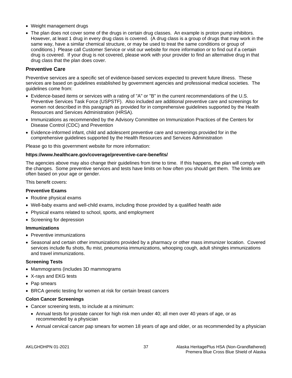- Weight management drugs
- The plan does not cover some of the drugs in certain drug classes. An example is proton pump inhibitors. However, at least 1 drug in every drug class is covered. (A drug class is a group of drugs that may work in the same way, have a similar chemical structure, or may be used to treat the same conditions or group of conditions.) Please call Customer Service or visit our website for more information or to find out if a certain drug is covered. If your drug is not covered, please work with your provider to find an alternative drug in that drug class that the plan does cover.

### **Preventive Care**

Preventive services are a specific set of evidence-based services expected to prevent future illness. These services are based on guidelines established by government agencies and professional medical societies. The guidelines come from:

- Evidence-based items or services with a rating of "A" or "B" in the current recommendations of the U.S. Preventive Services Task Force (USPSTF). Also included are additional preventive care and screenings for women not described in this paragraph as provided for in comprehensive guidelines supported by the Health Resources and Services Administration (HRSA).
- Immunizations as recommended by the Advisory Committee on Immunization Practices of the Centers for Disease Control (CDC) and Prevention
- Evidence-informed infant, child and adolescent preventive care and screenings provided for in the comprehensive guidelines supported by the Health Resources and Services Administration

Please go to this government website for more information:

#### **https://www.healthcare.gov/coverage/preventive-care-benefits/**

The agencies above may also change their guidelines from time to time. If this happens, the plan will comply with the changes. Some preventive services and tests have limits on how often you should get them. The limits are often based on your age or gender.

This benefit covers:

#### **Preventive Exams**

- Routine physical exams
- Well-baby exams and well-child exams, including those provided by a qualified health aide
- Physical exams related to school, sports, and employment
- Screening for depression

#### **Immunizations**

- Preventive immunizations
- Seasonal and certain other immunizations provided by a pharmacy or other mass immunizer location. Covered services include flu shots, flu mist, pneumonia immunizations, whooping cough, adult shingles immunizations and travel immunizations.

#### **Screening Tests**

- Mammograms (includes 3D mammograms
- X-rays and EKG tests
- Pap smears
- BRCA genetic testing for women at risk for certain breast cancers

#### **Colon Cancer Screenings**

- Cancer screening tests, to include at a minimum:
	- Annual tests for prostate cancer for high risk men under 40; all men over 40 years of age, or as recommended by a physician
	- Annual cervical cancer pap smears for women 18 years of age and older, or as recommended by a physician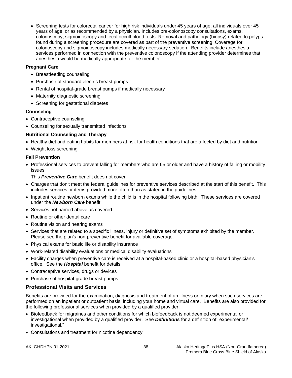• Screening tests for colorectal cancer for high risk individuals under 45 years of age; all individuals over 45 years of age, or as recommended by a physician. Includes pre-colonoscopy consultations, exams, colonoscopy, sigmoidoscopy and fecal occult blood tests. Removal and pathology (biopsy) related to polyps found during a screening procedure are covered as part of the preventive screening. Coverage for colonoscopy and sigmoidoscopy includes medically necessary sedation. Benefits include anesthesia services performed in connection with the preventive colonoscopy if the attending provider determines that anesthesia would be medically appropriate for the member.

## **Pregnant Care**

- Breastfeeding counseling
- Purchase of standard electric breast pumps
- Rental of hospital-grade breast pumps if medically necessary
- Maternity diagnostic screening
- Screening for gestational diabetes

## **Counseling**

- Contraceptive counseling
- Counseling for sexually transmitted infections

## **Nutritional Counseling and Therapy**

- Healthy diet and eating habits for members at risk for health conditions that are affected by diet and nutrition
- Weight loss screening

## **Fall Prevention**

• Professional services to prevent falling for members who are 65 or older and have a history of falling or mobility issues.

This *Preventive Care* benefit does not cover:

- Charges that don't meet the federal guidelines for preventive services described at the start of this benefit. This includes services or items provided more often than as stated in the guidelines.
- Inpatient routine newborn exams while the child is in the hospital following birth. These services are covered under the *Newborn Care* benefit.
- Services not named above as covered
- Routine or other dental care
- Routine vision and hearing exams
- Services that are related to a specific illness, injury or definitive set of symptoms exhibited by the member. Please see the plan's non-preventive benefit for available coverage.
- Physical exams for basic life or disability insurance
- Work-related disability evaluations or medical disability evaluations
- Facility charges when preventive care is received at a hospital-based clinic or a hospital-based physician's office. See the *Hospital* benefit for details.
- Contraceptive services, drugs or devices
- Purchase of hospital-grade breast pumps

# **Professional Visits and Services**

Benefits are provided for the examination, diagnosis and treatment of an illness or injury when such services are performed on an inpatient or outpatient basis, including your home and virtual care. Benefits are also provided for the following professional services when provided by a qualified provider:

- Biofeedback for migraines and other conditions for which biofeedback is not deemed experimental or investigational when provided by a qualified provider. See *Definitions* for a definition of "experimental/ investigational."
- Consultations and treatment for nicotine dependency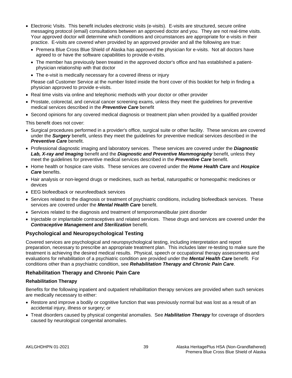- Electronic Visits. This benefit includes electronic visits (e-visits). E-visits are structured, secure online messaging protocol (email) consultations between an approved doctor and you. They are not real-time visits. Your approved doctor will determine which conditions and circumstances are appropriate for e-visits in their practice. E-visits are covered when provided by an approved provider and all the following are true:
	- Premera Blue Cross Blue Shield of Alaska has approved the physician for e-visits. Not all doctors have agreed to or have the software capabilities to provide e-visits.
	- The member has previously been treated in the approved doctor's office and has established a patientphysician relationship with that doctor
	- The e-visit is medically necessary for a covered illness or injury

Please call Customer Service at the number listed inside the front cover of this booklet for help in finding a physician approved to provide e-visits.

- Real time visits via online and telephonic methods with your doctor or other provider
- Prostate, colorectal, and cervical cancer screening exams, unless they meet the guidelines for preventive medical services described in the *Preventive Care* benefit
- Second opinions for any covered medical diagnosis or treatment plan when provided by a qualified provider

This benefit does not cover:

- Surgical procedures performed in a provider's office, surgical suite or other facility. These services are covered under the *Surgery* benefit, unless they meet the guidelines for preventive medical services described in the *Preventive Care* benefit.
- Professional diagnostic imaging and laboratory services. These services are covered under the *Diagnostic Lab, X-ray and Imaging* benefit and the *Diagnostic and Preventive Mammography* benefit, unless they meet the guidelines for preventive medical services described in the *Preventive Care* benefit.
- Home health or hospice care visits. These services are covered under the *Home Health Care* and *Hospice Care* benefits.
- Hair analysis or non-legend drugs or medicines, such as herbal, naturopathic or homeopathic medicines or devices
- EEG biofeedback or neurofeedback services
- Services related to the diagnosis or treatment of psychiatric conditions, including biofeedback services. These services are covered under the *Mental Health Care* benefit.
- Services related to the diagnosis and treatment of temporomandibular joint disorder
- Injectable or implantable contraceptives and related services. These drugs and services are covered under the *Contraceptive Management and Sterilization* benefit.

## **Psychological and Neuropsychological Testing**

Covered services are psychological and neuropsychological testing, including interpretation and report preparation, necessary to prescribe an appropriate treatment plan. This includes later re-testing to make sure the treatment is achieving the desired medical results. Physical, speech or occupational therapy assessments and evaluations for rehabilitation of a psychiatric condition are provided under the *Mental Health Care* benefit. For conditions other than a psychiatric condition, see *Rehabilitation Therapy and Chronic Pain Care*.

## **Rehabilitation Therapy and Chronic Pain Care**

## **Rehabilitation Therapy**

Benefits for the following inpatient and outpatient rehabilitation therapy services are provided when such services are medically necessary to either:

- Restore and improve a bodily or cognitive function that was previously normal but was lost as a result of an accidental injury, illness or surgery; or
- Treat disorders caused by physical congenital anomalies. See *Habilitation Therapy* for coverage of disorders caused by neurological congenital anomalies.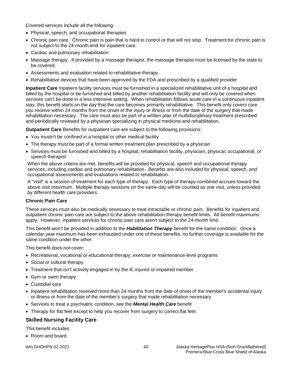Covered services include all the following:

- Physical, speech, and occupational therapies
- Chronic pain care. Chronic pain is pain that is hard to control or that will not stop. Treatment for chronic pain is not subject to the 24-month limit for inpatient care.
- Cardiac and pulmonary rehabilitation
- Massage therapy. If provided by a massage therapist, the massage therapist must be licensed by the state to be covered.
- Assessments and evaluation related to rehabilitative therapy
- Rehabilitative devices that have been approved by the FDA and prescribed by a qualified provider

**Inpatient Care** Inpatient facility services must be furnished in a specialized rehabilitative unit of a hospital and billed by the hospital or be furnished and billed by another rehabilitation facility and will only be covered when services can't be done in a less intensive setting. When rehabilitation follows acute care in a continuous inpatient stay, this benefit starts on the day that the care becomes primarily rehabilitative. This benefit only covers care you receive within 24 months from the onset of the injury or illness or from the date of the surgery that made rehabilitation necessary. The care must also be part of a written plan of multidisciplinary treatment prescribed and periodically reviewed by a physician specializing in physical medicine and rehabilitation.

**Outpatient Care** Benefits for outpatient care are subject to the following provisions:

- You mustn't be confined in a hospital or other medical facility
- The therapy must be part of a formal written treatment plan prescribed by a physician
- Services must be furnished and billed by a hospital, rehabilitation facility, physician, physical, occupational, or speech therapist

When the above criteria are met, benefits will be provided for physical, speech and occupational therapy services, including cardiac and pulmonary rehabilitation. Benefits are also included for physical, speech, and occupational assessments and evaluations related to rehabilitation.

A "visit" is a session of treatment for each type of therapy. Each type of therapy combined accrues toward the above visit maximum. Multiple therapy sessions on the same day will be counted as one visit, unless provided by different health care providers.

## **Chronic Pain Care**

These services must also be medically necessary to treat intractable or chronic pain. Benefits for inpatient and outpatient chronic pain care are subject to the above rehabilitation therapy benefit limits. All benefit maximums apply. However, inpatient services for chronic pain care aren't subject to the 24-month limit.

This benefit won't be provided in addition to the *Habilitation Therapy* benefit for the same condition. Once a calendar year maximum has been exhausted under one of these benefits, no further coverage is available for the same condition under the other.

This benefit does not cover:

- Recreational, vocational or educational therapy; exercise or maintenance-level programs
- Social or cultural therapy
- Treatment that isn't actively engaged in by the ill, injured or impaired member
- Gym or swim therapy
- Custodial care
- Inpatient rehabilitation received more than 24 months from the date of onset of the member's accidental injury or illness or from the date of the member's surgery that made rehabilitation necessary
- Services to treat a psychiatric condition, see the *Mental Health Care* benefit
- Therapy for flat feet except to help you recover from surgery to correct flat feet

# **Skilled Nursing Facility Care**

This benefit includes:

• Room and board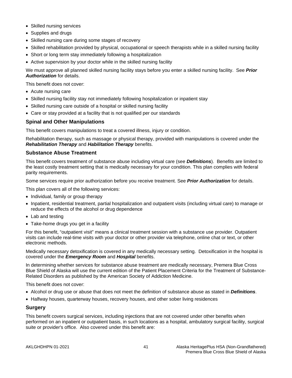- Skilled nursing services
- Supplies and drugs
- Skilled nursing care during some stages of recovery
- Skilled rehabilitation provided by physical, occupational or speech therapists while in a skilled nursing facility
- Short or long term stay immediately following a hospitalization
- Active supervision by your doctor while in the skilled nursing facility

We must approve all planned skilled nursing facility stays before you enter a skilled nursing facility. See *Prior Authorization* for details.

This benefit does not cover:

- Acute nursing care
- Skilled nursing facility stay not immediately following hospitalization or inpatient stay
- Skilled nursing care outside of a hospital or skilled nursing facility
- Care or stay provided at a facility that is not qualified per our standards

## **Spinal and Other Manipulations**

This benefit covers manipulations to treat a covered illness, injury or condition.

Rehabilitation therapy, such as massage or physical therapy, provided with manipulations is covered under the *Rehabilitation Therapy* and *Habilitation Therapy* benefits.

## **Substance Abuse Treatment**

This benefit covers treatment of substance abuse including virtual care (see *Definitions*). Benefits are limited to the least costly treatment setting that is medically necessary for your condition. This plan complies with federal parity requirements.

Some services require prior authorization before you receive treatment. See *Prior Authorization* for details.

This plan covers all of the following services:

- Individual, family or group therapy
- Inpatient, residential treatment, partial hospitalization and outpatient visits (including virtual care) to manage or reduce the effects of the alcohol or drug dependence
- Lab and testing
- Take-home drugs you get in a facility

For this benefit, "outpatient visit" means a clinical treatment session with a substance use provider. Outpatient visits can include real-time visits with your doctor or other provider via telephone, online chat or text, or other electronic methods.

Medically necessary detoxification is covered in any medically necessary setting. Detoxification in the hospital is covered under the *Emergency Room* and *Hospital* benefits.

In determining whether services for substance abuse treatment are medically necessary, Premera Blue Cross Blue Shield of Alaska will use the current edition of the Patient Placement Criteria for the Treatment of Substance-Related Disorders as published by the American Society of Addiction Medicine.

This benefit does not cover:

- Alcohol or drug use or abuse that does not meet the definition of substance abuse as stated in *Definitions*.
- Halfway houses, quarterway houses, recovery houses, and other sober living residences

#### **Surgery**

This benefit covers surgical services, including injections that are not covered under other benefits when performed on an inpatient or outpatient basis, in such locations as a hospital, ambulatory surgical facility, surgical suite or provider's office. Also covered under this benefit are: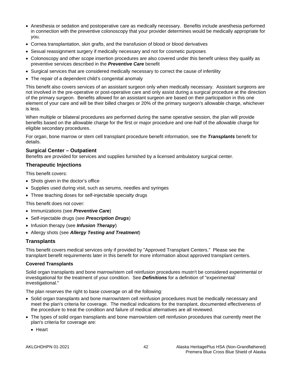- Anesthesia or sedation and postoperative care as medically necessary. Benefits include anesthesia performed in connection with the preventive colonoscopy that your provider determines would be medically appropriate for you.
- Cornea transplantation, skin grafts, and the transfusion of blood or blood derivatives
- Sexual reassignment surgery if medically necessary and not for cosmetic purposes
- Colonoscopy and other scope insertion procedures are also covered under this benefit unless they qualify as preventive services described in the *Preventive Care* benefit
- Surgical services that are considered medically necessary to correct the cause of infertility
- The repair of a dependent child's congenital anomaly

This benefit also covers services of an assistant surgeon only when medically necessary. Assistant surgeons are not involved in the pre-operative or post-operative care and only assist during a surgical procedure at the direction of the primary surgeon. Benefits allowed for an assistant surgeon are based on their participation in this one element of your care and will be their billed charges or 20% of the primary surgeon's allowable charge, whichever is less.

When multiple or bilateral procedures are performed during the same operative session, the plan will provide benefits based on the allowable charge for the first or major procedure and one-half of the allowable charge for eligible secondary procedures.

For organ, bone marrow or stem cell transplant procedure benefit information, see the *Transplants* benefit for details.

#### **Surgical Center – Outpatient**

Benefits are provided for services and supplies furnished by a licensed ambulatory surgical center.

#### **Therapeutic Injections**

This benefit covers:

- Shots given in the doctor's office
- Supplies used during visit, such as serums, needles and syringes
- Three teaching doses for self-injectable specialty drugs

This benefit does not cover:

- Immunizations (see *Preventive Care*)
- Self-injectable drugs (see *Prescription Drugs*)
- Infusion therapy (see *Infusion Therapy*)
- Allergy shots (see *Allergy Testing and Treatment*)

## **Transplants**

This benefit covers medical services only if provided by "Approved Transplant Centers." Please see the transplant benefit requirements later in this benefit for more information about approved transplant centers.

#### **Covered Transplants**

Solid organ transplants and bone marrow/stem cell reinfusion procedures mustn't be considered experimental or investigational for the treatment of your condition. See *Definitions* for a definition of "experimental/ investigational."

The plan reserves the right to base coverage on all the following:

- Solid organ transplants and bone marrow/stem cell reinfusion procedures must be medically necessary and meet the plan's criteria for coverage. The medical indications for the transplant, documented effectiveness of the procedure to treat the condition and failure of medical alternatives are all reviewed.
- The types of solid organ transplants and bone marrow/stem cell reinfusion procedures that currently meet the plan's criteria for coverage are:
	- Heart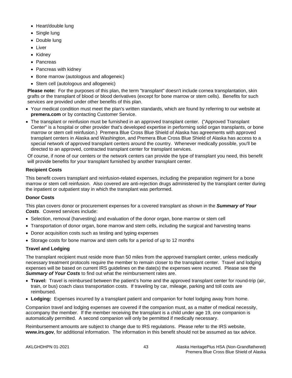- Heart/double lung
- Single lung
- Double lung
- Liver
- Kidney
- Pancreas
- Pancreas with kidney
- Bone marrow (autologous and allogeneic)
- Stem cell (autologous and allogeneic)

**Please note:** For the purposes of this plan, the term "transplant" doesn't include cornea transplantation, skin grafts or the transplant of blood or blood derivatives (except for bone marrow or stem cells). Benefits for such services are provided under other benefits of this plan.

- Your medical condition must meet the plan's written standards, which are found by referring to our website at **premera.com** or by contacting Customer Service.
- The transplant or reinfusion must be furnished in an approved transplant center. ("Approved Transplant Center" is a hospital or other provider that's developed expertise in performing solid organ transplants, or bone marrow or stem cell reinfusion.) Premera Blue Cross Blue Shield of Alaska has agreements with approved transplant centers in Alaska and Washington, and Premera Blue Cross Blue Shield of Alaska has access to a special network of approved transplant centers around the country. Whenever medically possible, you'll be directed to an approved, contracted transplant center for transplant services.

Of course, if none of our centers or the network centers can provide the type of transplant you need, this benefit will provide benefits for your transplant furnished by another transplant center.

# **Recipient Costs**

This benefit covers transplant and reinfusion-related expenses, including the preparation regiment for a bone marrow or stem cell reinfusion. Also covered are anti-rejection drugs administered by the transplant center during the inpatient or outpatient stay in which the transplant was performed.

# **Donor Costs**

This plan covers donor or procurement expenses for a covered transplant as shown in the *Summary of Your Costs*. Covered services include:

- Selection, removal (harvesting) and evaluation of the donor organ, bone marrow or stem cell
- Transportation of donor organ, bone marrow and stem cells, including the surgical and harvesting teams
- Donor acquisition costs such as testing and typing expenses
- Storage costs for bone marrow and stem cells for a period of up to 12 months

# **Travel and Lodging**

The transplant recipient must reside more than 50 miles from the approved transplant center, unless medically necessary treatment protocols require the member to remain closer to the transplant center. Travel and lodging expenses will be based on current IRS guidelines on the date(s) the expenses were incurred. Please see the *Summary of Your Costs* to find out what the reimbursement rates are.

- **Travel:** Travel is reimbursed between the patient's home and the approved transplant center for round-trip (air, train, or bus) coach class transportation costs. If traveling by car, mileage, parking and toll costs are reimbursed.
- **Lodging:** Expenses incurred by a transplant patient and companion for hotel lodging away from home.

Companion travel and lodging expenses are covered if the companion must, as a matter of medical necessity, accompany the member. If the member receiving the transplant is a child under age 19, one companion is automatically permitted. A second companion will only be permitted if medically necessary.

Reimbursement amounts are subject to change due to IRS regulations. Please refer to the IRS website, **www.irs.gov**, for additional information. The information in this benefit should not be assumed as tax advice.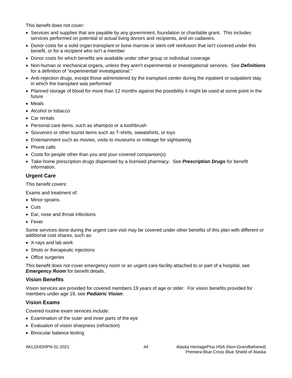This benefit does not cover:

- Services and supplies that are payable by any government, foundation or charitable grant. This includes services performed on potential or actual living donors and recipients, and on cadavers.
- Donor costs for a solid organ transplant or bone marrow or stem cell reinfusion that isn't covered under this benefit, or for a recipient who isn't a member
- Donor costs for which benefits are available under other group or individual coverage
- Non-human or mechanical organs, unless they aren't experimental or investigational services. See *Definitions* for a definition of "experimental/ investigational."
- Anti-rejection drugs, except those administered by the transplant center during the inpatient or outpatient stay in which the transplant was performed
- Planned storage of blood for more than 12 months against the possibility it might be used at some point in the future
- Meals
- Alcohol or tobacco
- Car rentals
- Personal care items, such as shampoo or a toothbrush
- Souvenirs or other tourist items such as T-shirts, sweatshirts, or toys
- Entertainment such as movies, visits to museums or mileage for sightseeing
- Phone calls
- Costs for people other than you and your covered companion(s)
- Take-home prescription drugs dispensed by a licensed pharmacy. See *Prescription Drugs* for benefit information.

## **Urgent Care**

This benefit covers:

Exams and treatment of:

- Minor sprains
- Cuts
- Ear, nose and throat infections
- Fever

Some services done during the urgent care visit may be covered under other benefits of this plan with different or additional cost shares, such as:

- X-rays and lab work
- Shots or therapeutic injections
- Office surgeries

This benefit does not cover emergency room or an urgent care facility attached to or part of a hospital, see *Emergency Room* for benefit details.

## **Vision Benefits**

Vision services are provided for covered members 19 years of age or older. For vision benefits provided for members under age 19, see *Pediatric Vision*.

## **Vision Exams**

Covered routine exam services include:

- Examination of the outer and inner parts of the eye
- Evaluation of vision sharpness (refraction)
- Binocular balance testing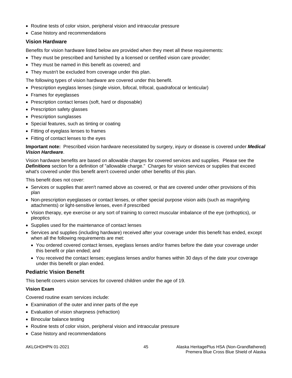- Routine tests of color vision, peripheral vision and intraocular pressure
- Case history and recommendations

# **Vision Hardware**

Benefits for vision hardware listed below are provided when they meet all these requirements:

- They must be prescribed and furnished by a licensed or certified vision care provider;
- They must be named in this benefit as covered; and
- They mustn't be excluded from coverage under this plan.

The following types of vision hardware are covered under this benefit.

- Prescription eyeglass lenses (single vision, bifocal, trifocal, quadrafocal or lenticular)
- Frames for eyeglasses
- Prescription contact lenses (soft, hard or disposable)
- Prescription safety glasses
- Prescription sunglasses
- Special features, such as tinting or coating
- Fitting of eyeglass lenses to frames
- Fitting of contact lenses to the eyes

**Important note:** Prescribed vision hardware necessitated by surgery, injury or disease is covered under *Medical Vision Hardware*.

Vision hardware benefits are based on allowable charges for covered services and supplies. Please see the *Definitions* section for a definition of "allowable charge." Charges for vision services or supplies that exceed what's covered under this benefit aren't covered under other benefits of this plan.

This benefit does not cover:

- Services or supplies that aren't named above as covered, or that are covered under other provisions of this plan
- Non-prescription eyeglasses or contact lenses, or other special purpose vision aids (such as magnifying attachments) or light-sensitive lenses, even if prescribed
- Vision therapy, eye exercise or any sort of training to correct muscular imbalance of the eye (orthoptics), or pleoptics
- Supplies used for the maintenance of contact lenses
- Services and supplies (including hardware) received after your coverage under this benefit has ended, except when all the following requirements are met:
	- You ordered covered contact lenses, eyeglass lenses and/or frames before the date your coverage under this benefit or plan ended; and
	- You received the contact lenses; eyeglass lenses and/or frames within 30 days of the date your coverage under this benefit or plan ended.

# **Pediatric Vision Benefit**

This benefit covers vision services for covered children under the age of 19.

## **Vision Exam**

Covered routine exam services include:

- Examination of the outer and inner parts of the eye
- Evaluation of vision sharpness (refraction)
- Binocular balance testing
- Routine tests of color vision, peripheral vision and intraocular pressure
- Case history and recommendations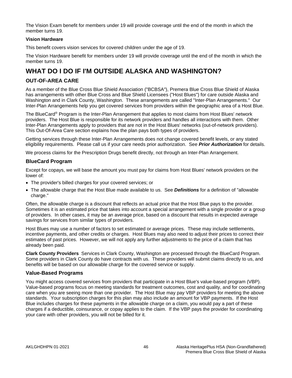The Vision Exam benefit for members under 19 will provide coverage until the end of the month in which the member turns 19.

#### **Vision Hardware**

This benefit covers vision services for covered children under the age of 19.

The Vision Hardware benefit for members under 19 will provide coverage until the end of the month in which the member turns 19.

# **WHAT DO I DO IF I'M OUTSIDE ALASKA AND WASHINGTON?**

# **OUT-OF-AREA CARE**

As a member of the Blue Cross Blue Shield Association ("BCBSA"), Premera Blue Cross Blue Shield of Alaska has arrangements with other Blue Cross and Blue Shield Licensees ("Host Blues") for care outside Alaska and Washington and in Clark County, Washington. These arrangements are called "Inter-Plan Arrangements." Our Inter-Plan Arrangements help you get covered services from providers within the geographic area of a Host Blue.

The BlueCard® Program is the Inter-Plan Arrangement that applies to most claims from Host Blues' network providers. The Host Blue is responsible for its network providers and handles all interactions with them. Other Inter-Plan Arrangements apply to providers that are not in the Host Blues' networks (out-of-network providers). This Out-Of-Area Care section explains how the plan pays both types of providers.

Getting services through these Inter-Plan Arrangements does not change covered benefit levels, or any stated eligibility requirements. Please call us if your care needs prior authorization. See *Prior Authorization* for details.

We process claims for the Prescription Drugs benefit directly, not through an Inter-Plan Arrangement.

## **BlueCard Program**

Except for copays, we will base the amount you must pay for claims from Host Blues' network providers on the lower of:

- The provider's billed charges for your covered services; or
- The allowable charge that the Host Blue made available to us. See *Definitions* for a definition of "allowable charge."

Often, the allowable charge is a discount that reflects an actual price that the Host Blue pays to the provider. Sometimes it is an estimated price that takes into account a special arrangement with a single provider or a group of providers. In other cases, it may be an average price, based on a discount that results in expected average savings for services from similar types of providers.

Host Blues may use a number of factors to set estimated or average prices. These may include settlements, incentive payments, and other credits or charges. Host Blues may also need to adjust their prices to correct their estimates of past prices. However, we will not apply any further adjustments to the price of a claim that has already been paid.

**Clark County Providers** Services in Clark County, Washington are processed through the BlueCard Program. Some providers in Clark County do have contracts with us. These providers will submit claims directly to us, and benefits will be based on our allowable charge for the covered service or supply.

## **Value-Based Programs**

You might access covered services from providers that participate in a Host Blue's value-based program (VBP). Value-based programs focus on meeting standards for treatment outcomes, cost and quality, and for coordinating care when you are seeing more than one provider. The Host Blue may pay VBP providers for meeting the above standards. Your subscription charges for this plan may also include an amount for VBP payments. If the Host Blue includes charges for these payments in the allowable charge on a claim, you would pay a part of these charges if a deductible, coinsurance, or copay applies to the claim. If the VBP pays the provider for coordinating your care with other providers, you will not be billed for it.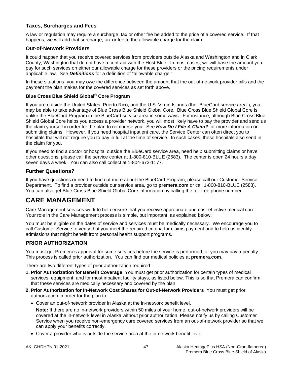## **Taxes, Surcharges and Fees**

A law or regulation may require a surcharge, tax or other fee be added to the price of a covered service. If that happens, we will add that surcharge, tax or fee to the allowable charge for the claim.

## **Out-of-Network Providers**

It could happen that you receive covered services from providers outside Alaska and Washington and in Clark County, Washington that do not have a contract with the Host Blue. In most cases, we will base the amount you pay for such services on either our allowable charge for these providers or the pricing requirements under applicable law. See *Definitions* for a definition of "allowable charge."

In these situations, you may owe the difference between the amount that the out-of-network provider bills and the payment the plan makes for the covered services as set forth above.

#### **Blue Cross Blue Shield Global**® **Core Program**

If you are outside the United States, Puerto Rico, and the U.S. Virgin Islands (the "BlueCard service area"), you may be able to take advantage of Blue Cross Blue Shield Global Core. Blue Cross Blue Shield Global Core is unlike the BlueCard Program in the BlueCard service area in some ways. For instance, although Blue Cross Blue Shield Global Core helps you access a provider network, you will most likely have to pay the provider and send us the claim yourself in order for the plan to reimburse you. See *How Do I File A Claim?* for more information on submitting claims. However, if you need hospital inpatient care, the Service Center can often direct you to hospitals that will not require you to pay in full at the time of service. In such cases, these hospitals also send in the claim for you.

If you need to find a doctor or hospital outside the BlueCard service area, need help submitting claims or have other questions, please call the service center at 1-800-810-BLUE (2583). The center is open 24 hours a day, seven days a week. You can also call collect at 1-804-673-1177.

#### **Further Questions?**

If you have questions or need to find out more about the BlueCard Program, please call our Customer Service Department. To find a provider outside our service area, go to **premera.com** or call 1-800-810-BLUE (2583). You can also get Blue Cross Blue Shield Global Core information by calling the toll-free phone number.

# **CARE MANAGEMENT**

Care Management services work to help ensure that you receive appropriate and cost-effective medical care. Your role in the Care Management process is simple, but important, as explained below.

You must be eligible on the dates of service and services must be medically necessary. We encourage you to call Customer Service to verify that you meet the required criteria for claims payment and to help us identify admissions that might benefit from personal health support programs.

## **PRIOR AUTHORIZATION**

You must get Premera's approval for some services before the service is performed, or you may pay a penalty. This process is called prior authorization. You can find our medical policies at **premera.com**.

There are two different types of prior authorization required:

- **1. Prior Authorization for Benefit Coverage** You must get prior authorization for certain types of medical services, equipment, and for most inpatient facility stays, as listed below. This is so that Premera can confirm that these services are medically necessary and covered by the plan.
- **2. Prior Authorization for In-Network Cost Shares for Out-of-Network Providers** You must get prior authorization in order for the plan to:
	- Cover an out-of-network provider in Alaska at the in-network benefit level.

**Note:** If there are no in-network providers within 50 miles of your home, out-of-network providers will be covered at the in-network level in Alaska without prior authorization. Please notify us by calling Customer Service when you receive non-emergency care covered services from an out-of-network provider so that we can apply your benefits correctly.

• Cover a provider who is outside the service area at the in-network benefit level.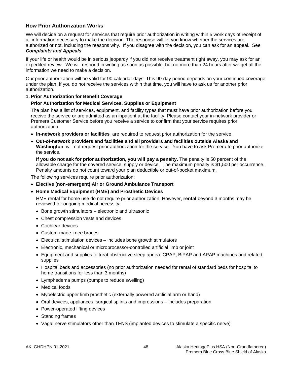# **How Prior Authorization Works**

We will decide on a request for services that require prior authorization in writing within 5 work days of receipt of all information necessary to make the decision. The response will let you know whether the services are authorized or not, including the reasons why. If you disagree with the decision, you can ask for an appeal. See *Complaints and Appeals*.

#### If your life or health would be in serious jeopardy if you did not receive treatment right away, you may ask for an expedited review. We will respond in writing as soon as possible, but no more than 24 hours after we get all the information we need to make a decision.

Our prior authorization will be valid for 90 calendar days. This 90-day period depends on your continued coverage under the plan. If you do not receive the services within that time, you will have to ask us for another prior authorization.

#### **1. Prior Authorization for Benefit Coverage**

#### **Prior Authorization for Medical Services, Supplies or Equipment**

The plan has a list of services, equipment, and facility types that must have prior authorization before you receive the service or are admitted as an inpatient at the facility. Please contact your in-network provider or Premera Customer Service before you receive a service to confirm that your service requires prior authorization.

- **In-network providers or facilities** are required to request prior authorization for the service.
- **Out-of-network providers and facilities and all providers and facilities outside Alaska and Washington** will not request prior authorization for the service. You have to ask Premera to prior authorize the service.

**If you do not ask for prior authorization, you will pay a penalty.** The penalty is 50 percent of the allowable charge for the covered service, supply or device. The maximum penalty is \$1,500 per occurrence. Penalty amounts do not count toward your plan deductible or out-of-pocket maximum.

The following services require prior authorization:

- **Elective (non-emergent) Air or Ground Ambulance Transport**
- **Home Medical Equipment (HME) and Prosthetic Devices**

HME rental for home use do not require prior authorization. However, **rental** beyond 3 months may be reviewed for ongoing medical necessity.

- Bone growth stimulators electronic and ultrasonic
- Chest compression vests and devices
- Cochlear devices
- Custom-made knee braces
- Electrical stimulation devices includes bone growth stimulators
- Electronic, mechanical or microprocessor-controlled artificial limb or joint
- Equipment and supplies to treat obstructive sleep apnea: CPAP, BiPAP and APAP machines and related supplies
- Hospital beds and accessories (no prior authorization needed for rental of standard beds for hospital to home transitions for less than 3 months)
- Lymphedema pumps (pumps to reduce swelling)
- Medical foods
- Myoelectric upper limb prosthetic (externally powered artificial arm or hand)
- Oral devices, appliances, surgical splints and impressions includes preparation
- Power-operated lifting devices
- Standing frames
- Vagal nerve stimulators other than TENS (implanted devices to stimulate a specific nerve)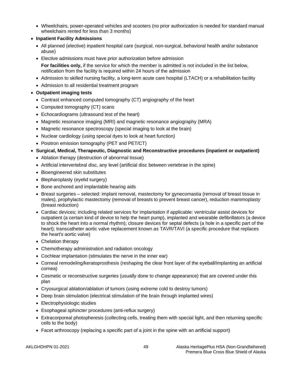- Wheelchairs, power-operated vehicles and scooters (no prior authorization is needed for standard manual wheelchairs rented for less than 3 months)
- **Inpatient Facility Admissions**
	- All planned (elective) inpatient hospital care (surgical, non-surgical, behavioral health and/or substance abuse)
	- Elective admissions must have prior authorization before admission **For facilities only,** if the service for which the member is admitted is not included in the list below, notification from the facility is required within 24 hours of the admission
	- Admission to skilled nursing facility, a long-term acute care hospital (LTACH) or a rehabilitation facility
	- Admission to all residential treatment program
- **Outpatient imaging tests**
	- Contrast enhanced computed tomography (CT) angiography of the heart
	- Computed tomography (CT) scans
	- Echocardiograms (ultrasound test of the heart)
	- Magnetic resonance imaging (MRI) and magnetic resonance angiography (MRA)
	- Magnetic resonance spectroscopy (special imaging to look at the brain)
	- Nuclear cardiology (using special dyes to look at heart function)
	- Positron emission tomography (PET and PET/CT)
- **Surgical, Medical, Therapeutic, Diagnostic and Reconstructive procedures (inpatient or outpatient)**
	- Ablation therapy (destruction of abnormal tissue)
	- Artificial intervertebral disc, any level (artificial disc between vertebrae in the spine)
	- Bioengineered skin substitutes
	- Blepharoplasty (eyelid surgery)
	- Bone anchored and implantable hearing aids
	- Breast surgeries selected: implant removal, mastectomy for gynecomastia (removal of breast tissue in males), prophylactic mastectomy (removal of breasts to prevent breast cancer), reduction mammoplasty (breast reduction)
	- Cardiac devices; including related services for implantation if applicable: ventricular assist devices for outpatient (a certain kind of device to help the heart pump), implanted and wearable defibrillators (a device to shock the heart into a normal rhythm); closure devices for septal defects (a hole in a specific part of the heart); transcatheter aortic valve replacement known as TAVR/TAVI (a specific procedure that replaces the heart's aortic valve)
	- Chelation therapy
	- Chemotherapy administration and radiation oncology
	- Cochlear implantation (stimulates the nerve in the inner ear)
	- Corneal remodeling/keratoprosthesis (reshaping the clear front layer of the eyeball/implanting an artificial cornea)
	- Cosmetic or reconstructive surgeries (usually done to change appearance) that are covered under this plan
	- Cryosurgical ablation/ablation of tumors (using extreme cold to destroy tumors)
	- Deep brain stimulation (electrical stimulation of the brain through implanted wires)
	- Electrophysiologic studies
	- Esophageal sphincter procedures (anti-reflux surgery)
	- Extracorporeal photopheresis (collecting cells, treating them with special light, and then returning specific cells to the body)
	- Facet arthroscopy (replacing a specific part of a joint in the spine with an artificial support)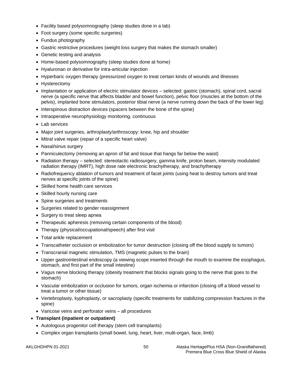- Facility based polysomnography (sleep studies done in a lab)
- Foot surgery (some specific surgeries)
- Fundus photography
- Gastric restrictive procedures (weight loss surgery that makes the stomach smaller)
- Genetic testing and analysis
- Home-based polysomnography (sleep studies done at home)
- Hyaluronan or derivative for intra-articular injection
- Hyperbaric oxygen therapy (pressurized oxygen to treat certain kinds of wounds and illnesses
- Hysterectomy
- Implantation or application of electric stimulator devices selected: gastric (stomach), spinal cord, sacral nerve (a specific nerve that affects bladder and bowel function), pelvic floor (muscles at the bottom of the pelvis), implanted bone stimulators, posterior tibial nerve (a nerve running down the back of the lower leg)
- Interspinous distraction devices (spacers between the bone of the spine)
- Intraoperative neurophysiology monitoring, continuous
- Lab services
- Major joint surgeries, arthroplasty/arthroscopy: knee, hip and shoulder
- Mitral valve repair (repair of a specific heart valve)
- Nasal/sinus surgery
- Panniculectomy (removing an apron of fat and tissue that hangs far below the waist)
- Radiation therapy selected: stereotactic radiosurgery, gamma knife, proton beam, intensity modulated radiation therapy (IMRT), high dose rate electronic brachytherapy, and brachytherapy
- Radiofrequency ablation of tumors and treatment of facet joints (using heat to destroy tumors and treat nerves at specific joints of the spine)
- Skilled home health care services
- Skilled hourly nursing care
- Spine surgeries and treatments
- Surgeries related to gender reassignment
- Surgery to treat sleep apnea
- Therapeutic apheresis (removing certain components of the blood)
- Therapy (physical/occupational/speech) after first visit
- Total ankle replacement
- Transcatheter occlusion or embolization for tumor destruction (closing off the blood supply to tumors)
- Transcranial magnetic stimulation, TMS (magnetic pulses to the brain)
- Upper gastrointestinal endoscopy (a viewing scope inserted through the mouth to examine the esophagus, stomach, and first part of the small intestine)
- Vagus nerve blocking therapy (obesity treatment that blocks signals going to the nerve that goes to the stomach)
- Vascular embolization or occlusion for tumors, organ ischemia or infarction (closing off a blood vessel to treat a tumor or other tissue)
- Vertebroplasty, kyphoplasty, or sacroplasty (specific treatments for stabilizing compression fractures in the spine)
- Varicose veins and perforator veins all procedures
- **Transplant (inpatient or outpatient)**
	- Autologous progenitor cell therapy (stem cell transplants)
	- Complex organ transplants (small bowel, lung, heart, liver, multi-organ, face, limb)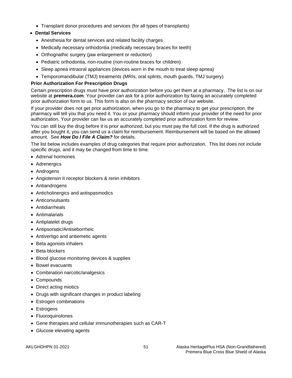• Transplant donor procedures and services (for all types of transplants)

# • **Dental Services**

- Anesthesia for dental services and related facility charges
- Medically necessary orthodontia (medically necessary braces for teeth)
- Orthognathic surgery (jaw enlargement or reduction)
- Pediatric orthodontia, non-routine (non-routine braces for children)
- Sleep apnea intraoral appliances (devices worn in the mouth to treat sleep apnea)
- Temporomandibular (TMJ) treatments (MRIs, oral splints, mouth guards, TMJ surgery)

## **Prior Authorization For Prescription Drugs**

Certain prescription drugs must have prior authorization before you get them at a pharmacy. The list is on our website at **premera.com**. Your provider can ask for a prior authorization by faxing an accurately completed prior authorization form to us. This form is also on the pharmacy section of our website.

If your provider does not get prior authorization, when you go to the pharmacy to get your prescription, the pharmacy will tell you that you need it. You or your pharmacy should inform your provider of the need for prior authorization. Your provider can fax us an accurately completed prior authorization form for review.

You can still buy the drug before it is prior authorized, but you must pay the full cost. If the drug is authorized after you bought it, you can send us a claim for reimbursement. Reimbursement will be based on the allowed amount. See *How Do I File A Claim?* for details.

The list below includes examples of drug categories that require prior authorization. This list does not include specific drugs, and it may be changed from time to time.

- Adrenal hormones
- Adrenergics
- Androgens
- Angiotensin II receptor blockers & renin inhibitors
- Antiandrogens
- Anticholinergics and antispasmodics
- Anticonvulsants
- Antidiarrheals
- Antimalarials
- Antiplatelet drugs
- Antipsoriatic/Antiseborrheic
- Antivertigo and antiemetic agents
- Beta agonists inhalers
- Beta blockers
- Blood glucose monitoring devices & supplies
- Bowel evacuants
- Combination narcotic/analgesics
- Compounds
- Direct acting miotics
- Drugs with significant changes in product labeling
- Estrogen combinations
- Estrogens
- Fluoroquinolones
- Gene therapies and cellular immunotherapies such as CAR-T
- Glucose elevating agents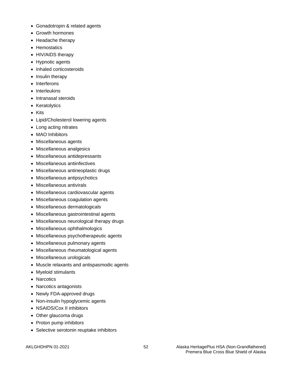- Gonadotropin & related agents
- Growth hormones
- Headache therapy
- Hemostatics
- HIV/AIDS therapy
- Hypnotic agents
- Inhaled corticosteroids
- Insulin therapy
- Interferons
- Interleukins
- Intranasal steroids
- Keratolytics
- Kits
- Lipid/Cholesterol lowering agents
- Long acting nitrates
- MAO Inhibitors
- Miscellaneous agents
- Miscellaneous analgesics
- Miscellaneous antidepressants
- Miscellaneous antiinfectives
- Miscellaneous antineoplastic drugs
- Miscellaneous antipsychotics
- Miscellaneous antivirals
- Miscellaneous cardiovascular agents
- Miscellaneous coagulation agents
- Miscellaneous dermatologicals
- Miscellaneous gastrointestinal agents
- Miscellaneous neurological therapy drugs
- Miscellaneous ophthalmologics
- Miscellaneous psychotherapeutic agents
- Miscellaneous pulmonary agents
- Miscellaneous rheumatological agents
- Miscellaneous urologicals
- Muscle relaxants and antispasmodic agents
- Myeloid stimulants
- Narcotics
- Narcotics antagonists
- Newly FDA-approved drugs
- Non-insulin hypoglycemic agents
- NSAIDS/Cox II inhibitors
- Other glaucoma drugs
- Proton pump inhibitors
- Selective serotonin reuptake inhibitors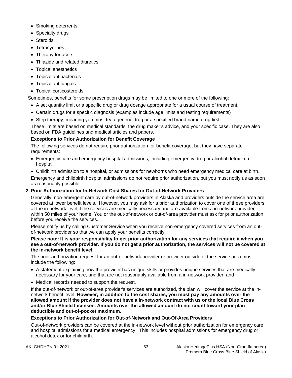- Smoking deterrents
- Specialty drugs
- Steroids
- Tetracyclines
- Therapy for acne
- Thiazide and related diuretics
- Topical anesthetics
- Topical antibacterials
- Topical antifungals
- Topical corticosteroids

Sometimes, benefits for some prescription drugs may be limited to one or more of the following:

- A set quantity limit or a specific drug or drug dosage appropriate for a usual course of treatment.
- Certain drugs for a specific diagnosis (examples include age limits and testing requirements)
- Step therapy, meaning you must try a generic drug or a specified brand name drug first

These limits are based on medical standards, the drug maker's advice, and your specific case. They are also based on FDA guidelines and medical articles and papers.

# **Exceptions to Prior Authorization for Benefit Coverage**

The following services do not require prior authorization for benefit coverage, but they have separate requirements:

- Emergency care and emergency hospital admissions, including emergency drug or alcohol detox in a hospital.
- Childbirth admission to a hospital, or admissions for newborns who need emergency medical care at birth.

Emergency and childbirth hospital admissions do not require prior authorization, but you must notify us as soon as reasonably possible.

# **2. Prior Authorization for In-Network Cost Shares for Out-of-Network Providers**

Generally, non-emergent care by out-of-network providers in Alaska and providers outside the service area are covered at lower benefit levels. However, you may ask for a prior authorization to cover one of these providers at the in-network level if the services are medically necessary and are available from a in-network provider within 50 miles of your home. You or the out-of-network or out-of-area provider must ask for prior authorization before you receive the services.

Please notify us by calling Customer Service when you receive non-emergency covered services from an outof-network provider so that we can apply your benefits correctly.

#### **Please note: It is your responsibility to get prior authorization for any services that require it when you see a out-of-network provider. If you do not get a prior authorization, the services will not be covered at the in-network benefit level.**

The prior authorization request for an out-of-network provider or provider outside of the service area must include the following:

- A statement explaining how the provider has unique skills or provides unique services that are medically necessary for your care, and that are not reasonably available from a in-network provider, and
- Medical records needed to support the request.

If the out-of-network or out-of-area provider's services are authorized, the plan will cover the service at the innetwork benefit level. **However, in addition to the cost shares, you must pay any amounts over the allowed amount if the provider does not have a in-network contract with us or the local Blue Cross and/or Blue Shield Licensee. Amounts over the allowed amount do not count toward your plan deductible and out-of-pocket maximum.**

# **Exceptions to Prior Authorization for Out-of-Network and Out-Of-Area Providers**

Out-of-network providers can be covered at the in-network level without prior authorization for emergency care and hospital admissions for a medical emergency. This includes hospital admissions for emergency drug or alcohol detox or for childbirth.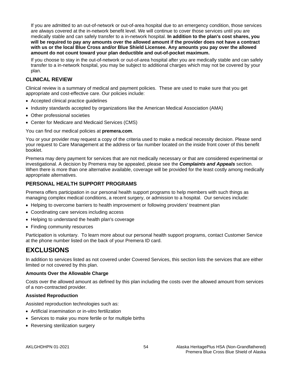If you are admitted to an out-of-network or out-of-area hospital due to an emergency condition, those services are always covered at the in-network benefit level. We will continue to cover those services until you are medically stable and can safely transfer to a in-network hospital. **In addition to the plan's cost shares, you will be required to pay any amounts over the allowed amount if the provider does not have a contract with us or the local Blue Cross and/or Blue Shield Licensee. Any amounts you pay over the allowed amount do not count toward your plan deductible and out-of-pocket maximum.**

If you choose to stay in the out-of-network or out-of-area hospital after you are medically stable and can safely transfer to a in-network hospital, you may be subject to additional charges which may not be covered by your plan.

# **CLINICAL REVIEW**

Clinical review is a summary of medical and payment policies. These are used to make sure that you get appropriate and cost-effective care. Our policies include:

- Accepted clinical practice guidelines
- Industry standards accepted by organizations like the American Medical Association (AMA)
- Other professional societies
- Center for Medicare and Medicaid Services (CMS)

You can find our medical policies at **premera.com**.

You or your provider may request a copy of the criteria used to make a medical necessity decision. Please send your request to Care Management at the address or fax number located on the inside front cover of this benefit booklet.

Premera may deny payment for services that are not medically necessary or that are considered experimental or investigational. A decision by Premera may be appealed, please see the *Complaints and Appeals* section. When there is more than one alternative available, coverage will be provided for the least costly among medically appropriate alternatives.

# **PERSONAL HEALTH SUPPORT PROGRAMS**

Premera offers participation in our personal health support programs to help members with such things as managing complex medical conditions, a recent surgery, or admission to a hospital. Our services include:

- Helping to overcome barriers to health improvement or following providers' treatment plan
- Coordinating care services including access
- Helping to understand the health plan's coverage
- Finding community resources

Participation is voluntary. To learn more about our personal health support programs, contact Customer Service at the phone number listed on the back of your Premera ID card.

# **EXCLUSIONS**

In addition to services listed as not covered under Covered Services, this section lists the services that are either limited or not covered by this plan.

#### **Amounts Over the Allowable Charge**

Costs over the allowed amount as defined by this plan including the costs over the allowed amount from services of a non-contracted provider.

#### **Assisted Reproduction**

Assisted reproduction technologies such as:

- Artificial insemination or in-vitro fertilization
- Services to make you more fertile or for multiple births
- Reversing sterilization surgery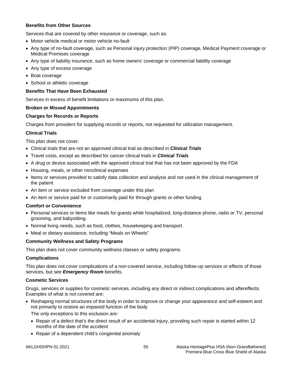#### **Benefits from Other Sources**

Services that are covered by other insurance or coverage, such as:

- Motor vehicle medical or motor vehicle no-fault
- Any type of no-fault coverage, such as Personal injury protection (PIP) coverage, Medical Payment coverage or Medical Premises coverage
- Any type of liability insurance, such as home owners' coverage or commercial liability coverage
- Any type of excess coverage
- Boat coverage
- School or athletic coverage

## **Benefits That Have Been Exhausted**

Services in excess of benefit limitations or maximums of this plan.

## **Broken or Missed Appointments**

## **Charges for Records or Reports**

Charges from providers for supplying records or reports, not requested for utilization management.

## **Clinical Trials**

This plan does not cover:

- Clinical trials that are not an approved clinical trial as described in *Clinical Trials*
- Travel costs, except as described for cancer clinical trials in *Clinical Trials*
- A drug or device associated with the approved clinical trial that has not been approved by the FDA
- Housing, meals, or other nonclinical expenses
- Items or services provided to satisfy data collection and analysis and not used in the clinical management of the patient
- An item or service excluded from coverage under this plan
- An item or service paid for or customarily paid for through grants or other funding

## **Comfort or Convenience**

- Personal services or items like meals for guests while hospitalized, long-distance phone, radio or TV, personal grooming, and babysitting.
- Normal living needs, such as food, clothes, housekeeping and transport.
- Meal or dietary assistance, including "Meals on Wheels"

## **Community Wellness and Safety Programs**

This plan does not cover community wellness classes or safety programs.

#### **Complications**

This plan does not cover complications of a non-covered service, including follow-up services or effects of those services, but see *Emergency Room* benefits.

## **Cosmetic Services**

Drugs, services or supplies for cosmetic services, including any direct or indirect complications and aftereffects. Examples of what is not covered are:

• Reshaping normal structures of the body in order to improve or change your appearance and self-esteem and not primarily to restore an impaired function of the body

The only exceptions to this exclusion are:

- Repair of a defect that's the direct result of an accidental injury, providing such repair is started within 12 months of the date of the accident
- Repair of a dependent child's congenital anomaly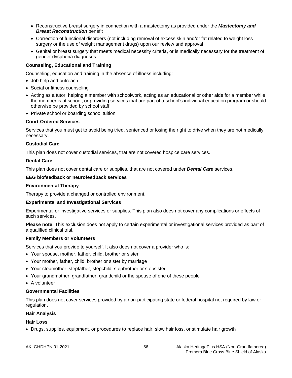- Reconstructive breast surgery in connection with a mastectomy as provided under the *Mastectomy and Breast Reconstruction* benefit
- Correction of functional disorders (not including removal of excess skin and/or fat related to weight loss surgery or the use of weight management drugs) upon our review and approval
- Genital or breast surgery that meets medical necessity criteria, or is medically necessary for the treatment of gender dysphoria diagnoses

### **Counseling, Educational and Training**

Counseling, education and training in the absence of illness including:

- Job help and outreach
- Social or fitness counseling
- Acting as a tutor, helping a member with schoolwork, acting as an educational or other aide for a member while the member is at school, or providing services that are part of a school's individual education program or should otherwise be provided by school staff
- Private school or boarding school tuition

#### **Court-Ordered Services**

Services that you must get to avoid being tried, sentenced or losing the right to drive when they are not medically necessary.

#### **Custodial Care**

This plan does not cover custodial services, that are not covered hospice care services.

#### **Dental Care**

This plan does not cover dental care or supplies, that are not covered under *Dental Care* services.

#### **EEG biofeedback or neurofeedback services**

#### **Environmental Therapy**

Therapy to provide a changed or controlled environment.

#### **Experimental and Investigational Services**

Experimental or investigative services or supplies. This plan also does not cover any complications or effects of such services.

**Please note:** This exclusion does not apply to certain experimental or investigational services provided as part of a qualified clinical trial.

#### **Family Members or Volunteers**

Services that you provide to yourself. It also does not cover a provider who is:

- Your spouse, mother, father, child, brother or sister
- Your mother, father, child, brother or sister by marriage
- Your stepmother, stepfather, stepchild, stepbrother or stepsister
- Your grandmother, grandfather, grandchild or the spouse of one of these people
- A volunteer

#### **Governmental Facilities**

This plan does not cover services provided by a non-participating state or federal hospital not required by law or regulation.

## **Hair Analysis**

#### **Hair Loss**

• Drugs, supplies, equipment, or procedures to replace hair, slow hair loss, or stimulate hair growth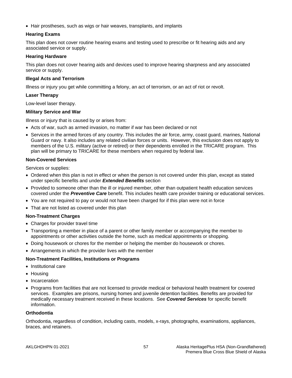• Hair prostheses, such as wigs or hair weaves, transplants, and implants

## **Hearing Exams**

This plan does not cover routine hearing exams and testing used to prescribe or fit hearing aids and any associated service or supply.

### **Hearing Hardware**

This plan does not cover hearing aids and devices used to improve hearing sharpness and any associated service or supply.

#### **Illegal Acts and Terrorism**

Illness or injury you get while committing a felony, an act of terrorism, or an act of riot or revolt.

#### **Laser Therapy**

Low-level laser therapy.

## **Military Service and War**

Illness or injury that is caused by or arises from:

- Acts of war, such as armed invasion, no matter if war has been declared or not
- Services in the armed forces of any country. This includes the air force, army, coast guard, marines, National Guard or navy. It also includes any related civilian forces or units. However, this exclusion does not apply to members of the U.S. military (active or retired) or their dependents enrolled in the TRICARE program. This plan will be primary to TRICARE for these members when required by federal law.

#### **Non-Covered Services**

Services or supplies:

- Ordered when this plan is not in effect or when the person is not covered under this plan, except as stated under specific benefits and under *Extended Benefits* section
- Provided to someone other than the ill or injured member, other than outpatient health education services covered under the *Preventive Care* benefit. This includes health care provider training or educational services.
- You are not required to pay or would not have been charged for if this plan were not in force
- That are not listed as covered under this plan

## **Non-Treatment Charges**

- Charges for provider travel time
- Transporting a member in place of a parent or other family member or accompanying the member to appointments or other activities outside the home, such as medical appointments or shopping.
- Doing housework or chores for the member or helping the member do housework or chores.
- Arrangements in which the provider lives with the member

## **Non-Treatment Facilities, Institutions or Programs**

- Institutional care
- Housing
- Incarceration
- Programs from facilities that are not licensed to provide medical or behavioral health treatment for covered services. Examples are prisons, nursing homes and juvenile detention facilities. Benefits are provided for medically necessary treatment received in these locations. See *Covered Services* for specific benefit information.

### **Orthodontia**

Orthodontia, regardless of condition, including casts, models, x-rays, photographs, examinations, appliances, braces, and retainers.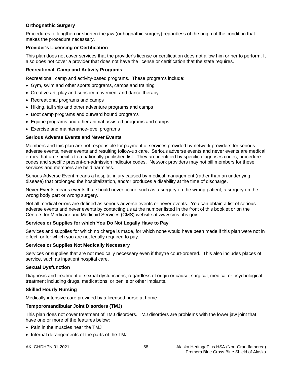## **Orthognathic Surgery**

Procedures to lengthen or shorten the jaw (orthognathic surgery) regardless of the origin of the condition that makes the procedure necessary.

## **Provider's Licensing or Certification**

This plan does not cover services that the provider's license or certification does not allow him or her to perform. It also does not cover a provider that does not have the license or certification that the state requires.

## **Recreational, Camp and Activity Programs**

Recreational, camp and activity-based programs. These programs include:

- Gym, swim and other sports programs, camps and training
- Creative art, play and sensory movement and dance therapy
- Recreational programs and camps
- Hiking, tall ship and other adventure programs and camps
- Boot camp programs and outward bound programs
- Equine programs and other animal-assisted programs and camps
- Exercise and maintenance-level programs

## **Serious Adverse Events and Never Events**

Members and this plan are not responsible for payment of services provided by network providers for serious adverse events, never events and resulting follow-up care. Serious adverse events and never events are medical errors that are specific to a nationally-published list. They are identified by specific diagnoses codes, procedure codes and specific present-on-admission indicator codes. Network providers may not bill members for these services and members are held harmless.

Serious Adverse Event means a hospital injury caused by medical management (rather than an underlying disease) that prolonged the hospitalization, and/or produces a disability at the time of discharge.

Never Events means events that should never occur, such as a surgery on the wrong patient, a surgery on the wrong body part or wrong surgery.

Not all medical errors are defined as serious adverse events or never events. You can obtain a list of serious adverse events and never events by contacting us at the number listed in the front of this booklet or on the Centers for Medicare and Medicaid Services (CMS) website at www.cms.hhs.gov.

## **Services or Supplies for which You Do Not Legally Have to Pay**

Services and supplies for which no charge is made, for which none would have been made if this plan were not in effect, or for which you are not legally required to pay.

#### **Services or Supplies Not Medically Necessary**

Services or supplies that are not medically necessary even if they're court-ordered. This also includes places of service, such as inpatient hospital care.

#### **Sexual Dysfunction**

Diagnosis and treatment of sexual dysfunctions, regardless of origin or cause; surgical, medical or psychological treatment including drugs, medications, or penile or other implants.

## **Skilled Hourly Nursing**

Medically intensive care provided by a licensed nurse at home

## **Temporomandibular Joint Disorders (TMJ)**

This plan does not cover treatment of TMJ disorders. TMJ disorders are problems with the lower jaw joint that have one or more of the features below:

- Pain in the muscles near the TMJ
- Internal derangements of the parts of the TMJ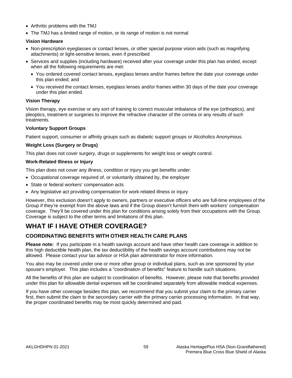- Arthritic problems with the TMJ
- The TMJ has a limited range of motion, or its range of motion is not normal

#### **Vision Hardware**

- Non-prescription eyeglasses or contact lenses, or other special purpose vision aids (such as magnifying attachments) or light-sensitive lenses, even if prescribed
- Services and supplies (including hardware) received after your coverage under this plan has ended, except when all the following requirements are met:
	- You ordered covered contact lenses, eyeglass lenses and/or frames before the date your coverage under this plan ended; and
	- You received the contact lenses, eyeglass lenses and/or frames within 30 days of the date your coverage under this plan ended.

#### **Vision Therapy**

Vision therapy, eye exercise or any sort of training to correct muscular imbalance of the eye (orthoptics), and pleoptics, treatment or surgeries to improve the refractive character of the cornea or any results of such treatments.

#### **Voluntary Support Groups**

Patient support, consumer or affinity groups such as diabetic support groups or Alcoholics Anonymous.

#### **Weight Loss (Surgery or Drugs)**

This plan does not cover surgery, drugs or supplements for weight loss or weight control.

#### **Work-Related Illness or Injury**

This plan does not cover any illness, condition or injury you get benefits under:

- Occupational coverage required of, or voluntarily obtained by, the employer
- State or federal workers' compensation acts
- Any legislative act providing compensation for work-related illness or injury

However, this exclusion doesn't apply to owners, partners or executive officers who are full-time employees of the Group if they're exempt from the above laws and if the Group doesn't furnish them with workers' compensation coverage. They'll be covered under this plan for conditions arising solely from their occupations with the Group. Coverage is subject to the other terms and limitations of this plan.

# **WHAT IF I HAVE OTHER COVERAGE?**

# **COORDINATING BENEFITS WITH OTHER HEALTH CARE PLANS**

**Please note:** If you participate in a health savings account and have other health care coverage in addition to this high deductible health plan, the tax deductibility of the health savings account contributions may not be allowed. Please contact your tax advisor or HSA plan administrator for more information.

You also may be covered under one or more other group or individual plans, such as one sponsored by your spouse's employer. This plan includes a "coordination of benefits" feature to handle such situations.

All the benefits of this plan are subject to coordination of benefits. However, please note that benefits provided under this plan for allowable dental expenses will be coordinated separately from allowable medical expenses.

If you have other coverage besides this plan, we recommend that you submit your claim to the primary carrier first, then submit the claim to the secondary carrier with the primary carrier processing information. In that way, the proper coordinated benefits may be most quickly determined and paid.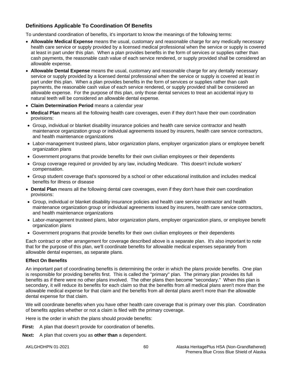# **Definitions Applicable To Coordination Of Benefits**

To understand coordination of benefits, it's important to know the meanings of the following terms:

- **Allowable Medical Expense** means the usual, customary and reasonable charge for any medically necessary health care service or supply provided by a licensed medical professional when the service or supply is covered at least in part under this plan. When a plan provides benefits in the form of services or supplies rather than cash payments, the reasonable cash value of each service rendered, or supply provided shall be considered an allowable expense.
- **Allowable Dental Expense** means the usual, customary and reasonable charge for any dentally necessary service or supply provided by a licensed dental professional when the service or supply is covered at least in part under this plan. When a plan provides benefits in the form of services or supplies rather than cash payments, the reasonable cash value of each service rendered, or supply provided shall be considered an allowable expense. For the purpose of this plan, only those dental services to treat an accidental injury to natural teeth will be considered an allowable dental expense.
- **Claim Determination Period** means a calendar year
- **Medical Plan** means all the following health care coverages, even if they don't have their own coordination provisions:
- Group, individual or blanket disability insurance policies and health care service contractor and health maintenance organization group or individual agreements issued by insurers, health care service contractors, and health maintenance organizations
- Labor-management trusteed plans, labor organization plans, employer organization plans or employee benefit organization plans
- Government programs that provide benefits for their own civilian employees or their dependents
- Group coverage required or provided by any law, including Medicare. This doesn't include workers' compensation.
- Group student coverage that's sponsored by a school or other educational institution and includes medical benefits for illness or disease
- **Dental Plan** means all the following dental care coverages, even if they don't have their own coordination provisions:
- Group, individual or blanket disability insurance policies and health care service contractor and health maintenance organization group or individual agreements issued by insurers, health care service contractors, and health maintenance organizations
- Labor-management trusteed plans, labor organization plans, employer organization plans, or employee benefit organization plans
- Government programs that provide benefits for their own civilian employees or their dependents

Each contract or other arrangement for coverage described above is a separate plan. It's also important to note that for the purpose of this plan, we'll coordinate benefits for allowable medical expenses separately from allowable dental expenses, as separate plans.

## **Effect On Benefits**

An important part of coordinating benefits is determining the order in which the plans provide benefits. One plan is responsible for providing benefits first. This is called the "primary" plan. The primary plan provides its full benefits as if there were no other plans involved. The other plans then become "secondary." When this plan is secondary, it will reduce its benefits for each claim so that the benefits from all medical plans aren't more than the allowable medical expense for that claim and the benefits from all dental plans aren't more than the allowable dental expense for that claim.

We will coordinate benefits when you have other health care coverage that is primary over this plan. Coordination of benefits applies whether or not a claim is filed with the primary coverage.

Here is the order in which the plans should provide benefits:

**First:** A plan that doesn't provide for coordination of benefits.

**Next:** A plan that covers you as **other than** a dependent.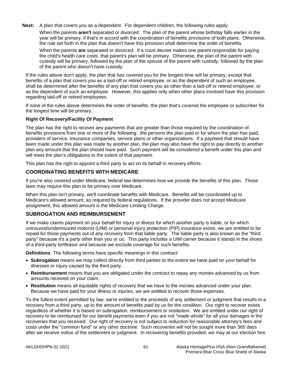**Next:** A plan that covers you as a dependent. For dependent children, the following rules apply: When the parents **aren't** separated or divorced: The plan of the parent whose birthday falls earlier in the year will be primary, if that's in accord with the coordination of benefits provisions of both plans. Otherwise, the rule set forth in the plan that doesn't have this provision shall determine the order of benefits.

When the parents **are** separated or divorced: If a court decree makes one parent responsible for paying the child's health care costs, that parent's plan will be primary. Otherwise, the plan of the parent with custody will be primary, followed by the plan of the spouse of the parent with custody, followed by the plan of the parent who doesn't have custody.

If the rules above don't apply, the plan that has covered you for the longest time will be primary, except that benefits of a plan that covers you as a laid-off or retired employee, or as the dependent of such an employee, shall be determined after the benefits of any plan that covers you as other than a laid-off or retired employee, or as the dependent of such an employee. However, this applies only when other plans involved have this provision regarding laid-off or retired employees.

If none of the rules above determines the order of benefits, the plan that's covered the employee or subscriber for the longest time will be primary.

## **Right Of Recovery/Facility Of Payment**

The plan has the right to recover any payments that are greater than those required by the coordination of benefits provisions from one or more of the following: the persons the plan paid or for whom the plan has paid, providers of service, insurance companies, service plans or other organizations. If a payment that should have been made under this plan was made by another plan, the plan may also have the right to pay directly to another plan any amount that the plan should have paid. Such payment will be considered a benefit under this plan and will meet the plan's obligations to the extent of that payment.

This plan has the right to appoint a third party to act on its behalf in recovery efforts.

## **COORDINATING BENEFITS WITH MEDICARE**

If you're also covered under Medicare, federal law determines how we provide the benefits of this plan. Those laws may require this plan to be primary over Medicare.

When this plan isn't primary, we'll coordinate benefits with Medicare. Benefits will be coordinated up to Medicare's allowed amount, as required by federal regulations. If the provider does not accept Medicare assignment, this allowed amount is the Medicare Limiting Charge.

## **SUBROGATION AND REIMBURSEMENT**

If we make claims payment on your behalf for injury or illness for which another party is liable, or for which uninsured/underinsured motorist (UIM) or personal injury protection (PIP) insurance exists, we are entitled to be repaid for those payments out of any recovery from that liable party. The liable party is also known as the "third party" because it's a party other than you or us. This party includes a UIM carrier because it stands in the shoes of a third-party tortfeasor and because we exclude coverage for such benefits.

**Definitions** The following terms have specific meanings in this contract:

- **Subrogation** means we may collect directly from third parties to the extent we have paid on your behalf for illnesses or injury caused by the third party.
- **Reimbursement** means that you are obligated under the contract to repay any monies advanced by us from amounts received on your claim.
- **Restitution** means all equitable rights of recovery that we have to the monies advanced under your plan. Because we have paid for your illness or injuries, we are entitled to recover those expenses.

To the fullest extent permitted by law, we're entitled to the proceeds of any settlement or judgment that results in a recovery from a third party, up to the amount of benefits paid by us for the condition. Our right to recover exists regardless of whether it is based on subrogation, reimbursement or restitution. We are entitled under our right of recovery to be reimbursed for our benefit payments even if you are not "made whole" for all your damages in the recoveries that you received. Our right of recovery is not subject to reduction for reasonable attorney's fees and costs under the "common fund" or any other doctrine. Such recoveries will not be sought more than 365 days after we receive notice of the settlement or judgment. In recovering benefits provided, we may at our election hire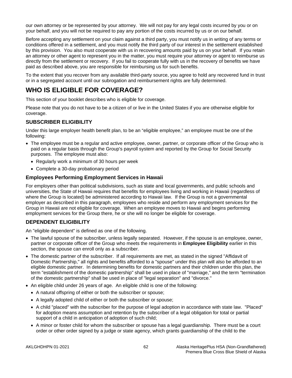our own attorney or be represented by your attorney. We will not pay for any legal costs incurred by you or on your behalf, and you will not be required to pay any portion of the costs incurred by us or on our behalf.

Before accepting any settlement on your claim against a third party, you must notify us in writing of any terms or conditions offered in a settlement, and you must notify the third party of our interest in the settlement established by this provision. You also must cooperate with us in recovering amounts paid by us on your behalf. If you retain an attorney or other agent to represent you in the matter, you must require your attorney or agent to reimburse us directly from the settlement or recovery. If you fail to cooperate fully with us in the recovery of benefits we have paid as described above, you are responsible for reimbursing us for such benefits.

To the extent that you recover from any available third-party source, you agree to hold any recovered fund in trust or in a segregated account until our subrogation and reimbursement rights are fully determined.

# **WHO IS ELIGIBLE FOR COVERAGE?**

This section of your booklet describes who is eligible for coverage.

Please note that you do not have to be a citizen of or live in the United States if you are otherwise eligible for coverage.

# **SUBSCRIBER ELIGIBILITY**

Under this large employer health benefit plan, to be an "eligible employee," an employee must be one of the following:

- The employee must be a regular and active employee, owner, partner, or corporate officer of the Group who is paid on a regular basis through the Group's payroll system and reported by the Group for Social Security purposes. The employee must also:
	- Regularly work a minimum of 30 hours per week
	- Complete a 30-day probationary period

## **Employees Performing Employment Services in Hawaii**

For employers other than political subdivisions, such as state and local governments, and public schools and universities, the State of Hawaii requires that benefits for employees living and working in Hawaii (regardless of where the Group is located) be administered according to Hawaii law. If the Group is not a governmental employer as described in this paragraph, employees who reside and perform any employment services for the Group in Hawaii are not eligible for coverage. When an employee moves to Hawaii and begins performing employment services for the Group there, he or she will no longer be eligible for coverage.

# **DEPENDENT ELIGIBILITY**

An "eligible dependent" is defined as one of the following.

- The lawful spouse of the subscriber, unless legally separated. However, if the spouse is an employee, owner, partner or corporate officer of the Group who meets the requirements in **Employee Eligibility** earlier in this section, the spouse can enroll only as a subscriber.
- The domestic partner of the subscriber. If all requirements are met, as stated in the signed "Affidavit of Domestic Partnership," all rights and benefits afforded to a "spouse" under this plan will also be afforded to an eligible domestic partner. In determining benefits for domestic partners and their children under this plan, the term "establishment of the domestic partnership" shall be used in place of "marriage," and the term "termination of the domestic partnership" shall be used in place of "legal separation" and "divorce."
- An eligible child under 26 years of age. An eligible child is one of the following:
	- A natural offspring of either or both the subscriber or spouse;
	- A legally adopted child of either or both the subscriber or spouse;
	- A child "placed" with the subscriber for the purpose of legal adoption in accordance with state law. "Placed" for adoption means assumption and retention by the subscriber of a legal obligation for total or partial support of a child in anticipation of adoption of such child;
	- A minor or foster child for whom the subscriber or spouse has a legal guardianship. There must be a court order or other order signed by a judge or state agency, which grants guardianship of the child to the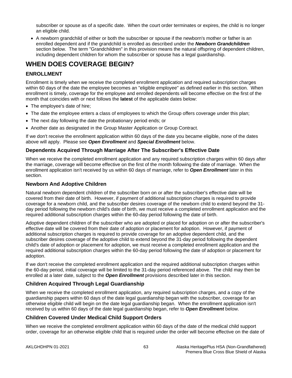subscriber or spouse as of a specific date. When the court order terminates or expires, the child is no longer an eligible child.

• A newborn grandchild of either or both the subscriber or spouse if the newborn's mother or father is an enrolled dependent and if the grandchild is enrolled as described under the *Newborn Grandchildren* section below. The term "Grandchildren" in this provision means the natural offspring of dependent children, including dependent children for whom the subscriber or spouse has a legal guardianship.

# **WHEN DOES COVERAGE BEGIN?**

# **ENROLLMENT**

Enrollment is timely when we receive the completed enrollment application and required subscription charges within 60 days of the date the employee becomes an "eligible employee" as defined earlier in this section. When enrollment is timely, coverage for the employee and enrolled dependents will become effective on the first of the month that coincides with or next follows the **latest** of the applicable dates below:

- The employee's date of hire:
- The date the employee enters a class of employees to which the Group offers coverage under this plan;
- The next day following the date the probationary period ends; or
- Another date as designated in the Group Master Application or Group Contract.

If we don't receive the enrollment application within 60 days of the date you became eligible, none of the dates above will apply. Please see *Open Enrollment* and *Special Enrollment* below.

## **Dependents Acquired Through Marriage After The Subscriber's Effective Date**

When we receive the completed enrollment application and any required subscription charges within 60 days after the marriage, coverage will become effective on the first of the month following the date of marriage. When the enrollment application isn't received by us within 60 days of marriage, refer to *Open Enrollment* later in this section.

## **Newborn And Adoptive Children**

Natural newborn dependent children of the subscriber born on or after the subscriber's effective date will be covered from their date of birth. However, if payment of additional subscription charges is required to provide coverage for a newborn child, and the subscriber desires coverage of the newborn child to extend beyond the 31 day period following the newborn child's date of birth, we must receive a completed enrollment application and the required additional subscription charges within the 60-day period following the date of birth.

Adoptive dependent children of the subscriber who are adopted or placed for adoption on or after the subscriber's effective date will be covered from their date of adoption or placement for adoption. However, if payment of additional subscription charges is required to provide coverage for an adoptive dependent child, and the subscriber desires coverage of the adoptive child to extend beyond the 31-day period following the dependent child's date of adoption or placement for adoption, we must receive a completed enrollment application and the required additional subscription charges within the 60-day period following the date of adoption or placement for adoption.

If we don't receive the completed enrollment application and the required additional subscription charges within the 60-day period, initial coverage will be limited to the 31-day period referenced above. The child may then be enrolled at a later date, subject to the *Open Enrollment* provisions described later in this section.

# **Children Acquired Through Legal Guardianship**

When we receive the completed enrollment application, any required subscription charges, and a copy of the guardianship papers within 60 days of the date legal guardianship began with the subscriber, coverage for an otherwise eligible child will begin on the date legal guardianship began. When the enrollment application isn't received by us within 60 days of the date legal guardianship began, refer to *Open Enrollment* below.

# **Children Covered Under Medical Child Support Orders**

When we receive the completed enrollment application within 60 days of the date of the medical child support order, coverage for an otherwise eligible child that is required under the order will become effective on the date of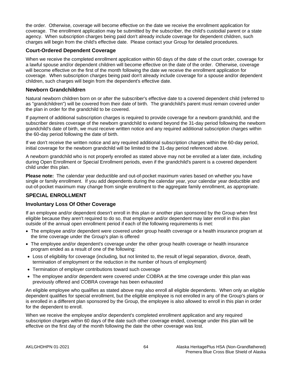the order. Otherwise, coverage will become effective on the date we receive the enrollment application for coverage. The enrollment application may be submitted by the subscriber, the child's custodial parent or a state agency. When subscription charges being paid don't already include coverage for dependent children, such charges will begin from the child's effective date. Please contact your Group for detailed procedures.

## **Court-Ordered Dependent Coverage**

When we receive the completed enrollment application within 60 days of the date of the court order, coverage for a lawful spouse and/or dependent children will become effective on the date of the order. Otherwise, coverage will become effective on the first of the month following the date we receive the enrollment application for coverage. When subscription charges being paid don't already include coverage for a spouse and/or dependent children, such charges will begin from the dependent's effective date.

#### **Newborn Grandchildren**

Natural newborn children born on or after the subscriber's effective date to a covered dependent child (referred to as "grandchildren") will be covered from their date of birth. The grandchild's parent must remain covered under the plan in order for the grandchild to be covered.

If payment of additional subscription charges is required to provide coverage for a newborn grandchild, and the subscriber desires coverage of the newborn grandchild to extend beyond the 31-day period following the newborn grandchild's date of birth, we must receive written notice and any required additional subscription charges within the 60-day period following the date of birth.

If we don't receive the written notice and any required additional subscription charges within the 60-day period, initial coverage for the newborn grandchild will be limited to the 31-day period referenced above.

A newborn grandchild who is not properly enrolled as stated above may not be enrolled at a later date, including during Open Enrollment or Special Enrollment periods, even if the grandchild's parent is a covered dependent child under this plan.

**Please note:** The calendar year deductible and out-of-pocket maximum varies based on whether you have single or family enrollment. If you add dependents during the calendar year, your calendar year deductible and out-of-pocket maximum may change from single enrollment to the aggregate family enrollment, as appropriate.

# **SPECIAL ENROLLMENT**

## **Involuntary Loss Of Other Coverage**

If an employee and/or dependent doesn't enroll in this plan or another plan sponsored by the Group when first eligible because they aren't required to do so, that employee and/or dependent may later enroll in this plan outside of the annual open enrollment period if each of the following requirements is met:

- The employee and/or dependent were covered under group health coverage or a health insurance program at the time coverage under the Group's plan is offered
- The employee and/or dependent's coverage under the other group health coverage or health insurance program ended as a result of one of the following:
- Loss of eligibility for coverage (including, but not limited to, the result of legal separation, divorce, death, termination of employment or the reduction in the number of hours of employment)
- Termination of employer contributions toward such coverage
- The employee and/or dependent were covered under COBRA at the time coverage under this plan was previously offered and COBRA coverage has been exhausted

An eligible employee who qualifies as stated above may also enroll all eligible dependents. When only an eligible dependent qualifies for special enrollment, but the eligible employee is not enrolled in any of the Group's plans or is enrolled in a different plan sponsored by the Group, the employee is also allowed to enroll in this plan in order for the dependent to enroll.

When we receive the employee and/or dependent's completed enrollment application and any required subscription charges within 60 days of the date such other coverage ended, coverage under this plan will be effective on the first day of the month following the date the other coverage was lost.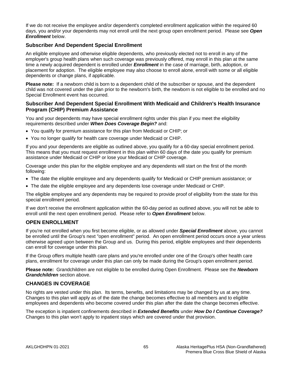If we do not receive the employee and/or dependent's completed enrollment application within the required 60 days, you and/or your dependents may not enroll until the next group open enrollment period. Please see *Open Enrollment* below.

## **Subscriber And Dependent Special Enrollment**

An eligible employee and otherwise eligible dependents, who previously elected not to enroll in any of the employer's group health plans when such coverage was previously offered, may enroll in this plan at the same time a newly acquired dependent is enrolled under *Enrollment* in the case of marriage, birth, adoption, or placement for adoption. The eligible employee may also choose to enroll alone, enroll with some or all eligible dependents or change plans, if applicable.

**Please note:** If a newborn child is born to a dependent child of the subscriber or spouse, and the dependent child was not covered under the plan prior to the newborn's birth, the newborn is not eligible to be enrolled and no Special Enrollment event has occurred.

## **Subscriber And Dependent Special Enrollment With Medicaid and Children's Health Insurance Program (CHIP) Premium Assistance**

You and your dependents may have special enrollment rights under this plan if you meet the eligibility requirements described under *When Does Coverage Begin?* and:

- You qualify for premium assistance for this plan from Medicaid or CHIP; or
- You no longer qualify for health care coverage under Medicaid or CHIP.

If you and your dependents are eligible as outlined above, you qualify for a 60-day special enrollment period. This means that you must request enrollment in this plan within 60 days of the date you qualify for premium assistance under Medicaid or CHIP or lose your Medicaid or CHIP coverage.

Coverage under this plan for the eligible employee and any dependents will start on the first of the month following:

- The date the eligible employee and any dependents qualify for Medicaid or CHIP premium assistance; or
- The date the eligible employee and any dependents lose coverage under Medicaid or CHIP.

The eligible employee and any dependents may be required to provide proof of eligibility from the state for this special enrollment period.

If we don't receive the enrollment application within the 60-day period as outlined above, you will not be able to enroll until the next open enrollment period. Please refer to *Open Enrollment* below.

## **OPEN ENROLLMENT**

If you're not enrolled when you first become eligible, or as allowed under *Special Enrollment* above, you cannot be enrolled until the Group's next "open enrollment" period. An open enrollment period occurs once a year unless otherwise agreed upon between the Group and us. During this period, eligible employees and their dependents can enroll for coverage under this plan.

If the Group offers multiple health care plans and you're enrolled under one of the Group's other health care plans, enrollment for coverage under this plan can only be made during the Group's open enrollment period.

**Please note:** Grandchildren are not eligible to be enrolled during Open Enrollment. Please see the *Newborn Grandchildren* section above.

## **CHANGES IN COVERAGE**

No rights are vested under this plan. Its terms, benefits, and limitations may be changed by us at any time. Changes to this plan will apply as of the date the change becomes effective to all members and to eligible employees and dependents who become covered under this plan after the date the change becomes effective.

The exception is inpatient confinements described in *Extended Benefits* under *How Do I Continue Coverage?* Changes to this plan won't apply to inpatient stays which are covered under that provision.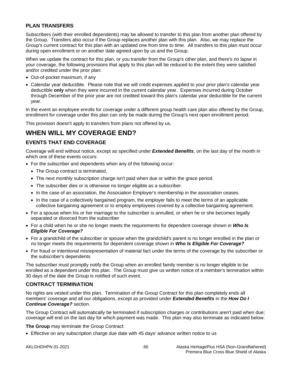# **PLAN TRANSFERS**

Subscribers (with their enrolled dependents) may be allowed to transfer to this plan from another plan offered by the Group. Transfers also occur if the Group replaces another plan with this plan. Also, we may replace the Group's current contract for this plan with an updated one from time to time. All transfers to this plan must occur during open enrollment or on another date agreed upon by us and the Group.

When we update the contract for this plan, or you transfer from the Group's other plan, and there's no lapse in your coverage, the following provisions that apply to this plan will be reduced to the extent they were satisfied and/or credited under the prior plan:

- Out-of-pocket maximum, if any
- Calendar year deductible. Please note that we will credit expenses applied to your prior plan's calendar year deductible **only** when they were incurred in the current calendar year. Expenses incurred during October through December of the prior year are not credited toward this plan's calendar year deductible for the current year.

In the event an employee enrolls for coverage under a different group health care plan also offered by the Group, enrollment for coverage under this plan can only be made during the Group's next open enrollment period.

This provision doesn't apply to transfers from plans not offered by us.

# **WHEN WILL MY COVERAGE END?**

# **EVENTS THAT END COVERAGE**

Coverage will end without notice, except as specified under *Extended Benefits*, on the last day of the month in which one of these events occurs:

- For the subscriber and dependents when any of the following occur:
	- The Group contract is terminated.
	- The next monthly subscription charge isn't paid when due or within the grace period.
	- The subscriber dies or is otherwise no longer eligible as a subscriber.
	- In the case of an association, the Association Employer's membership in the association ceases.
	- In the case of a collectively bargained program, the employer fails to meet the terms of an applicable collective bargaining agreement or to employ employees covered by a collective bargaining agreement.
- For a spouse when his or her marriage to the subscriber is annulled, or when he or she becomes legally separated or divorced from the subscriber
- For a child when he or she no longer meets the requirements for dependent coverage shown in *Who Is Eligible For Coverage?*
- For a grandchild of the subscriber or spouse when the grandchild's parent is no longer enrolled in the plan or no longer meets the requirements for dependent coverage shown in *Who Is Eligible For Coverage?*
- For fraud or intentional misrepresentation of material fact under the terms of the coverage by the subscriber or the subscriber's dependents

The subscriber must promptly notify the Group when an enrolled family member is no longer eligible to be enrolled as a dependent under this plan. The Group must give us written notice of a member's termination within 30 days of the date the Group is notified of such event.

# **CONTRACT TERMINATION**

No rights are vested under this plan. Termination of the Group Contract for this plan completely ends all members' coverage and all our obligations, except as provided under *Extended Benefits* in the *How Do I Continue Coverage?* section.

The Group Contract will automatically be terminated if subscription charges or contributions aren't paid when due; coverage will end on the last day for which payment was made. This plan may also terminate as indicated below.

**The Group** may terminate the Group Contract:

• Effective on any subscription charge due date with 45 days' advance written notice to us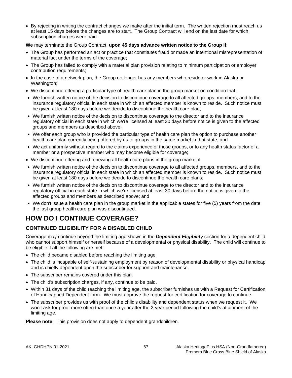• By rejecting in writing the contract changes we make after the initial term. The written rejection must reach us at least 15 days before the changes are to start. The Group Contract will end on the last date for which subscription charges were paid.

#### **We** may terminate the Group Contract, **upon 45 days advance written notice to the Group if**:

- The Group has performed an act or practice that constitutes fraud or made an intentional misrepresentation of material fact under the terms of the coverage;
- The Group has failed to comply with a material plan provision relating to minimum participation or employer contribution requirements;
- In the case of a network plan, the Group no longer has any members who reside or work in Alaska or Washington;
- We discontinue offering a particular type of health care plan in the group market on condition that:
- We furnish written notice of the decision to discontinue coverage to all affected groups, members, and to the insurance regulatory official in each state in which an affected member is known to reside. Such notice must be given at least 180 days before we decide to discontinue the health care plan;
- We furnish written notice of the decision to discontinue coverage to the director and to the insurance regulatory official in each state in which we're licensed at least 30 days before notice is given to the affected groups and members as described above;
- We offer each group who is provided the particular type of health care plan the option to purchase another health care plan currently being offered by us to groups in the same market in that state; and
- We act uniformly without regard to the claims experience of those groups, or to any health status factor of a member or a prospective member who may become eligible for coverage;
- We discontinue offering and renewing all health care plans in the group market if:
- We furnish written notice of the decision to discontinue coverage to all affected groups, members, and to the insurance regulatory official in each state in which an affected member is known to reside. Such notice must be given at least 180 days before we decide to discontinue the health care plans;
- We furnish written notice of the decision to discontinue coverage to the director and to the insurance regulatory official in each state in which we're licensed at least 30 days before the notice is given to the affected groups and members as described above; and
- We don't issue a health care plan in the group market in the applicable states for five (5) years from the date the last group health care plan was discontinued.

# **HOW DO I CONTINUE COVERAGE?**

# **CONTINUED ELIGIBILITY FOR A DISABLED CHILD**

Coverage may continue beyond the limiting age shown in the *Dependent Eligibility* section for a dependent child who cannot support himself or herself because of a developmental or physical disability. The child will continue to be eligible if all the following are met:

- The child became disabled before reaching the limiting age.
- The child is incapable of self-sustaining employment by reason of developmental disability or physical handicap and is chiefly dependent upon the subscriber for support and maintenance.
- The subscriber remains covered under this plan.
- The child's subscription charges, if any, continue to be paid.
- Within 31 days of the child reaching the limiting age, the subscriber furnishes us with a Request for Certification of Handicapped Dependent form. We must approve the request for certification for coverage to continue.
- The subscriber provides us with proof of the child's disability and dependent status when we request it. We won't ask for proof more often than once a year after the 2-year period following the child's attainment of the limiting age.

**Please note:** This provision does not apply to dependent grandchildren.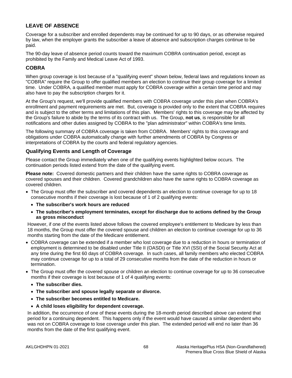# **LEAVE OF ABSENCE**

Coverage for a subscriber and enrolled dependents may be continued for up to 90 days, or as otherwise required by law, when the employer grants the subscriber a leave of absence and subscription charges continue to be paid.

The 90-day leave of absence period counts toward the maximum COBRA continuation period, except as prohibited by the Family and Medical Leave Act of 1993.

# **COBRA**

When group coverage is lost because of a "qualifying event" shown below, federal laws and regulations known as "COBRA" require the Group to offer qualified members an election to continue their group coverage for a limited time. Under COBRA, a qualified member must apply for COBRA coverage within a certain time period and may also have to pay the subscription charges for it.

At the Group's request, we'll provide qualified members with COBRA coverage under this plan when COBRA's enrollment and payment requirements are met. But, coverage is provided only to the extent that COBRA requires and is subject to the other terms and limitations of this plan. Members' rights to this coverage may be affected by the Group's failure to abide by the terms of its contract with us. The Group, **not us**, is responsible for all notifications and other duties assigned by COBRA to the "plan administrator" within COBRA's time limits.

The following summary of COBRA coverage is taken from COBRA. Members' rights to this coverage and obligations under COBRA automatically change with further amendments of COBRA by Congress or interpretations of COBRA by the courts and federal regulatory agencies.

# **Qualifying Events and Length of Coverage**

Please contact the Group immediately when one of the qualifying events highlighted below occurs. The continuation periods listed extend from the date of the qualifying event.

**Please note:** Covered domestic partners and their children have the same rights to COBRA coverage as covered spouses and their children. Covered grandchildren also have the same rights to COBRA coverage as covered children.

- The Group must offer the subscriber and covered dependents an election to continue coverage for up to 18 consecutive months if their coverage is lost because of 1 of 2 qualifying events:
	- **The subscriber's work hours are reduced**
	- **The subscriber's employment terminates, except for discharge due to actions defined by the Group as gross misconduct**

However, if one of the events listed above follows the covered employee's entitlement to Medicare by less than 18 months, the Group must offer the covered spouse and children an election to continue coverage for up to 36 months starting from the date of the Medicare entitlement.

- COBRA coverage can be extended if a member who lost coverage due to a reduction in hours or termination of employment is determined to be disabled under Title II (OASDI) or Title XVI (SSI) of the Social Security Act at any time during the first 60 days of COBRA coverage. In such cases, all family members who elected COBRA may continue coverage for up to a total of 29 consecutive months from the date of the reduction in hours or termination.
- The Group must offer the covered spouse or children an election to continue coverage for up to 36 consecutive months if their coverage is lost because of 1 of 4 qualifying events:
	- **The subscriber dies.**
	- **The subscriber and spouse legally separate or divorce.**
	- **The subscriber becomes entitled to Medicare.**
	- **A child loses eligibility for dependent coverage.**

In addition, the occurrence of one of these events during the 18-month period described above can extend that period for a continuing dependent. This happens only if the event would have caused a similar dependent who was not on COBRA coverage to lose coverage under this plan. The extended period will end no later than 36 months from the date of the first qualifying event.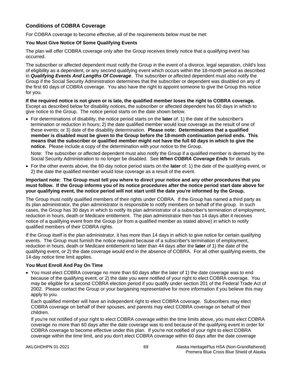# **Conditions of COBRA Coverage**

For COBRA coverage to become effective, all of the requirements below must be met:

#### **You Must Give Notice Of Some Qualifying Events**

The plan will offer COBRA coverage only after the Group receives timely notice that a qualifying event has occurred.

The subscriber or affected dependent must notify the Group in the event of a divorce, legal separation, child's loss of eligibility as a dependent, or any second qualifying event which occurs within the 18-month period as described in *Qualifying Events And Lengths Of Coverage*. The subscriber or affected dependent must also notify the Group if the Social Security Administration determines that the subscriber or dependent was disabled on any of the first 60 days of COBRA coverage. You also have the right to appoint someone to give the Group this notice for you.

**If the required notice is not given or is late, the qualified member loses the right to COBRA coverage.**  Except as described below for disability notices, the subscriber or affected dependent has 60 days in which to give notice to the Group. The notice period starts on the date shown below.

• For determinations of disability, the notice period starts on the **later** of: 1) the date of the subscriber's termination or reduction in hours; 2) the date qualified member would lose coverage as the result of one of these events; or 3) date of the disability determination. **Please note: Determinations that a qualified member is disabled must be given to the Group before the 18-month continuation period ends. This means that the subscriber or qualified member might not have the full 60 days in which to give the notice.** Please include a copy of the determination with your notice to the Group.

Note: The subscriber or affected dependent must also notify the Group if a qualified member is deemed by the Social Security Administration to no longer be disabled. See *When COBRA Coverage Ends* for details.

• For the other events above, the 60-day notice period starts on the **later** of: 1) the date of the qualifying event, or 2) the date the qualified member would lose coverage as a result of the event.

**Important note: The Group must tell you where to direct your notice and any other procedures that you must follow. If the Group informs you of its notice procedures after the notice period start date above for your qualifying event, the notice period will not start until the date you're informed by the Group.**

The Group must notify qualified members of their rights under COBRA. If the Group has named a third party as its plan administrator, the plan administrator is responsible to notify members on behalf of the group. In such cases, the Group has 30 days in which to notify its plan administrator of a subscriber's termination of employment, reduction in hours, death or Medicare entitlement. The plan administrator then has 14 days after it receives notice of a qualifying event from the Group (or from a qualified member as stated above) in which to notify qualified members of their COBRA rights.

If the Group itself is the plan administrator, it has more than 14 days in which to give notice for certain qualifying events. The Group must furnish the notice required because of a subscriber's termination of employment, reduction in hours, death or Medicare entitlement no later than 44 days after the **later** of 1) the date of the qualifying event, or 2) the date coverage would end in the absence of COBRA. For all other qualifying events, the 14-day notice time limit applies.

# **You Must Enroll And Pay On Time**

• You must elect COBRA coverage no more than 60 days after the later of 1) the date coverage was to end because of the qualifying event, or 2) the date you were notified of your right to elect COBRA coverage. You may be eligible for a second COBRA election period if you qualify under section 201 of the Federal Trade Act of 2002. Please contact the Group or your bargaining representative for more information if you believe this may apply to you.

Each qualified member will have an independent right to elect COBRA coverage. Subscribers may elect COBRA coverage on behalf of their spouses, and parents may elect COBRA coverage on behalf of their children.

If you're not notified of your right to elect COBRA coverage within the time limits above, you must elect COBRA coverage no more than 60 days after the date coverage was to end because of the qualifying event in order for COBRA coverage to become effective under this plan. If you're not notified of your right to elect COBRA coverage within the time limit, and you don't elect COBRA coverage within 60 days after the date coverage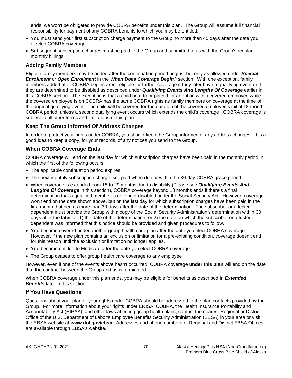ends, we won't be obligated to provide COBRA benefits under this plan. The Group will assume full financial responsibility for payment of any COBRA benefits to which you may be entitled.

- You must send your first subscription charge payment to the Group no more than 45 days after the date you elected COBRA coverage
- Subsequent subscription charges must be paid to the Group and submitted to us with the Group's regular monthly billings

# **Adding Family Members**

Eligible family members may be added after the continuation period begins, but only as allowed under *Special Enrollment* or *Open Enrollment* in the *When Does Coverage Begin?* section. With one exception, family members added after COBRA begins aren't eligible for further coverage if they later have a qualifying event or if they are determined to be disabled as described under *Qualifying Events And Lengths Of Coverage* earlier in this COBRA section. The exception is that a child born to or placed for adoption with a covered employee while the covered employee is on COBRA has the same COBRA rights as family members on coverage at the time of the original qualifying event. The child will be covered for the duration of the covered employee's initial 18-month COBRA period, unless a second qualifying event occurs which extends the child's coverage. COBRA coverage is subject to all other terms and limitations of this plan.

# **Keep The Group Informed Of Address Changes**

In order to protect your rights under COBRA, you should keep the Group informed of any address changes. It is a good idea to keep a copy, for your records, of any notices you send to the Group.

#### **When COBRA Coverage Ends**

COBRA coverage will end on the last day for which subscription charges have been paid in the monthly period in which the first of the following occurs:

- The applicable continuation period expires
- The next monthly subscription charge isn't paid when due or within the 30-day COBRA grace period
- When coverage is extended from 18 to 29 months due to disability (Please see *Qualifying Events And Lengths Of Coverage* in this section), COBRA coverage beyond 18 months ends if there's a final determination that a qualified member is no longer disabled under the Social Security Act. However, coverage won't end on the date shown above, but on the last day for which subscription charges have been paid in the first month that begins more than 30 days after the date of the determination. The subscriber or affected dependent must provide the Group with a copy of the Social Security Administration's determination within 30 days after the **later** of: 1) the date of the determination, or 2) the date on which the subscriber or affected dependent was informed that this notice should be provided and given procedures to follow.
- You become covered under another group health care plan after the date you elect COBRA coverage. However, if the new plan contains an exclusion or limitation for a pre-existing condition, coverage doesn't end for this reason until the exclusion or limitation no longer applies.
- You become entitled to Medicare after the date you elect COBRA coverage
- The Group ceases to offer group health care coverage to any employee

However, even if one of the events above hasn't occurred, COBRA coverage **under this plan** will end on the date that the contract between the Group and us is terminated.

When COBRA coverage under this plan ends, you may be eligible for benefits as described in *Extended Benefits* later in this section.

#### **If You Have Questions**

Questions about your plan or your rights under COBRA should be addressed to the plan contacts provided by the Group. For more information about your rights under ERISA, COBRA, the Health Insurance Portability and Accountability Act (HIPAA), and other laws affecting group health plans, contact the nearest Regional or District Office of the U.S. Department of Labor's Employee Benefits Security Administration (EBSA) in your area or visit the EBSA website at **www.dol.gov/ebsa**. Addresses and phone numbers of Regional and District EBSA Offices are available through EBSA's website.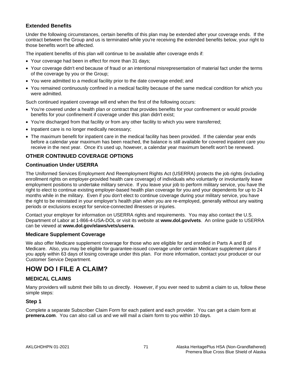# **Extended Benefits**

Under the following circumstances, certain benefits of this plan may be extended after your coverage ends. If the contract between the Group and us is terminated while you're receiving the extended benefits below, your right to those benefits won't be affected.

The inpatient benefits of this plan will continue to be available after coverage ends if:

- Your coverage had been in effect for more than 31 days;
- Your coverage didn't end because of fraud or an intentional misrepresentation of material fact under the terms of the coverage by you or the Group;
- You were admitted to a medical facility prior to the date coverage ended; and
- You remained continuously confined in a medical facility because of the same medical condition for which you were admitted.

Such continued inpatient coverage will end when the first of the following occurs:

- You're covered under a health plan or contract that provides benefits for your confinement or would provide benefits for your confinement if coverage under this plan didn't exist;
- You're discharged from that facility or from any other facility to which you were transferred;
- Inpatient care is no longer medically necessary;
- The maximum benefit for inpatient care in the medical facility has been provided. If the calendar year ends before a calendar year maximum has been reached, the balance is still available for covered inpatient care you receive in the next year. Once it's used up, however, a calendar year maximum benefit won't be renewed.

# **OTHER CONTINUED COVERAGE OPTIONS**

# **Continuation Under USERRA**

The Uniformed Services Employment And Reemployment Rights Act (USERRA) protects the job rights (including enrollment rights on employer-provided health care coverage) of individuals who voluntarily or involuntarily leave employment positions to undertake military service. If you leave your job to perform military service, you have the right to elect to continue existing employer-based health plan coverage for you and your dependents for up to 24 months while in the military. Even if you don't elect to continue coverage during your military service, you have the right to be reinstated in your employer's health plan when you are re-employed, generally without any waiting periods or exclusions except for service-connected illnesses or injuries.

Contact your employer for information on USERRA rights and requirements. You may also contact the U.S. Department of Labor at 1-866-4-USA-DOL or visit its website at **www.dol.gov/vets**. An online guide to USERRA can be viewed at **www.dol.gov/elaws/vets/userra**.

# **Medicare Supplement Coverage**

We also offer Medicare supplement coverage for those who are eligible for and enrolled in Parts A and B of Medicare. Also, you may be eligible for guarantee-issued coverage under certain Medicare supplement plans if you apply within 63 days of losing coverage under this plan. For more information, contact your producer or our Customer Service Department.

# **HOW DO I FILE A CLAIM?**

# **MEDICAL CLAIMS**

Many providers will submit their bills to us directly. However, if you ever need to submit a claim to us, follow these simple steps:

# **Step 1**

Complete a separate Subscriber Claim Form for each patient and each provider. You can get a claim form at **premera.com**. You can also call us and we will mail a claim form to you within 10 days.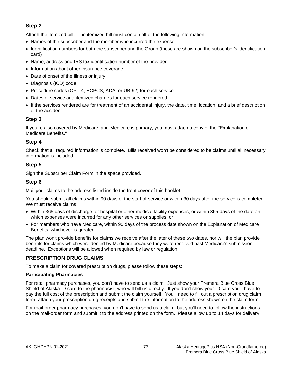# **Step 2**

Attach the itemized bill. The itemized bill must contain all of the following information:

- Names of the subscriber and the member who incurred the expense
- Identification numbers for both the subscriber and the Group (these are shown on the subscriber's identification card)
- Name, address and IRS tax identification number of the provider
- Information about other insurance coverage
- Date of onset of the illness or injury
- Diagnosis (ICD) code
- Procedure codes (CPT-4, HCPCS, ADA, or UB-92) for each service
- Dates of service and itemized charges for each service rendered
- If the services rendered are for treatment of an accidental injury, the date, time, location, and a brief description of the accident

# **Step 3**

If you're also covered by Medicare, and Medicare is primary, you must attach a copy of the "Explanation of Medicare Benefits."

# **Step 4**

Check that all required information is complete. Bills received won't be considered to be claims until all necessary information is included.

# **Step 5**

Sign the Subscriber Claim Form in the space provided.

# **Step 6**

Mail your claims to the address listed inside the front cover of this booklet.

You should submit all claims within 90 days of the start of service or within 30 days after the service is completed. We must receive claims:

- Within 365 days of discharge for hospital or other medical facility expenses, or within 365 days of the date on which expenses were incurred for any other services or supplies; or
- For members who have Medicare, within 90 days of the process date shown on the Explanation of Medicare Benefits, whichever is greater

The plan won't provide benefits for claims we receive after the later of these two dates, nor will the plan provide benefits for claims which were denied by Medicare because they were received past Medicare's submission deadline. Exceptions will be allowed when required by law or regulation.

# **PRESCRIPTION DRUG CLAIMS**

To make a claim for covered prescription drugs, please follow these steps:

#### **Participating Pharmacies**

For retail pharmacy purchases, you don't have to send us a claim. Just show your Premera Blue Cross Blue Shield of Alaska ID card to the pharmacist, who will bill us directly. If you don't show your ID card you'll have to pay the full cost of the prescription and submit the claim yourself. You'll need to fill out a prescription drug claim form, attach your prescription drug receipts and submit the information to the address shown on the claim form.

For mail-order pharmacy purchases, you don't have to send us a claim, but you'll need to follow the instructions on the mail-order form and submit it to the address printed on the form. Please allow up to 14 days for delivery.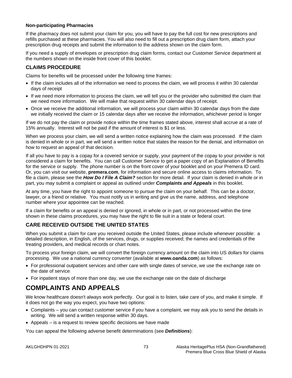#### **Non-participating Pharmacies**

If the pharmacy does not submit your claim for you, you will have to pay the full cost for new prescriptions and refills purchased at these pharmacies. You will also need to fill out a prescription drug claim form, attach your prescription drug receipts and submit the information to the address shown on the claim form.

If you need a supply of envelopes or prescription drug claim forms, contact our Customer Service department at the numbers shown on the inside front cover of this booklet.

# **CLAIMS PROCEDURE**

Claims for benefits will be processed under the following time frames:

- If the claim includes all of the information we need to process the claim, we will process it within 30 calendar days of receipt
- If we need more information to process the claim, we will tell you or the provider who submitted the claim that we need more information. We will make that request within 30 calendar days of receipt.
- Once we receive the additional information, we will process your claim within 30 calendar days from the date we initially received the claim or 15 calendar days after we receive the information, whichever period is longer

If we do not pay the claim or provide notice within the time frames stated above, interest shall accrue at a rate of 15% annually. Interest will not be paid if the amount of interest is \$1 or less.

When we process your claim, we will send a written notice explaining how the claim was processed. If the claim is denied in whole or in part, we will send a written notice that states the reason for the denial, and information on how to request an appeal of that decision.

If all you have to pay is a copay for a covered service or supply, your payment of the copay to your provider is not considered a claim for benefits. You can call Customer Service to get a paper copy of an Explanation of Benefits for the service or supply. The phone number is on the front cover of your booklet and on your Premera ID card. Or, you can visit our website, **premera.com**, for information and secure online access to claims information. To file a claim, please see the *How Do I File A Claim?* section for more detail. If your claim is denied in whole or in part, you may submit a complaint or appeal as outlined under *Complaints and Appeals* in this booklet.

At any time, you have the right to appoint someone to pursue the claim on your behalf. This can be a doctor, lawyer, or a friend or relative. You must notify us in writing and give us the name, address, and telephone number where your appointee can be reached.

If a claim for benefits or an appeal is denied or ignored, in whole or in part, or not processed within the time shown in these claims procedures, you may have the right to file suit in a state or federal court.

# **CARE RECEIVED OUTSIDE THE UNITED STATES**

When you submit a claim for care you received outside the United States, please include whenever possible: a detailed description, in English, of the services, drugs, or supplies received; the names and credentials of the treating providers, and medical records or chart notes.

To process your foreign claim, we will convert the foreign currency amount on the claim into US dollars for claims processing. We use a national currency converter (available at **[www.oanda.com](http://www.oanda.com/)**) as follows:

- For professional outpatient services and other care with single dates of service, we use the exchange rate on the date of service
- For inpatient stays of more than one day, we use the exchange rate on the date of discharge

# **COMPLAINTS AND APPEALS**

We know healthcare doesn't always work perfectly. Our goal is to listen, take care of you, and make it simple. If it does not go the way you expect, you have two options:

- Complaints you can contact customer service if you have a complaint, we may ask you to send the details in writing. We will send a written response within 30 days.
- Appeals is a request to review specific decisions we have made

You can appeal the following adverse benefit determinations (see *Definitions*):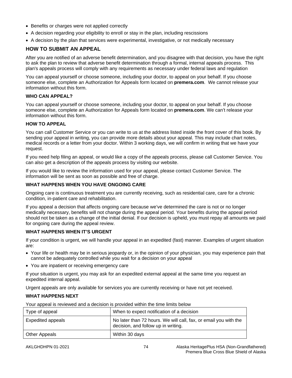- Benefits or charges were not applied correctly
- A decision regarding your eligibility to enroll or stay in the plan, including rescissions
- A decision by the plan that services were experimental, investigative, or not medically necessary

# **HOW TO SUBMIT AN APPEAL**

After you are notified of an adverse benefit determination, and you disagree with that decision, you have the right to ask the plan to review that adverse benefit determination through a formal, internal appeals process. This plan's appeals process will comply with any requirements as necessary under federal laws and regulation

You can appeal yourself or choose someone, including your doctor, to appeal on your behalf. If you choose someone else, complete an Authorization for Appeals form located on **premera.com**. We cannot release your information without this form.

#### **WHO CAN APPEAL?**

You can appeal yourself or choose someone, including your doctor, to appeal on your behalf. If you choose someone else, complete an Authorization for Appeals form located on **premera.com**. We can't release your information without this form.

#### **HOW TO APPEAL**

You can call Customer Service or you can write to us at the address listed inside the front cover of this book. By sending your appeal in writing, you can provide more details about your appeal. This may include chart notes, medical records or a letter from your doctor. Within 3 working days, we will confirm in writing that we have your request.

If you need help filing an appeal, or would like a copy of the appeals process, please call Customer Service. You can also get a description of the appeals process by visiting our website.

If you would like to review the information used for your appeal, please contact Customer Service. The information will be sent as soon as possible and free of charge.

# **WHAT HAPPENS WHEN YOU HAVE ONGOING CARE**

Ongoing care is continuous treatment you are currently receiving, such as residential care, care for a chronic condition, in-patient care and rehabilitation.

If you appeal a decision that affects ongoing care because we've determined the care is not or no longer medically necessary, benefits will not change during the appeal period. Your benefits during the appeal period should not be taken as a change of the initial denial. If our decision is upheld, you must repay all amounts we paid for ongoing care during the appeal review.

#### **WHAT HAPPENS WHEN IT'S URGENT**

If your condition is urgent, we will handle your appeal in an expedited (fast) manner. Examples of urgent situation are:

- Your life or health may be in serious jeopardy or, in the opinion of your physician, you may experience pain that cannot be adequately controlled while you wait for a decision on your appeal
- You are inpatient or receiving emergency care

If your situation is urgent, you may ask for an expedited external appeal at the same time you request an expedited internal appeal.

Urgent appeals are only available for services you are currently receiving or have not yet received.

# **WHAT HAPPENS NEXT**

| Type of appeal    | When to expect notification of a decision                                                               |
|-------------------|---------------------------------------------------------------------------------------------------------|
| Expedited appeals | No later than 72 hours. We will call, fax, or email you with the<br>decision, and follow up in writing. |
| Other Appeals     | Within 30 days                                                                                          |

Your appeal is reviewed and a decision is provided within the time limits below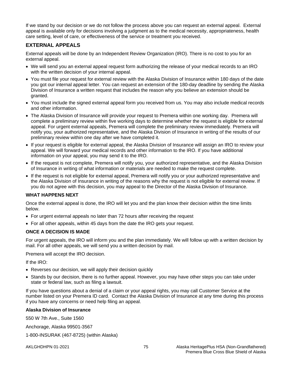If we stand by our decision or we do not follow the process above you can request an external appeal. External appeal is available only for decisions involving a judgment as to the medical necessity, appropriateness, health care setting, level of care, or effectiveness of the service or treatment you received.

# **EXTERNAL APPEALS**

External appeals will be done by an Independent Review Organization (IRO). There is no cost to you for an external appeal.

- We will send you an external appeal request form authorizing the release of your medical records to an IRO with the written decision of your internal appeal.
- You must file your request for external review with the Alaska Division of Insurance within 180 days of the date you got our internal appeal letter. You can request an extension of the 180-day deadline by sending the Alaska Division of Insurance a written request that includes the reason why you believe an extension should be granted.
- You must include the signed external appeal form you received from us. You may also include medical records and other information.
- The Alaska Division of Insurance will provide your request to Premera within one working day. Premera will complete a preliminary review within five working days to determine whether the request is eligible for external appeal. For urgent external appeals, Premera will complete the preliminary review immediately. Premera will notify you, your authorized representative, and the Alaska Division of Insurance in writing of the results of our preliminary review within one day after we have completed it.
- If your request is eligible for external appeal, the Alaska Division of Insurance will assign an IRO to review your appeal. We will forward your medical records and other information to the IRO. If you have additional information on your appeal, you may send it to the IRO.
- If the request is not complete, Premera will notify you, your authorized representative, and the Alaska Division of Insurance in writing of what information or materials are needed to make the request complete.
- If the request is not eligible for external appeal, Premera will notify you or your authorized representative and the Alaska Division of Insurance in writing of the reasons why the request is not eligible for external review. If you do not agree with this decision, you may appeal to the Director of the Alaska Division of Insurance.

# **WHAT HAPPENS NEXT**

Once the external appeal is done, the IRO will let you and the plan know their decision within the time limits below.

- For urgent external appeals no later than 72 hours after receiving the request
- For all other appeals, within 45 days from the date the IRO gets your request.

# **ONCE A DECISION IS MADE**

For urgent appeals, the IRO will inform you and the plan immediately. We will follow up with a written decision by mail. For all other appeals, we will send you a written decision by mail.

Premera will accept the IRO decision.

If the IRO:

- Reverses our decision, we will apply their decision quickly
- Stands by our decision, there is no further appeal. However, you may have other steps you can take under state or federal law, such as filing a lawsuit.

If you have questions about a denial of a claim or your appeal rights, you may call Customer Service at the number listed on your Premera ID card. Contact the Alaska Division of Insurance at any time during this process if you have any concerns or need help filing an appeal.

#### **Alaska Division of Insurance**

550 W 7th Ave., Suite 1560

Anchorage, Alaska 99501-3567

1-800-INSURAK (467-8725) (within Alaska)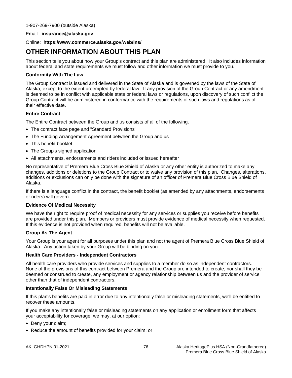#### Email: **insurance@alaska.gov**

#### Online: **https://www.commerce.alaska.gov/web/ins/**

# **OTHER INFORMATION ABOUT THIS PLAN**

This section tells you about how your Group's contract and this plan are administered. It also includes information about federal and state requirements we must follow and other information we must provide to you.

#### **Conformity With The Law**

The Group Contract is issued and delivered in the State of Alaska and is governed by the laws of the State of Alaska, except to the extent preempted by federal law. If any provision of the Group Contract or any amendment is deemed to be in conflict with applicable state or federal laws or regulations, upon discovery of such conflict the Group Contract will be administered in conformance with the requirements of such laws and regulations as of their effective date.

#### **Entire Contract**

The Entire Contract between the Group and us consists of all of the following.

- The contract face page and "Standard Provisions"
- The Funding Arrangement Agreement between the Group and us
- This benefit booklet
- The Group's signed application
- All attachments, endorsements and riders included or issued hereafter

No representative of Premera Blue Cross Blue Shield of Alaska or any other entity is authorized to make any changes, additions or deletions to the Group Contract or to waive any provision of this plan. Changes, alterations, additions or exclusions can only be done with the signature of an officer of Premera Blue Cross Blue Shield of Alaska.

If there is a language conflict in the contract, the benefit booklet (as amended by any attachments, endorsements or riders) will govern.

#### **Evidence Of Medical Necessity**

We have the right to require proof of medical necessity for any services or supplies you receive before benefits are provided under this plan. Members or providers must provide evidence of medical necessity when requested. If this evidence is not provided when required, benefits will not be available.

# **Group As The Agent**

Your Group is your agent for all purposes under this plan and not the agent of Premera Blue Cross Blue Shield of Alaska. Any action taken by your Group will be binding on you.

#### **Health Care Providers - Independent Contractors**

All health care providers who provide services and supplies to a member do so as independent contractors. None of the provisions of this contract between Premera and the Group are intended to create, nor shall they be deemed or construed to create, any employment or agency relationship between us and the provider of service other than that of independent contractors.

#### **Intentionally False Or Misleading Statements**

If this plan's benefits are paid in error due to any intentionally false or misleading statements, we'll be entitled to recover these amounts.

If you make any intentionally false or misleading statements on any application or enrollment form that affects your acceptability for coverage, we may, at our option:

- Deny your claim;
- Reduce the amount of benefits provided for your claim; or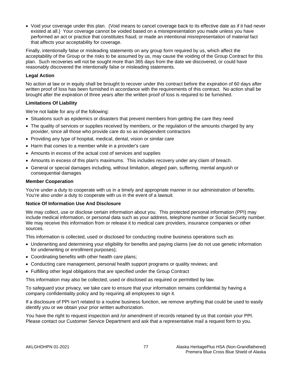• Void your coverage under this plan. (Void means to cancel coverage back to its effective date as if it had never existed at all.) Your coverage cannot be voided based on a misrepresentation you made unless you have performed an act or practice that constitutes fraud; or made an intentional misrepresentation of material fact that affects your acceptability for coverage.

Finally, intentionally false or misleading statements on any group form required by us, which affect the acceptability of the Group or the risks to be assumed by us, may cause the voiding of the Group Contract for this plan. Such recoveries will not be sought more than 365 days from the date we discovered, or could have reasonably discovered the intentionally false or misleading statements.

#### **Legal Action**

No action at law or in equity shall be brought to recover under this contract before the expiration of 60 days after written proof of loss has been furnished in accordance with the requirements of this contract. No action shall be brought after the expiration of three years after the written proof of loss is required to be furnished.

#### **Limitations Of Liability**

We're not liable for any of the following:

- Situations such as epidemics or disasters that prevent members from getting the care they need
- The quality of services or supplies received by members, or the regulation of the amounts charged by any provider, since all those who provide care do so as independent contractors
- Providing any type of hospital, medical, dental, vision or similar care
- Harm that comes to a member while in a provider's care
- Amounts in excess of the actual cost of services and supplies
- Amounts in excess of this plan's maximums. This includes recovery under any claim of breach.
- General or special damages including, without limitation, alleged pain, suffering, mental anguish or consequential damages

#### **Member Cooperation**

You're under a duty to cooperate with us in a timely and appropriate manner in our administration of benefits. You're also under a duty to cooperate with us in the event of a lawsuit.

#### **Notice Of Information Use And Disclosure**

We may collect, use or disclose certain information about you. This protected personal information (PPI) may include medical information, or personal data such as your address, telephone number or Social Security number. We may receive this information from or release it to medical care providers, insurance companies or other sources.

This information is collected, used or disclosed for conducting routine business operations such as:

- Underwriting and determining your eligibility for benefits and paying claims (we do not use genetic information for underwriting or enrollment purposes);
- Coordinating benefits with other health care plans;
- Conducting care management, personal health support programs or quality reviews; and
- Fulfilling other legal obligations that are specified under the Group Contract

This information may also be collected, used or disclosed as required or permitted by law.

To safeguard your privacy, we take care to ensure that your information remains confidential by having a company confidentiality policy and by requiring all employees to sign it.

If a disclosure of PPI isn't related to a routine business function, we remove anything that could be used to easily identify you or we obtain your prior written authorization.

You have the right to request inspection and /or amendment of records retained by us that contain your PPI. Please contact our Customer Service Department and ask that a representative mail a request form to you.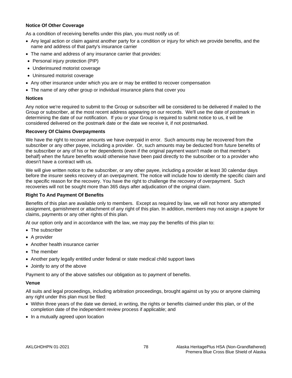# **Notice Of Other Coverage**

As a condition of receiving benefits under this plan, you must notify us of:

- Any legal action or claim against another party for a condition or injury for which we provide benefits, and the name and address of that party's insurance carrier
- The name and address of any insurance carrier that provides:
- Personal injury protection (PIP)
- Underinsured motorist coverage
- Uninsured motorist coverage
- Any other insurance under which you are or may be entitled to recover compensation
- The name of any other group or individual insurance plans that cover you

#### **Notices**

Any notice we're required to submit to the Group or subscriber will be considered to be delivered if mailed to the Group or subscriber, at the most recent address appearing on our records. We'll use the date of postmark in determining the date of our notification. If you or your Group is required to submit notice to us, it will be considered delivered on the postmark date or the date we receive it, if not postmarked.

#### **Recovery Of Claims Overpayments**

We have the right to recover amounts we have overpaid in error. Such amounts may be recovered from the subscriber or any other payee, including a provider. Or, such amounts may be deducted from future benefits of the subscriber or any of his or her dependents (even if the original payment wasn't made on that member's behalf) when the future benefits would otherwise have been paid directly to the subscriber or to a provider who doesn't have a contract with us.

We will give written notice to the subscriber, or any other payee, including a provider at least 30 calendar days before the insurer seeks recovery of an overpayment. The notice will include how to identify the specific claim and the specific reason for the recovery. You have the right to challenge the recovery of overpayment. Such recoveries will not be sought more than 365 days after adjudication of the original claim.

#### **Right To And Payment Of Benefits**

Benefits of this plan are available only to members. Except as required by law, we will not honor any attempted assignment, garnishment or attachment of any right of this plan. In addition, members may not assign a payee for claims, payments or any other rights of this plan.

At our option only and in accordance with the law, we may pay the benefits of this plan to:

- The subscriber
- A provider
- Another health insurance carrier
- The member
- Another party legally entitled under federal or state medical child support laws
- Jointly to any of the above

Payment to any of the above satisfies our obligation as to payment of benefits.

#### **Venue**

All suits and legal proceedings, including arbitration proceedings, brought against us by you or anyone claiming any right under this plan must be filed:

- Within three years of the date we denied, in writing, the rights or benefits claimed under this plan, or of the completion date of the independent review process if applicable; and
- In a mutually agreed upon location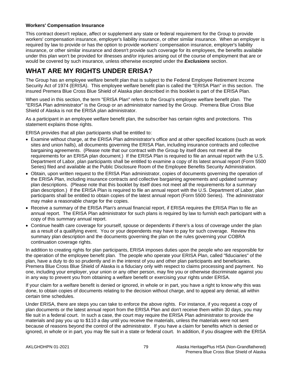#### **Workers' Compensation Insurance**

This contract doesn't replace, affect or supplement any state or federal requirement for the Group to provide workers' compensation insurance, employer's liability insurance, or other similar insurance. When an employer is required by law to provide or has the option to provide workers' compensation insurance, employer's liability insurance, or other similar insurance and doesn't provide such coverage for its employees, the benefits available under this plan won't be provided for illnesses and/or injuries arising out of the course of employment that are or would be covered by such insurance, unless otherwise excepted under the *Exclusions* section.

# **WHAT ARE MY RIGHTS UNDER ERISA?**

The Group has an employee welfare benefit plan that is subject to the Federal Employee Retirement Income Security Act of 1974 (ERISA). This employee welfare benefit plan is called the "ERISA Plan" in this section. The insured Premera Blue Cross Blue Shield of Alaska plan described in this booklet is part of the ERISA Plan.

When used in this section, the term "ERISA Plan" refers to the Group's employee welfare benefit plan. The "ERISA Plan administrator" is the Group or an administrator named by the Group. Premera Blue Cross Blue Shield of Alaska is not the ERISA plan administrator.

As a participant in an employee welfare benefit plan, the subscriber has certain rights and protections. This statement explains those rights.

ERISA provides that all plan participants shall be entitled to:

- Examine without charge, at the ERISA Plan administrator's office and at other specified locations (such as work sites and union halls), all documents governing the ERISA Plan, including insurance contracts and collective bargaining agreements. (Please note that our contract with the Group by itself does not meet all the requirements for an ERISA plan document.) If the ERISA Plan is required to file an annual report with the U.S. Department of Labor, plan participants shall be entitled to examine a copy of its latest annual report (Form 5500 Series) filed and available at the Public Disclosure Room of the Employee Benefits Security Administration.
- Obtain, upon written request to the ERISA Plan administrator, copies of documents governing the operation of the ERISA Plan, including insurance contracts and collective bargaining agreements and updated summary plan descriptions. (Please note that this booklet by itself does not meet all the requirements for a summary plan description.) If the ERISA Plan is required to file an annual report with the U.S. Department of Labor, plan participants shall be entitled to obtain copies of the latest annual report (Form 5500 Series). The administrator may make a reasonable charge for the copies.
- Receive a summary of the ERISA Plan's annual financial report, if ERISA requires the ERISA Plan to file an annual report. The ERISA Plan administrator for such plans is required by law to furnish each participant with a copy of this summary annual report.
- Continue health care coverage for yourself, spouse or dependents if there's a loss of coverage under the plan as a result of a qualifying event. You or your dependents may have to pay for such coverage. Review this summary plan description and the documents governing the plan on the rules governing your COBRA continuation coverage rights.

In addition to creating rights for plan participants, ERISA imposes duties upon the people who are responsible for the operation of the employee benefit plan. The people who operate your ERISA Plan, called "fiduciaries" of the plan, have a duty to do so prudently and in the interest of you and other plan participants and beneficiaries. Premera Blue Cross Blue Shield of Alaska is a fiduciary only with respect to claims processing and payment. No one, including your employer, your union or any other person, may fire you or otherwise discriminate against you in any way to prevent you from obtaining a welfare benefit or exercising your rights under ERISA.

If your claim for a welfare benefit is denied or ignored, in whole or in part, you have a right to know why this was done, to obtain copies of documents relating to the decision without charge, and to appeal any denial, all within certain time schedules.

Under ERISA, there are steps you can take to enforce the above rights. For instance, if you request a copy of plan documents or the latest annual report from the ERISA Plan and don't receive them within 30 days, you may file suit in a federal court. In such a case, the court may require the ERISA Plan administrator to provide the materials and pay you up to \$110 a day until you receive the materials, unless the materials were not sent because of reasons beyond the control of the administrator. If you have a claim for benefits which is denied or ignored, in whole or in part, you may file suit in a state or federal court. In addition, if you disagree with the ERISA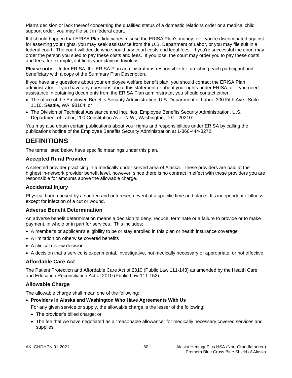Plan's decision or lack thereof concerning the qualified status of a domestic relations order or a medical child support order, you may file suit in federal court.

If it should happen that ERISA Plan fiduciaries misuse the ERISA Plan's money, or if you're discriminated against for asserting your rights, you may seek assistance from the U.S. Department of Labor, or you may file suit in a federal court. The court will decide who should pay court costs and legal fees. If you're successful the court may order the person you sued to pay these costs and fees. If you lose, the court may order you to pay these costs and fees, for example, if it finds your claim is frivolous.

**Please note:** Under ERISA, the ERISA Plan administrator is responsible for furnishing each participant and beneficiary with a copy of the Summary Plan Description.

If you have any questions about your employee welfare benefit plan, you should contact the ERISA Plan administrator. If you have any questions about this statement or about your rights under ERISA, or if you need assistance in obtaining documents from the ERISA Plan administrator, you should contact either:

- The office of the Employee Benefits Security Administration, U.S. Department of Labor, 300 Fifth Ave., Suite 1110, Seattle, WA 98104; or
- The Division of Technical Assistance and Inquiries, Employee Benefits Security Administration, U.S. Department of Labor, 200 Constitution Ave. N.W., Washington, D.C. 20210

You may also obtain certain publications about your rights and responsibilities under ERISA by calling the publications hotline of the Employee Benefits Security Administration at 1-866-444-3272.

# **DEFINITIONS**

The terms listed below have specific meanings under this plan.

#### **Accepted Rural Provider**

A selected provider practicing in a medically under-served area of Alaska. These providers are paid at the highest in-network provider benefit level, however, since there is no contract in effect with these providers you are responsible for amounts above the allowable charge.

# **Accidental Injury**

Physical harm caused by a sudden and unforeseen event at a specific time and place. It's independent of illness, except for infection of a cut or wound.

# **Adverse Benefit Determination**

An adverse benefit determination means a decision to deny, reduce, terminate or a failure to provide or to make payment, in whole or in part for services. This includes:

- A member's or applicant's eligibility to be or stay enrolled in this plan or health insurance coverage
- A limitation on otherwise covered benefits
- A clinical review decision
- A decision that a service is experimental, investigative, not medically necessary or appropriate, or not effective

#### **Affordable Care Act**

The Patient Protection and Affordable Care Act of 2010 (Public Law 111-148) as amended by the Health Care and Education Reconciliation Act of 2010 (Public Law 111-152).

#### **Allowable Charge**

The allowable charge shall mean one of the following:

• **Providers In Alaska and Washington Who Have Agreements With Us**

For any given service or supply, the allowable charge is the lesser of the following:

- The provider's billed charge; or
- The fee that we have negotiated as a "reasonable allowance" for medically necessary covered services and supplies.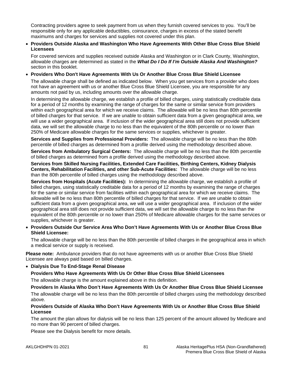Contracting providers agree to seek payment from us when they furnish covered services to you. You'll be responsible only for any applicable deductibles, coinsurance, charges in excess of the stated benefit maximums and charges for services and supplies not covered under this plan.

#### • **Providers Outside Alaska and Washington Who Have Agreements With Other Blue Cross Blue Shield Licensees**

For covered services and supplies received outside Alaska and Washington or in Clark County, Washington, allowable charges are determined as stated in the *What Do I Do If I'm Outside Alaska And Washington?*  section in this booklet.

#### • **Providers Who Don't Have Agreements With Us Or Another Blue Cross Blue Shield Licensee**

The allowable charge shall be defined as indicated below. When you get services from a provider who does not have an agreement with us or another Blue Cross Blue Shield Licensee, you are responsible for any amounts not paid by us, including amounts over the allowable charge.

In determining the allowable charge, we establish a profile of billed charges, using statistically creditable data for a period of 12 months by examining the range of charges for the same or similar service from providers within each geographical area for which we receive claims. The allowable will be no less than 80th percentile of billed charges for that service. If we are unable to obtain sufficient data from a given geographical area, we will use a wider geographical area. If inclusion of the wider geographical area still does not provide sufficient data, we will set the allowable charge to no less than the equivalent of the 80th percentile or no lower than 250% of Medicare allowable charges for the same services or supplies, whichever is greater.

**Services and Supplies from Professional Providers:** The allowable charge will be no less than the 80th percentile of billed charges as determined from a profile derived using the methodology described above.

**Services from Ambulatory Surgical Centers:** The allowable charge will be no less than the 80th percentile of billed charges as determined from a profile derived using the methodology described above.

**Services from Skilled Nursing Facilities, Extended Care Facilities, Birthing Centers, Kidney Dialysis Centers, Rehabilitation Facilities, and other Sub-Acute Facilities:** The allowable charge will be no less than the 80th percentile of billed charges using the methodology described above.

**Services from Hospitals (Acute Facilities):** In determining the allowable charge, we establish a profile of billed charges, using statistically creditable data for a period of 12 months by examining the range of charges for the same or similar service from facilities within each geographical area for which we receive claims. The allowable will be no less than 80th percentile of billed charges for that service. If we are unable to obtain sufficient data from a given geographical area, we will use a wider geographical area. If inclusion of the wider geographical area still does not provide sufficient data, we will set the allowable charge to no less than the equivalent of the 80th percentile or no lower than 250% of Medicare allowable charges for the same services or supplies, whichever is greater.

• **Providers Outside Our Service Area Who Don't Have Agreements With Us or Another Blue Cross Blue Shield Licensee:**

The allowable charge will be no less than the 80th percentile of billed charges in the geographical area in which a medical service or supply is received.

**Please note:** Ambulance providers that do not have agreements with us or another Blue Cross Blue Shield Licensee are always paid based on billed charges.

# • **Dialysis Due To End-Stage Renal Disease**

# **Providers Who Have Agreements With Us Or Other Blue Cross Blue Shield Licensees**

The allowable charge is the amount explained above in this definition.

**Providers In Alaska Who Don't Have Agreements With Us Or Another Blue Cross Blue Shield Licensee** The allowable charge will be no less than the 80th percentile of billed charges using the methodology described above.

#### **Providers Outside of Alaska Who Don't Have Agreements With Us or Another Blue Cross Blue Shield Licensee**

The amount the plan allows for dialysis will be no less than 125 percent of the amount allowed by Medicare and no more than 90 percent of billed charges.

Please see the Dialysis benefit for more details.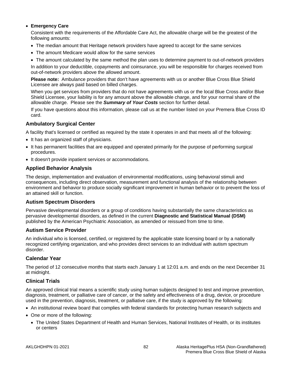#### • **Emergency Care**

Consistent with the requirements of the Affordable Care Act, the allowable charge will be the greatest of the following amounts:

- The median amount that Heritage network providers have agreed to accept for the same services
- The amount Medicare would allow for the same services
- The amount calculated by the same method the plan uses to determine payment to out-of-network providers

In addition to your deductible, copayments and coinsurance, you will be responsible for charges received from out-of-network providers above the allowed amount.

**Please note:** Ambulance providers that don't have agreements with us or another Blue Cross Blue Shield Licensee are always paid based on billed charges.

When you get services from providers that do not have agreements with us or the local Blue Cross and/or Blue Shield Licensee, your liability is for any amount above the allowable charge, and for your normal share of the allowable charge. Please see the *Summary of Your Costs* section for further detail.

If you have questions about this information, please call us at the number listed on your Premera Blue Cross ID card.

# **Ambulatory Surgical Center**

A facility that's licensed or certified as required by the state it operates in and that meets all of the following:

- It has an organized staff of physicians.
- It has permanent facilities that are equipped and operated primarily for the purpose of performing surgical procedures.
- It doesn't provide inpatient services or accommodations.

# **Applied Behavior Analysis**

The design, implementation and evaluation of environmental modifications, using behavioral stimuli and consequences, including direct observation, measurement and functional analysis of the relationship between environment and behavior to produce socially significant improvement in human behavior or to prevent the loss of an attained skill or function.

# **Autism Spectrum Disorders**

Pervasive developmental disorders or a group of conditions having substantially the same characteristics as pervasive developmental disorders, as defined in the current **Diagnostic and Statistical Manual (DSM)** published by the American Psychiatric Association, as amended or reissued from time to time.

# **Autism Service Provider**

An individual who is licensed, certified, or registered by the applicable state licensing board or by a nationally recognized certifying organization, and who provides direct services to an individual with autism spectrum disorder.

# **Calendar Year**

The period of 12 consecutive months that starts each January 1 at 12:01 a.m. and ends on the next December 31 at midnight.

# **Clinical Trials**

An approved clinical trial means a scientific study using human subjects designed to test and improve prevention, diagnosis, treatment, or palliative care of cancer, or the safety and effectiveness of a drug, device, or procedure used in the prevention, diagnosis, treatment, or palliative care, if the study is approved by the following:

- An institutional review board that complies with federal standards for protecting human research subjects and
- One or more of the following:
	- The United States Department of Health and Human Services, National Institutes of Health, or its institutes or centers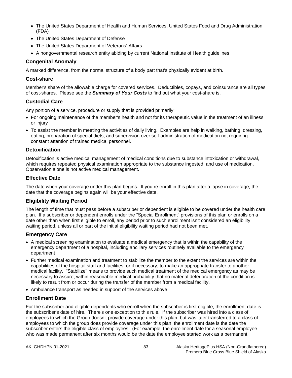- The United States Department of Health and Human Services, United States Food and Drug Administration (FDA)
- The United States Department of Defense
- The United States Department of Veterans' Affairs
- A nongovernmental research entity abiding by current National Institute of Health guidelines

# **Congenital Anomaly**

A marked difference, from the normal structure of a body part that's physically evident at birth.

#### **Cost-share**

Member's share of the allowable charge for covered services. Deductibles, copays, and coinsurance are all types of cost-shares. Please see the *Summary of Your Costs* to find out what your cost-share is.

# **Custodial Care**

Any portion of a service, procedure or supply that is provided primarily:

- For ongoing maintenance of the member's health and not for its therapeutic value in the treatment of an illness or injury
- To assist the member in meeting the activities of daily living. Examples are help in walking, bathing, dressing, eating, preparation of special diets, and supervision over self-administration of medication not requiring constant attention of trained medical personnel.

# **Detoxification**

Detoxification is active medical management of medical conditions due to substance intoxication or withdrawal, which requires repeated physical examination appropriate to the substance ingested, and use of medication. Observation alone is not active medical management.

# **Effective Date**

The date when your coverage under this plan begins. If you re-enroll in this plan after a lapse in coverage, the date that the coverage begins again will be your effective date.

# **Eligibility Waiting Period**

The length of time that must pass before a subscriber or dependent is eligible to be covered under the health care plan. If a subscriber or dependent enrolls under the "Special Enrollment" provisions of this plan or enrolls on a date other than when first eligible to enroll, any period prior to such enrollment isn't considered an eligibility waiting period, unless all or part of the initial eligibility waiting period had not been met.

# **Emergency Care**

- A medical screening examination to evaluate a medical emergency that is within the capability of the emergency department of a hospital, including ancillary services routinely available to the emergency department
- Further medical examination and treatment to stabilize the member to the extent the services are within the capabilities of the hospital staff and facilities, or if necessary, to make an appropriate transfer to another medical facility. "Stabilize" means to provide such medical treatment of the medical emergency as may be necessary to assure, within reasonable medical probability that no material deterioration of the condition is likely to result from or occur during the transfer of the member from a medical facility.
- Ambulance transport as needed in support of the services above

# **Enrollment Date**

For the subscriber and eligible dependents who enroll when the subscriber is first eligible, the enrollment date is the subscriber's date of hire. There's one exception to this rule. If the subscriber was hired into a class of employees to which the Group doesn't provide coverage under this plan, but was later transferred to a class of employees to which the group does provide coverage under this plan, the enrollment date is the date the subscriber enters the eligible class of employees. (For example, the enrollment date for a seasonal employee who was made permanent after six months would be the date the employee started work as a permanent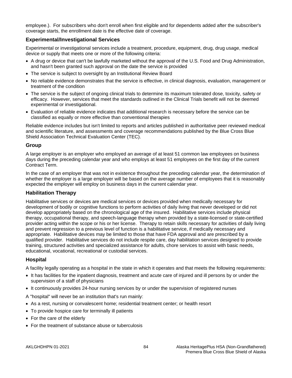employee.). For subscribers who don't enroll when first eligible and for dependents added after the subscriber's coverage starts, the enrollment date is the effective date of coverage.

# **Experimental/Investigational Services**

Experimental or investigational services include a treatment, procedure, equipment, drug, drug usage, medical device or supply that meets one or more of the following criteria:

- A drug or device that can't be lawfully marketed without the approval of the U.S. Food and Drug Administration, and hasn't been granted such approval on the date the service is provided
- The service is subject to oversight by an Institutional Review Board
- No reliable evidence demonstrates that the service is effective, in clinical diagnosis, evaluation, management or treatment of the condition
- The service is the subject of ongoing clinical trials to determine its maximum tolerated dose, toxicity, safety or efficacy. However, services that meet the standards outlined in the Clinical Trials benefit will not be deemed experimental or investigational.
- Evaluation of reliable evidence indicates that additional research is necessary before the service can be classified as equally or more effective than conventional therapies

Reliable evidence includes but isn't limited to reports and articles published in authoritative peer reviewed medical and scientific literature, and assessments and coverage recommendations published by the Blue Cross Blue Shield Association Technical Evaluation Center (TEC).

# **Group**

A large employer is an employer who employed an average of at least 51 common law employees on business days during the preceding calendar year and who employs at least 51 employees on the first day of the current Contract Term.

In the case of an employer that was not in existence throughout the preceding calendar year, the determination of whether the employer is a large employer will be based on the average number of employees that it is reasonably expected the employer will employ on business days in the current calendar year.

# **Habilitation Therapy**

Habilitative services or devices are medical services or devices provided when medically necessary for development of bodily or cognitive functions to perform activities of daily living that never developed or did not develop appropriately based on the chronological age of the insured. Habilitative services include physical therapy, occupational therapy, and speech-language therapy when provided by a state-licensed or state-certified provider acting within the scope or his or her license. Therapy to retain skills necessary for activities of daily living and prevent regression to a previous level of function is a habilitative service, if medically necessary and appropriate. Habilitative devices may be limited to those that have FDA approval and are prescribed by a qualified provider. Habilitative services do not include respite care, day habilitation services designed to provide training, structured activities and specialized assistance for adults, chore services to assist with basic needs, educational, vocational, recreational or custodial services.

# **Hospital**

A facility legally operating as a hospital in the state in which it operates and that meets the following requirements:

- It has facilities for the inpatient diagnosis, treatment and acute care of injured and ill persons by or under the supervision of a staff of physicians
- It continuously provides 24-hour nursing services by or under the supervision of registered nurses

A "hospital" will never be an institution that's run mainly:

- As a rest, nursing or convalescent home; residential treatment center; or health resort
- To provide hospice care for terminally ill patients
- For the care of the elderly
- For the treatment of substance abuse or tuberculosis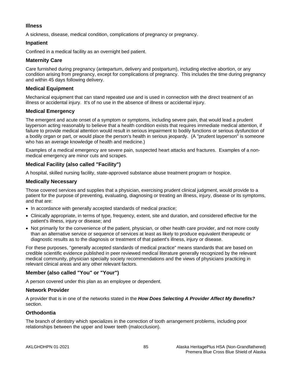# **Illness**

A sickness, disease, medical condition, complications of pregnancy or pregnancy.

# **Inpatient**

Confined in a medical facility as an overnight bed patient.

# **Maternity Care**

Care furnished during pregnancy (antepartum, delivery and postpartum), including elective abortion, or any condition arising from pregnancy, except for complications of pregnancy. This includes the time during pregnancy and within 45 days following delivery.

# **Medical Equipment**

Mechanical equipment that can stand repeated use and is used in connection with the direct treatment of an illness or accidental injury. It's of no use in the absence of illness or accidental injury.

# **Medical Emergency**

The emergent and acute onset of a symptom or symptoms, including severe pain, that would lead a prudent layperson acting reasonably to believe that a health condition exists that requires immediate medical attention, if failure to provide medical attention would result in serious impairment to bodily functions or serious dysfunction of a bodily organ or part, or would place the person's health in serious jeopardy. (A "prudent layperson" is someone who has an average knowledge of health and medicine.)

Examples of a medical emergency are severe pain, suspected heart attacks and fractures. Examples of a nonmedical emergency are minor cuts and scrapes.

# **Medical Facility (also called "Facility")**

A hospital, skilled nursing facility, state-approved substance abuse treatment program or hospice.

# **Medically Necessary**

Those covered services and supplies that a physician, exercising prudent clinical judgment, would provide to a patient for the purpose of preventing, evaluating, diagnosing or treating an illness, injury, disease or its symptoms, and that are:

- In accordance with generally accepted standards of medical practice;
- Clinically appropriate, in terms of type, frequency, extent, site and duration, and considered effective for the patient's illness, injury or disease; and
- Not primarily for the convenience of the patient, physician, or other health care provider, and not more costly than an alternative service or sequence of services at least as likely to produce equivalent therapeutic or diagnostic results as to the diagnosis or treatment of that patient's illness, injury or disease.

For these purposes, "generally accepted standards of medical practice" means standards that are based on credible scientific evidence published in peer reviewed medical literature generally recognized by the relevant medical community, physician specialty society recommendations and the views of physicians practicing in relevant clinical areas and any other relevant factors.

# **Member (also called "You" or "Your")**

A person covered under this plan as an employee or dependent.

# **Network Provider**

A provider that is in one of the networks stated in the *How Does Selecting A Provider Affect My Benefits?* section.

# **Orthodontia**

The branch of dentistry which specializes in the correction of tooth arrangement problems, including poor relationships between the upper and lower teeth (malocclusion).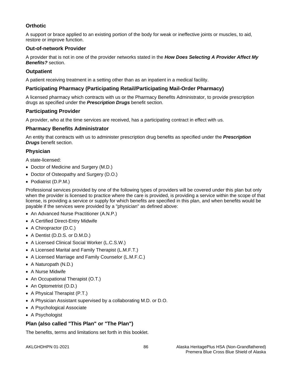# **Orthotic**

A support or brace applied to an existing portion of the body for weak or ineffective joints or muscles, to aid, restore or improve function.

# **Out-of-network Provider**

A provider that is not in one of the provider networks stated in the *How Does Selecting A Provider Affect My Benefits?* section.

# **Outpatient**

A patient receiving treatment in a setting other than as an inpatient in a medical facility.

# **Participating Pharmacy (Participating Retail/Participating Mail-Order Pharmacy)**

A licensed pharmacy which contracts with us or the Pharmacy Benefits Administrator, to provide prescription drugs as specified under the *Prescription Drugs* benefit section.

# **Participating Provider**

A provider, who at the time services are received, has a participating contract in effect with us.

# **Pharmacy Benefits Administrator**

An entity that contracts with us to administer prescription drug benefits as specified under the *Prescription Drugs* benefit section.

# **Physician**

A state-licensed:

- Doctor of Medicine and Surgery (M.D.)
- Doctor of Osteopathy and Surgery (D.O.)
- Podiatrist (D.P.M.)

Professional services provided by one of the following types of providers will be covered under this plan but only when the provider is licensed to practice where the care is provided, is providing a service within the scope of that license, is providing a service or supply for which benefits are specified in this plan, and when benefits would be payable if the services were provided by a "physician" as defined above:

- An Advanced Nurse Practitioner (A.N.P.)
- A Certified Direct-Entry Midwife
- A Chiropractor (D.C.)
- A Dentist (D.D.S. or D.M.D.)
- A Licensed Clinical Social Worker (L.C.S.W.)
- A Licensed Marital and Family Therapist (L.M.F.T.)
- A Licensed Marriage and Family Counselor (L.M.F.C.)
- A Naturopath (N.D.)
- A Nurse Midwife
- An Occupational Therapist (O.T.)
- An Optometrist (O.D.)
- A Physical Therapist (P.T.)
- A Physician Assistant supervised by a collaborating M.D. or D.O.
- A Psychological Associate
- A Psychologist

# **Plan (also called "This Plan" or "The Plan")**

The benefits, terms and limitations set forth in this booklet.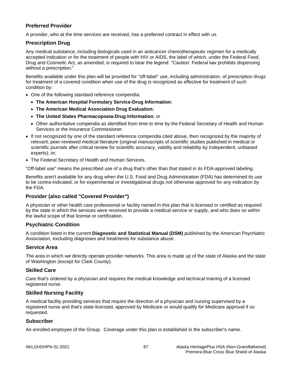# **Preferred Provider**

A provider, who at the time services are received, has a preferred contract in effect with us.

# **Prescription Drug**

Any medical substance, including biologicals used in an anticancer chemotherapeutic regimen for a medically accepted indication or for the treatment of people with HIV or AIDS, the label of which, under the Federal Food, Drug and Cosmetic Act, as amended, is required to bear the legend: "Caution: Federal law prohibits dispensing without a prescription."

Benefits available under this plan will be provided for "off-label" use, including administration, of prescription drugs for treatment of a covered condition when use of the drug is recognized as effective for treatment of such condition by:

- One of the following standard reference compendia:
	- **The American Hospital Formulary Service-Drug Information**;
	- **The American Medical Association Drug Evaluation**;
	- **The United States Pharmacopoeia-Drug Information**; or
	- Other authoritative compendia as identified from time to time by the Federal Secretary of Health and Human Services or the Insurance Commissioner.
- If not recognized by one of the standard reference compendia cited above, then recognized by the majority of relevant, peer-reviewed medical literature (original manuscripts of scientific studies published in medical or scientific journals after critical review for scientific accuracy, validity and reliability by independent, unbiased experts); or,
- The Federal Secretary of Health and Human Services.

"Off-label use" means the prescribed use of a drug that's other than that stated in its FDA-approved labeling.

Benefits aren't available for any drug when the U.S. Food and Drug Administration (FDA) has determined its use to be contra-indicated, or for experimental or investigational drugs not otherwise approved for any indication by the FDA.

# **Provider (also called "Covered Provider")**

A physician or other health care professional or facility named in this plan that is licensed or certified as required by the state in which the services were received to provide a medical service or supply, and who does so within the lawful scope of that license or certification.

# **Psychiatric Condition**

A condition listed in the current **Diagnostic and Statistical Manual (DSM)** published by the American Psychiatric Association, excluding diagnoses and treatments for substance abuse.

# **Service Area**

The area in which we directly operate provider networks. This area is made up of the state of Alaska and the state of Washington (except for Clark County).

# **Skilled Care**

Care that's ordered by a physician and requires the medical knowledge and technical training of a licensed registered nurse.

# **Skilled Nursing Facility**

A medical facility providing services that require the direction of a physician and nursing supervised by a registered nurse and that's state-licensed, approved by Medicare or would qualify for Medicare approval if so requested.

#### **Subscriber**

An enrolled employee of the Group. Coverage under this plan is established in the subscriber's name.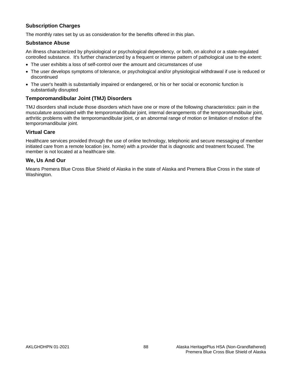# **Subscription Charges**

The monthly rates set by us as consideration for the benefits offered in this plan.

# **Substance Abuse**

An illness characterized by physiological or psychological dependency, or both, on alcohol or a state-regulated controlled substance. It's further characterized by a frequent or intense pattern of pathological use to the extent:

- The user exhibits a loss of self-control over the amount and circumstances of use
- The user develops symptoms of tolerance, or psychological and/or physiological withdrawal if use is reduced or discontinued
- The user's health is substantially impaired or endangered, or his or her social or economic function is substantially disrupted

# **Temporomandibular Joint (TMJ) Disorders**

TMJ disorders shall include those disorders which have one or more of the following characteristics: pain in the musculature associated with the temporomandibular joint, internal derangements of the temporomandibular joint, arthritic problems with the temporomandibular joint, or an abnormal range of motion or limitation of motion of the temporomandibular joint.

#### **Virtual Care**

Healthcare services provided through the use of online technology, telephonic and secure messaging of member initiated care from a remote location (ex. home) with a provider that is diagnostic and treatment focused. The member is not located at a healthcare site.

# **We, Us And Our**

Means Premera Blue Cross Blue Shield of Alaska in the state of Alaska and Premera Blue Cross in the state of Washington.